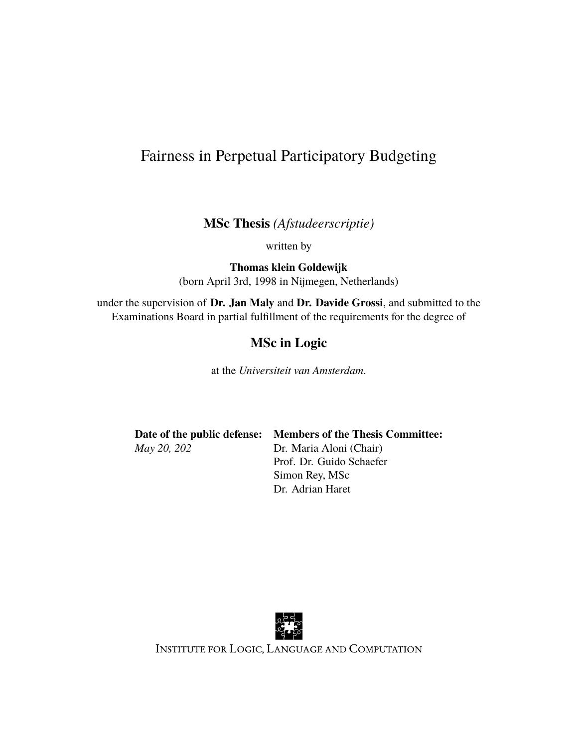### Fairness in Perpetual Participatory Budgeting

**MSc Thesis** *(Afstudeerscriptie)*

written by

**Thomas klein Goldewijk** (born April 3rd, 1998 in Nijmegen, Netherlands)

under the supervision of **Dr. Jan Maly** and **Dr. Davide Grossi**, and submitted to the Examinations Board in partial fulfillment of the requirements for the degree of

#### **MSc in Logic**

at the *Universiteit van Amsterdam*.

**Date of the public defense: Members of the Thesis Committee:** *May 20, 202* Dr. Maria Aloni (Chair)

Prof. Dr. Guido Schaefer Simon Rey, MSc Dr. Adrian Haret



INSTITUTE FOR LOGIC, LANGUAGE AND COMPUTATION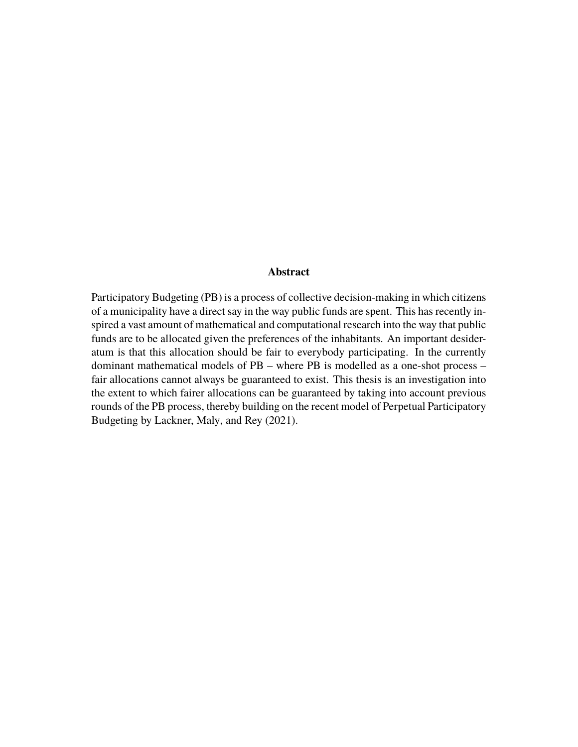#### **Abstract**

Participatory Budgeting (PB) is a process of collective decision-making in which citizens of a municipality have a direct say in the way public funds are spent. This has recently inspired a vast amount of mathematical and computational research into the way that public funds are to be allocated given the preferences of the inhabitants. An important desideratum is that this allocation should be fair to everybody participating. In the currently dominant mathematical models of PB – where PB is modelled as a one-shot process – fair allocations cannot always be guaranteed to exist. This thesis is an investigation into the extent to which fairer allocations can be guaranteed by taking into account previous rounds of the PB process, thereby building on the recent model of Perpetual Participatory Budgeting by Lackner, Maly, and Rey [\(2021\)](#page-81-0).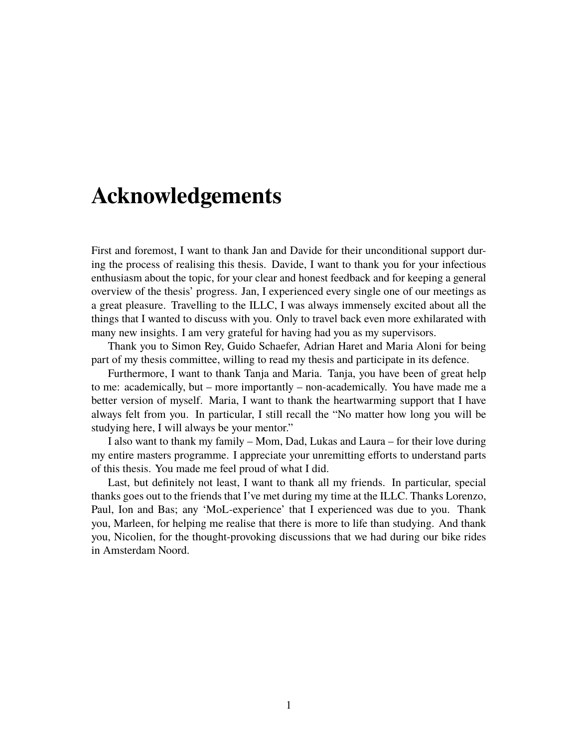## **Acknowledgements**

First and foremost, I want to thank Jan and Davide for their unconditional support during the process of realising this thesis. Davide, I want to thank you for your infectious enthusiasm about the topic, for your clear and honest feedback and for keeping a general overview of the thesis' progress. Jan, I experienced every single one of our meetings as a great pleasure. Travelling to the ILLC, I was always immensely excited about all the things that I wanted to discuss with you. Only to travel back even more exhilarated with many new insights. I am very grateful for having had you as my supervisors.

Thank you to Simon Rey, Guido Schaefer, Adrian Haret and Maria Aloni for being part of my thesis committee, willing to read my thesis and participate in its defence.

Furthermore, I want to thank Tanja and Maria. Tanja, you have been of great help to me: academically, but – more importantly – non-academically. You have made me a better version of myself. Maria, I want to thank the heartwarming support that I have always felt from you. In particular, I still recall the "No matter how long you will be studying here, I will always be your mentor."

I also want to thank my family – Mom, Dad, Lukas and Laura – for their love during my entire masters programme. I appreciate your unremitting efforts to understand parts of this thesis. You made me feel proud of what I did.

Last, but definitely not least, I want to thank all my friends. In particular, special thanks goes out to the friends that I've met during my time at the ILLC. Thanks Lorenzo, Paul, Ion and Bas; any 'MoL-experience' that I experienced was due to you. Thank you, Marleen, for helping me realise that there is more to life than studying. And thank you, Nicolien, for the thought-provoking discussions that we had during our bike rides in Amsterdam Noord.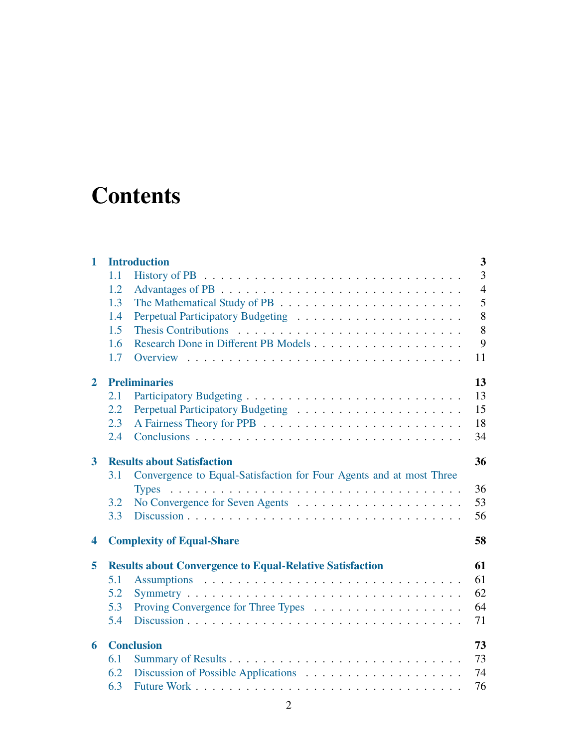# **Contents**

| 1                       | $\overline{\mathbf{3}}$<br><b>Introduction</b>                        |                                                                     |  |  |  |  |  |
|-------------------------|-----------------------------------------------------------------------|---------------------------------------------------------------------|--|--|--|--|--|
|                         | 1.1                                                                   | 3                                                                   |  |  |  |  |  |
|                         | 1.2                                                                   | $\overline{4}$                                                      |  |  |  |  |  |
|                         | 1.3                                                                   | 5                                                                   |  |  |  |  |  |
|                         | 1.4                                                                   | 8                                                                   |  |  |  |  |  |
|                         | 1.5                                                                   | 8                                                                   |  |  |  |  |  |
|                         | 1.6                                                                   | 9                                                                   |  |  |  |  |  |
|                         | 1.7                                                                   | 11                                                                  |  |  |  |  |  |
| $\mathbf{2}$            | 13<br><b>Preliminaries</b>                                            |                                                                     |  |  |  |  |  |
|                         | 2.1                                                                   | 13                                                                  |  |  |  |  |  |
|                         | 2.2                                                                   | 15                                                                  |  |  |  |  |  |
|                         | 2.3                                                                   | 18                                                                  |  |  |  |  |  |
|                         | 2.4                                                                   | 34                                                                  |  |  |  |  |  |
| $\mathbf{3}$            | <b>Results about Satisfaction</b><br>36                               |                                                                     |  |  |  |  |  |
|                         | 3.1                                                                   | Convergence to Equal-Satisfaction for Four Agents and at most Three |  |  |  |  |  |
|                         |                                                                       | 36                                                                  |  |  |  |  |  |
|                         | 3.2                                                                   | 53                                                                  |  |  |  |  |  |
|                         | 3.3                                                                   | 56                                                                  |  |  |  |  |  |
| $\overline{\mathbf{4}}$ | <b>Complexity of Equal-Share</b><br>58                                |                                                                     |  |  |  |  |  |
| 5                       | <b>Results about Convergence to Equal-Relative Satisfaction</b><br>61 |                                                                     |  |  |  |  |  |
|                         | 5.1                                                                   | 61                                                                  |  |  |  |  |  |
|                         | 5.2                                                                   | 62                                                                  |  |  |  |  |  |
|                         | 5.3                                                                   | 64                                                                  |  |  |  |  |  |
|                         | 5.4                                                                   | 71                                                                  |  |  |  |  |  |
| 6                       | <b>Conclusion</b>                                                     |                                                                     |  |  |  |  |  |
|                         | 6.1                                                                   | 73                                                                  |  |  |  |  |  |
|                         | 6.2                                                                   | 74                                                                  |  |  |  |  |  |
|                         | 6.3                                                                   | 76                                                                  |  |  |  |  |  |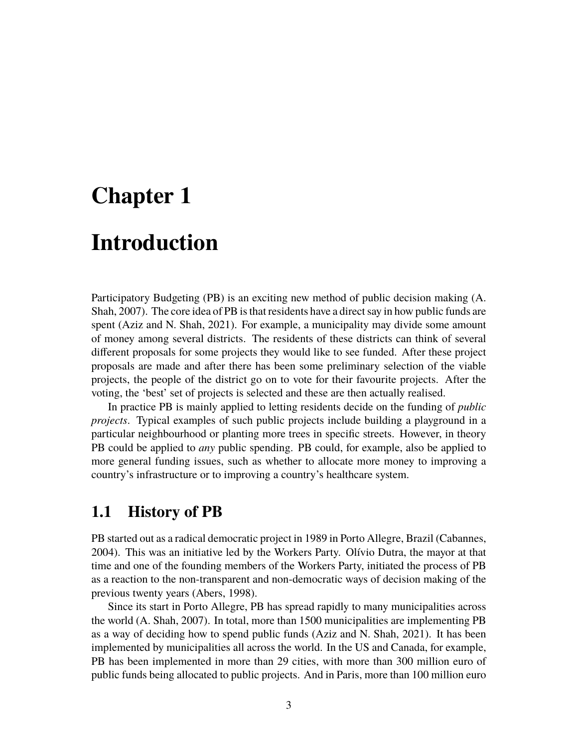# <span id="page-4-0"></span>**Chapter 1**

# **Introduction**

Participatory Budgeting (PB) is an exciting new method of public decision making (A. Shah, [2007\)](#page-81-1). The core idea of PB is that residents have a direct say in how public funds are spent (Aziz and N. Shah, [2021\)](#page-79-0). For example, a municipality may divide some amount of money among several districts. The residents of these districts can think of several different proposals for some projects they would like to see funded. After these project proposals are made and after there has been some preliminary selection of the viable projects, the people of the district go on to vote for their favourite projects. After the voting, the 'best' set of projects is selected and these are then actually realised.

In practice PB is mainly applied to letting residents decide on the funding of *public projects*. Typical examples of such public projects include building a playground in a particular neighbourhood or planting more trees in specific streets. However, in theory PB could be applied to *any* public spending. PB could, for example, also be applied to more general funding issues, such as whether to allocate more money to improving a country's infrastructure or to improving a country's healthcare system.

### <span id="page-4-1"></span>**1.1 History of PB**

PB started out as a radical democratic project in 1989 in Porto Allegre, Brazil (Cabannes, [2004\)](#page-79-1). This was an initiative led by the Workers Party. Olívio Dutra, the mayor at that time and one of the founding members of the Workers Party, initiated the process of PB as a reaction to the non-transparent and non-democratic ways of decision making of the previous twenty years (Abers, [1998\)](#page-79-2).

Since its start in Porto Allegre, PB has spread rapidly to many municipalities across the world (A. Shah, [2007\)](#page-81-1). In total, more than 1500 municipalities are implementing PB as a way of deciding how to spend public funds (Aziz and N. Shah, [2021\)](#page-79-0). It has been implemented by municipalities all across the world. In the US and Canada, for example, PB has been implemented in more than 29 cities, with more than 300 million euro of public funds being allocated to public projects. And in Paris, more than 100 million euro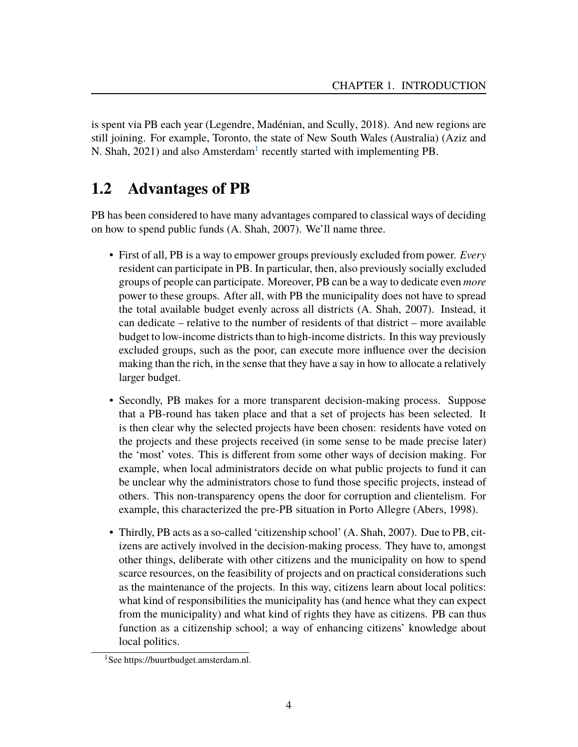is spent via PB each year (Legendre, Madénian, and Scully, [2018\)](#page-81-2). And new regions are still joining. For example, Toronto, the state of New South Wales (Australia) (Aziz and N. Shah,  $2021$  $2021$ ) and also Amsterdam<sup>1</sup> recently started with implementing PB.

## <span id="page-5-0"></span>**1.2 Advantages of PB**

PB has been considered to have many advantages compared to classical ways of deciding on how to spend public funds (A. Shah, [2007\)](#page-81-1). We'll name three.

- First of all, PB is a way to empower groups previously excluded from power. *Every* resident can participate in PB. In particular, then, also previously socially excluded groups of people can participate. Moreover, PB can be a way to dedicate even *more* power to these groups. After all, with PB the municipality does not have to spread the total available budget evenly across all districts (A. Shah, [2007\)](#page-81-1). Instead, it can dedicate – relative to the number of residents of that district – more available budget to low-income districts than to high-income districts. In this way previously excluded groups, such as the poor, can execute more influence over the decision making than the rich, in the sense that they have a say in how to allocate a relatively larger budget.
- Secondly, PB makes for a more transparent decision-making process. Suppose that a PB-round has taken place and that a set of projects has been selected. It is then clear why the selected projects have been chosen: residents have voted on the projects and these projects received (in some sense to be made precise later) the 'most' votes. This is different from some other ways of decision making. For example, when local administrators decide on what public projects to fund it can be unclear why the administrators chose to fund those specific projects, instead of others. This non-transparency opens the door for corruption and clientelism. For example, this characterized the pre-PB situation in Porto Allegre (Abers, [1998\)](#page-79-2).
- Thirdly, PB acts as a so-called 'citizenship school' (A. Shah, [2007\)](#page-81-1). Due to PB, citizens are actively involved in the decision-making process. They have to, amongst other things, deliberate with other citizens and the municipality on how to spend scarce resources, on the feasibility of projects and on practical considerations such as the maintenance of the projects. In this way, citizens learn about local politics: what kind of responsibilities the municipality has (and hence what they can expect from the municipality) and what kind of rights they have as citizens. PB can thus function as a citizenship school; a way of enhancing citizens' knowledge about local politics.

<span id="page-5-1"></span><sup>1</sup>See https://buurtbudget.amsterdam.nl.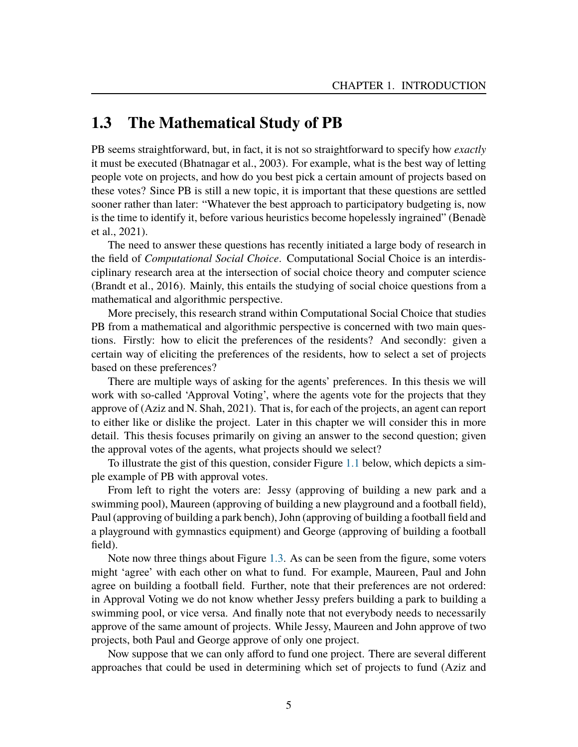### <span id="page-6-0"></span>**1.3 The Mathematical Study of PB**

PB seems straightforward, but, in fact, it is not so straightforward to specify how *exactly* it must be executed (Bhatnagar et al., [2003\)](#page-79-3). For example, what is the best way of letting people vote on projects, and how do you best pick a certain amount of projects based on these votes? Since PB is still a new topic, it is important that these questions are settled sooner rather than later: "Whatever the best approach to participatory budgeting is, now is the time to identify it, before various heuristics become hopelessly ingrained" (Benadè et al., [2021\)](#page-79-4).

The need to answer these questions has recently initiated a large body of research in the field of *Computational Social Choice*. Computational Social Choice is an interdisciplinary research area at the intersection of social choice theory and computer science (Brandt et al., [2016\)](#page-79-5). Mainly, this entails the studying of social choice questions from a mathematical and algorithmic perspective.

More precisely, this research strand within Computational Social Choice that studies PB from a mathematical and algorithmic perspective is concerned with two main questions. Firstly: how to elicit the preferences of the residents? And secondly: given a certain way of eliciting the preferences of the residents, how to select a set of projects based on these preferences?

There are multiple ways of asking for the agents' preferences. In this thesis we will work with so-called 'Approval Voting', where the agents vote for the projects that they approve of (Aziz and N. Shah, [2021\)](#page-79-0). That is, for each of the projects, an agent can report to either like or dislike the project. Later in this chapter we will consider this in more detail. This thesis focuses primarily on giving an answer to the second question; given the approval votes of the agents, what projects should we select?

To illustrate the gist of this question, consider Figure [1.1](#page-7-0) below, which depicts a simple example of PB with approval votes.

From left to right the voters are: Jessy (approving of building a new park and a swimming pool), Maureen (approving of building a new playground and a football field), Paul (approving of building a park bench), John (approving of building a football field and a playground with gymnastics equipment) and George (approving of building a football field).

Note now three things about Figure [1.3.](#page-6-0) As can be seen from the figure, some voters might 'agree' with each other on what to fund. For example, Maureen, Paul and John agree on building a football field. Further, note that their preferences are not ordered: in Approval Voting we do not know whether Jessy prefers building a park to building a swimming pool, or vice versa. And finally note that not everybody needs to necessarily approve of the same amount of projects. While Jessy, Maureen and John approve of two projects, both Paul and George approve of only one project.

Now suppose that we can only afford to fund one project. There are several different approaches that could be used in determining which set of projects to fund (Aziz and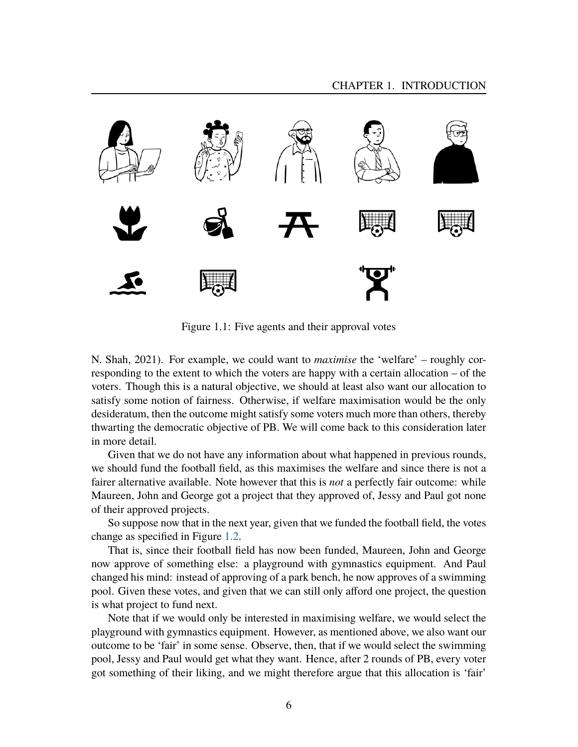

Figure 1.1: Five agents and their approval votes

<span id="page-7-0"></span>N. Shah, [2021\)](#page-79-0). For example, we could want to *maximise* the 'welfare' – roughly corresponding to the extent to which the voters are happy with a certain allocation – of the voters. Though this is a natural objective, we should at least also want our allocation to satisfy some notion of fairness. Otherwise, if welfare maximisation would be the only desideratum, then the outcome might satisfy some voters much more than others, thereby thwarting the democratic objective of PB. We will come back to this consideration later in more detail.

Given that we do not have any information about what happened in previous rounds, we should fund the football field, as this maximises the welfare and since there is not a fairer alternative available. Note however that this is *not* a perfectly fair outcome: while Maureen, John and George got a project that they approved of, Jessy and Paul got none of their approved projects.

So suppose now that in the next year, given that we funded the football field, the votes change as specified in Figure [1.2.](#page-8-0)

That is, since their football field has now been funded, Maureen, John and George now approve of something else: a playground with gymnastics equipment. And Paul changed his mind: instead of approving of a park bench, he now approves of a swimming pool. Given these votes, and given that we can still only afford one project, the question is what project to fund next.

Note that if we would only be interested in maximising welfare, we would select the playground with gymnastics equipment. However, as mentioned above, we also want our outcome to be 'fair' in some sense. Observe, then, that if we would select the swimming pool, Jessy and Paul would get what they want. Hence, after 2 rounds of PB, every voter got something of their liking, and we might therefore argue that this allocation is 'fair'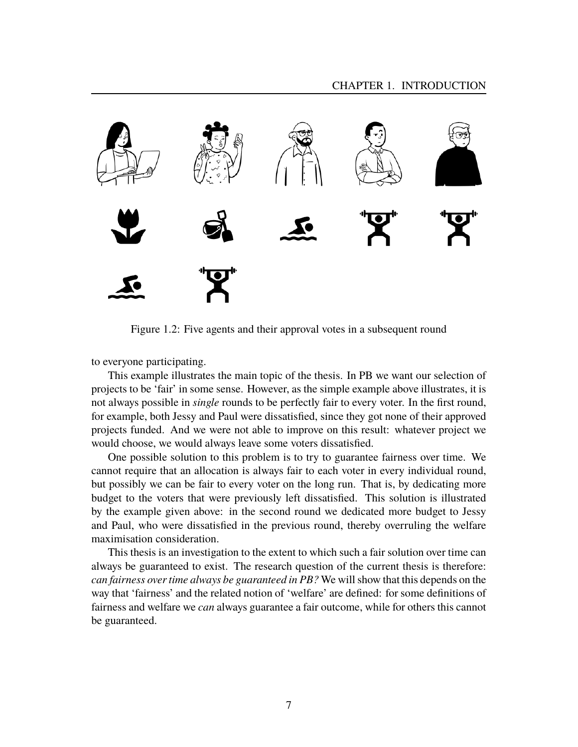

Figure 1.2: Five agents and their approval votes in a subsequent round

<span id="page-8-0"></span>to everyone participating.

This example illustrates the main topic of the thesis. In PB we want our selection of projects to be 'fair' in some sense. However, as the simple example above illustrates, it is not always possible in *single* rounds to be perfectly fair to every voter. In the first round, for example, both Jessy and Paul were dissatisfied, since they got none of their approved projects funded. And we were not able to improve on this result: whatever project we would choose, we would always leave some voters dissatisfied.

One possible solution to this problem is to try to guarantee fairness over time. We cannot require that an allocation is always fair to each voter in every individual round, but possibly we can be fair to every voter on the long run. That is, by dedicating more budget to the voters that were previously left dissatisfied. This solution is illustrated by the example given above: in the second round we dedicated more budget to Jessy and Paul, who were dissatisfied in the previous round, thereby overruling the welfare maximisation consideration.

This thesis is an investigation to the extent to which such a fair solution over time can always be guaranteed to exist. The research question of the current thesis is therefore: *can fairness over time always be guaranteed in PB?* We will show that this depends on the way that 'fairness' and the related notion of 'welfare' are defined: for some definitions of fairness and welfare we *can* always guarantee a fair outcome, while for others this cannot be guaranteed.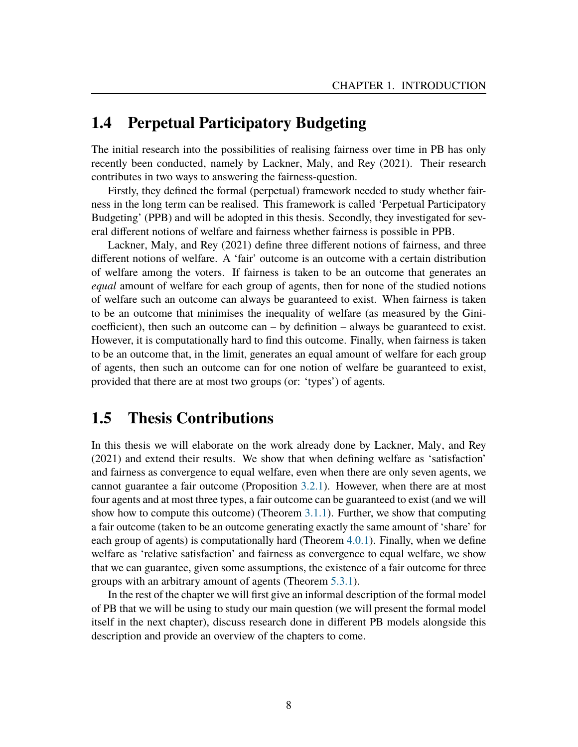### <span id="page-9-0"></span>**1.4 Perpetual Participatory Budgeting**

The initial research into the possibilities of realising fairness over time in PB has only recently been conducted, namely by Lackner, Maly, and Rey [\(2021\)](#page-81-0). Their research contributes in two ways to answering the fairness-question.

Firstly, they defined the formal (perpetual) framework needed to study whether fairness in the long term can be realised. This framework is called 'Perpetual Participatory Budgeting' (PPB) and will be adopted in this thesis. Secondly, they investigated for several different notions of welfare and fairness whether fairness is possible in PPB.

Lackner, Maly, and Rey [\(2021\)](#page-81-0) define three different notions of fairness, and three different notions of welfare. A 'fair' outcome is an outcome with a certain distribution of welfare among the voters. If fairness is taken to be an outcome that generates an *equal* amount of welfare for each group of agents, then for none of the studied notions of welfare such an outcome can always be guaranteed to exist. When fairness is taken to be an outcome that minimises the inequality of welfare (as measured by the Ginicoefficient), then such an outcome  $can - by definition - always be guaranteed to exist.$ However, it is computationally hard to find this outcome. Finally, when fairness is taken to be an outcome that, in the limit, generates an equal amount of welfare for each group of agents, then such an outcome can for one notion of welfare be guaranteed to exist, provided that there are at most two groups (or: 'types') of agents.

### <span id="page-9-1"></span>**1.5 Thesis Contributions**

In this thesis we will elaborate on the work already done by Lackner, Maly, and Rey [\(2021\)](#page-81-0) and extend their results. We show that when defining welfare as 'satisfaction' and fairness as convergence to equal welfare, even when there are only seven agents, we cannot guarantee a fair outcome (Proposition [3.2.1\)](#page-54-1). However, when there are at most four agents and at most three types, a fair outcome can be guaranteed to exist (and we will show how to compute this outcome) (Theorem [3.1.1\)](#page-37-2). Further, we show that computing a fair outcome (taken to be an outcome generating exactly the same amount of 'share' for each group of agents) is computationally hard (Theorem [4.0.1\)](#page-59-1). Finally, when we define welfare as 'relative satisfaction' and fairness as convergence to equal welfare, we show that we can guarantee, given some assumptions, the existence of a fair outcome for three groups with an arbitrary amount of agents (Theorem [5.3.1\)](#page-65-1).

In the rest of the chapter we will first give an informal description of the formal model of PB that we will be using to study our main question (we will present the formal model itself in the next chapter), discuss research done in different PB models alongside this description and provide an overview of the chapters to come.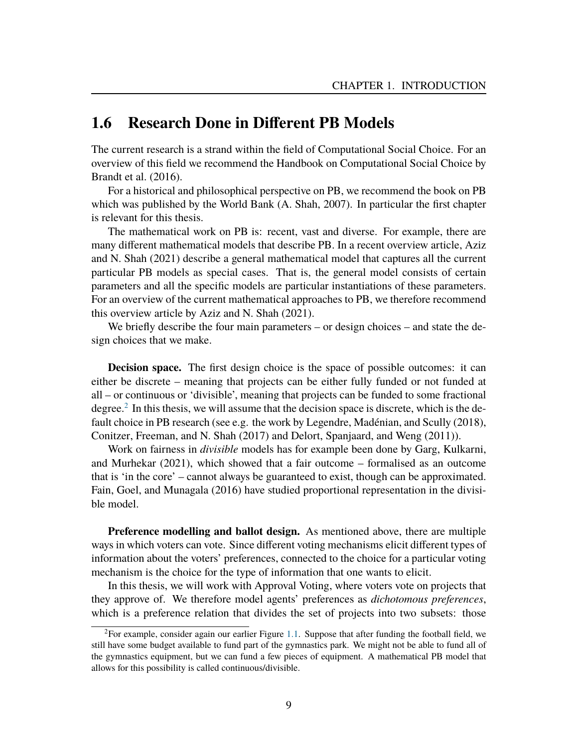### <span id="page-10-0"></span>**1.6 Research Done in Different PB Models**

The current research is a strand within the field of Computational Social Choice. For an overview of this field we recommend the Handbook on Computational Social Choice by Brandt et al. [\(2016\)](#page-79-5).

For a historical and philosophical perspective on PB, we recommend the book on PB which was published by the World Bank (A. Shah, [2007\)](#page-81-1). In particular the first chapter is relevant for this thesis.

The mathematical work on PB is: recent, vast and diverse. For example, there are many different mathematical models that describe PB. In a recent overview article, Aziz and N. Shah [\(2021\)](#page-79-0) describe a general mathematical model that captures all the current particular PB models as special cases. That is, the general model consists of certain parameters and all the specific models are particular instantiations of these parameters. For an overview of the current mathematical approaches to PB, we therefore recommend this overview article by Aziz and N. Shah [\(2021\)](#page-79-0).

We briefly describe the four main parameters – or design choices – and state the design choices that we make.

**Decision space.** The first design choice is the space of possible outcomes: it can either be discrete – meaning that projects can be either fully funded or not funded at all – or continuous or 'divisible', meaning that projects can be funded to some fractional degree.<sup>[2](#page-10-1)</sup> In this thesis, we will assume that the decision space is discrete, which is the default choice in PB research (see e.g. the work by Legendre, Madénian, and Scully  $(2018)$  $(2018)$ , Conitzer, Freeman, and N. Shah [\(2017\)](#page-80-0) and Delort, Spanjaard, and Weng [\(2011\)](#page-80-1)).

Work on fairness in *divisible* models has for example been done by Garg, Kulkarni, and Murhekar [\(2021\)](#page-80-2), which showed that a fair outcome – formalised as an outcome that is 'in the core' – cannot always be guaranteed to exist, though can be approximated. Fain, Goel, and Munagala [\(2016\)](#page-80-3) have studied proportional representation in the divisible model.

**Preference modelling and ballot design.** As mentioned above, there are multiple ways in which voters can vote. Since different voting mechanisms elicit different types of information about the voters' preferences, connected to the choice for a particular voting mechanism is the choice for the type of information that one wants to elicit.

In this thesis, we will work with Approval Voting, where voters vote on projects that they approve of. We therefore model agents' preferences as *dichotomous preferences*, which is a preference relation that divides the set of projects into two subsets: those

<span id="page-10-1"></span><sup>&</sup>lt;sup>2</sup>For example, consider again our earlier Figure [1.1.](#page-7-0) Suppose that after funding the football field, we still have some budget available to fund part of the gymnastics park. We might not be able to fund all of the gymnastics equipment, but we can fund a few pieces of equipment. A mathematical PB model that allows for this possibility is called continuous/divisible.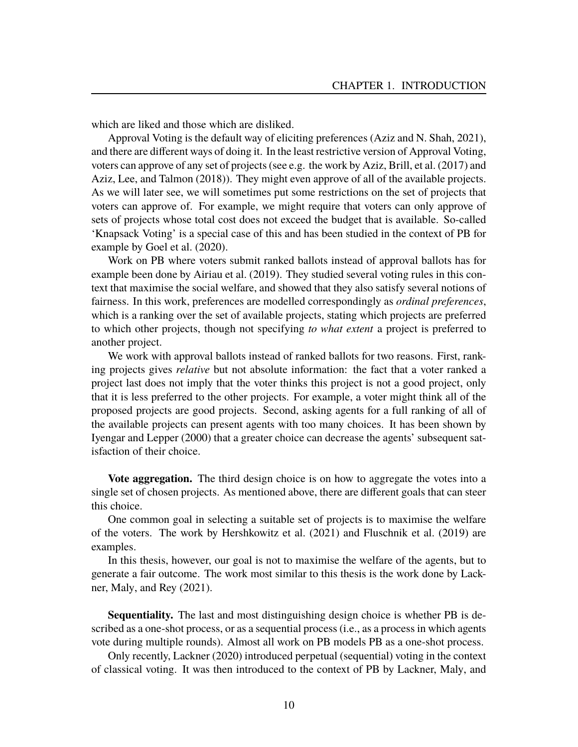which are liked and those which are disliked.

Approval Voting is the default way of eliciting preferences (Aziz and N. Shah, [2021\)](#page-79-0), and there are different ways of doing it. In the least restrictive version of Approval Voting, voters can approve of any set of projects (see e.g. the work by Aziz, Brill, et al. [\(2017\)](#page-79-6) and Aziz, Lee, and Talmon [\(2018\)](#page-79-7)). They might even approve of all of the available projects. As we will later see, we will sometimes put some restrictions on the set of projects that voters can approve of. For example, we might require that voters can only approve of sets of projects whose total cost does not exceed the budget that is available. So-called 'Knapsack Voting' is a special case of this and has been studied in the context of PB for example by Goel et al. [\(2020\)](#page-80-4).

Work on PB where voters submit ranked ballots instead of approval ballots has for example been done by Airiau et al. [\(2019\)](#page-79-8). They studied several voting rules in this context that maximise the social welfare, and showed that they also satisfy several notions of fairness. In this work, preferences are modelled correspondingly as *ordinal preferences*, which is a ranking over the set of available projects, stating which projects are preferred to which other projects, though not specifying *to what extent* a project is preferred to another project.

We work with approval ballots instead of ranked ballots for two reasons. First, ranking projects gives *relative* but not absolute information: the fact that a voter ranked a project last does not imply that the voter thinks this project is not a good project, only that it is less preferred to the other projects. For example, a voter might think all of the proposed projects are good projects. Second, asking agents for a full ranking of all of the available projects can present agents with too many choices. It has been shown by Iyengar and Lepper [\(2000\)](#page-80-5) that a greater choice can decrease the agents' subsequent satisfaction of their choice.

**Vote aggregation.** The third design choice is on how to aggregate the votes into a single set of chosen projects. As mentioned above, there are different goals that can steer this choice.

One common goal in selecting a suitable set of projects is to maximise the welfare of the voters. The work by Hershkowitz et al. [\(2021\)](#page-80-6) and Fluschnik et al. [\(2019\)](#page-80-7) are examples.

In this thesis, however, our goal is not to maximise the welfare of the agents, but to generate a fair outcome. The work most similar to this thesis is the work done by Lackner, Maly, and Rey [\(2021\)](#page-81-0).

**Sequentiality.** The last and most distinguishing design choice is whether PB is described as a one-shot process, or as a sequential process (i.e., as a process in which agents vote during multiple rounds). Almost all work on PB models PB as a one-shot process.

Only recently, Lackner [\(2020\)](#page-81-3) introduced perpetual (sequential) voting in the context of classical voting. It was then introduced to the context of PB by Lackner, Maly, and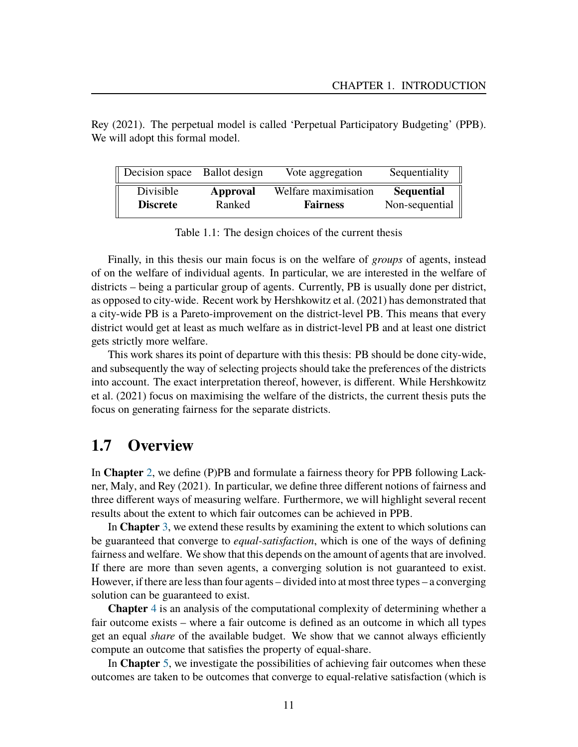| Rey (2021). The perpetual model is called 'Perpetual Participatory Budgeting' (PPB). |  |  |  |
|--------------------------------------------------------------------------------------|--|--|--|
| We will adopt this formal model.                                                     |  |  |  |

| Decision space Ballot design |          | Vote aggregation     | Sequentiality     |
|------------------------------|----------|----------------------|-------------------|
| Divisible                    | Approval | Welfare maximisation | <b>Sequential</b> |
| <b>Discrete</b>              | Ranked   | <b>Fairness</b>      | Non-sequential    |

Table 1.1: The design choices of the current thesis

Finally, in this thesis our main focus is on the welfare of *groups* of agents, instead of on the welfare of individual agents. In particular, we are interested in the welfare of districts – being a particular group of agents. Currently, PB is usually done per district, as opposed to city-wide. Recent work by Hershkowitz et al. [\(2021\)](#page-80-6) has demonstrated that a city-wide PB is a Pareto-improvement on the district-level PB. This means that every district would get at least as much welfare as in district-level PB and at least one district gets strictly more welfare.

This work shares its point of departure with this thesis: PB should be done city-wide, and subsequently the way of selecting projects should take the preferences of the districts into account. The exact interpretation thereof, however, is different. While Hershkowitz et al. [\(2021\)](#page-80-6) focus on maximising the welfare of the districts, the current thesis puts the focus on generating fairness for the separate districts.

#### <span id="page-12-0"></span>**1.7 Overview**

In **Chapter** [2,](#page-14-0) we define (P)PB and formulate a fairness theory for PPB following Lackner, Maly, and Rey [\(2021\)](#page-81-0). In particular, we define three different notions of fairness and three different ways of measuring welfare. Furthermore, we will highlight several recent results about the extent to which fair outcomes can be achieved in PPB.

In **Chapter** [3,](#page-37-0) we extend these results by examining the extent to which solutions can be guaranteed that converge to *equal-satisfaction*, which is one of the ways of defining fairness and welfare. We show that this depends on the amount of agents that are involved. If there are more than seven agents, a converging solution is not guaranteed to exist. However, if there are less than four agents – divided into at most three types – a converging solution can be guaranteed to exist.

**Chapter** [4](#page-59-0) is an analysis of the computational complexity of determining whether a fair outcome exists – where a fair outcome is defined as an outcome in which all types get an equal *share* of the available budget. We show that we cannot always efficiently compute an outcome that satisfies the property of equal-share.

In **Chapter** [5,](#page-62-0) we investigate the possibilities of achieving fair outcomes when these outcomes are taken to be outcomes that converge to equal-relative satisfaction (which is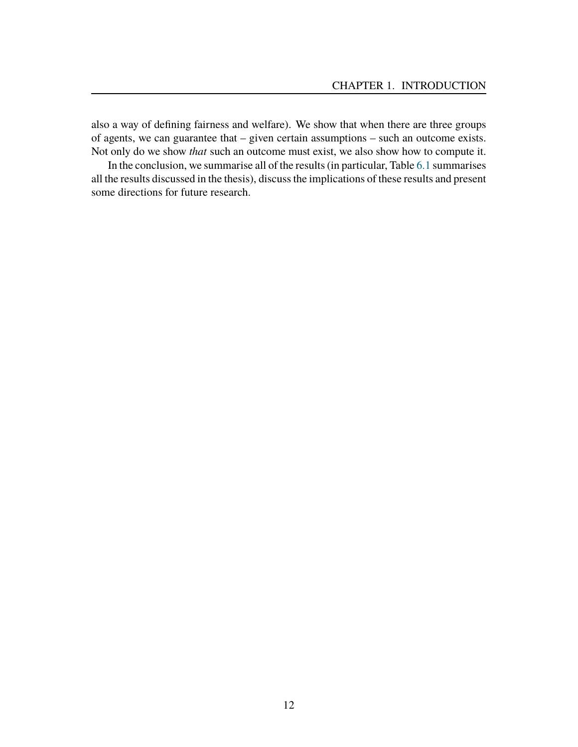also a way of defining fairness and welfare). We show that when there are three groups of agents, we can guarantee that – given certain assumptions – such an outcome exists. Not only do we show *that* such an outcome must exist, we also show how to compute it.

In the conclusion, we summarise all of the results (in particular, Table [6.1](#page-74-1) summarises all the results discussed in the thesis), discuss the implications of these results and present some directions for future research.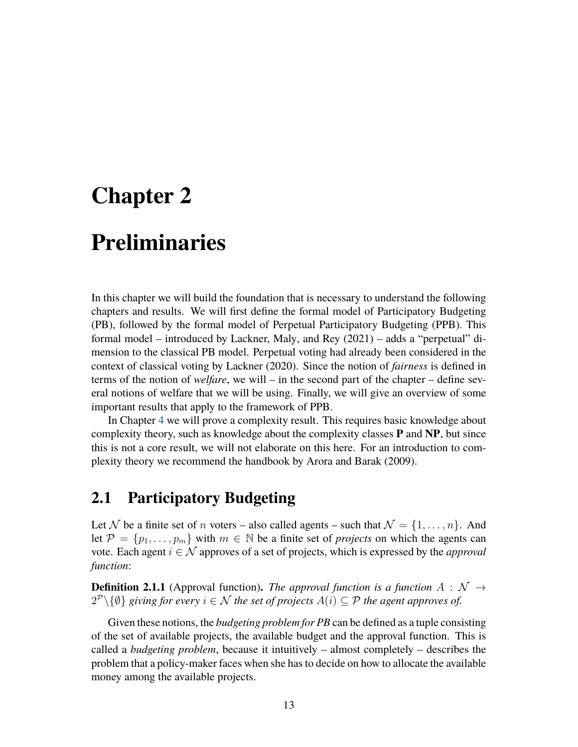# <span id="page-14-0"></span>**Chapter 2**

# **Preliminaries**

In this chapter we will build the foundation that is necessary to understand the following chapters and results. We will first define the formal model of Participatory Budgeting (PB), followed by the formal model of Perpetual Participatory Budgeting (PPB). This formal model – introduced by Lackner, Maly, and Rey [\(2021\)](#page-81-0) – adds a "perpetual" dimension to the classical PB model. Perpetual voting had already been considered in the context of classical voting by Lackner [\(2020\)](#page-81-3). Since the notion of *fairness* is defined in terms of the notion of *welfare*, we will – in the second part of the chapter – define several notions of welfare that we will be using. Finally, we will give an overview of some important results that apply to the framework of PPB.

In Chapter [4](#page-59-0) we will prove a complexity result. This requires basic knowledge about complexity theory, such as knowledge about the complexity classes **P** and **NP**, but since this is not a core result, we will not elaborate on this here. For an introduction to complexity theory we recommend the handbook by Arora and Barak [\(2009\)](#page-79-9).

### <span id="page-14-1"></span>**2.1 Participatory Budgeting**

Let N be a finite set of n voters – also called agents – such that  $\mathcal{N} = \{1, \ldots, n\}$ . And let  $\mathcal{P} = \{p_1, \ldots, p_m\}$  with  $m \in \mathbb{N}$  be a finite set of *projects* on which the agents can vote. Each agent  $i \in \mathcal{N}$  approves of a set of projects, which is expressed by the *approval function*:

**Definition 2.1.1** (Approval function). *The approval function is a function*  $A : \mathcal{N} \rightarrow$  $2^{\mathcal{P}}\backslash\{\emptyset\}$  giving for every  $i \in \mathcal{N}$  the set of projects  $A(i) \subseteq \mathcal{P}$  the agent approves of.

Given these notions, the *budgeting problem for PB* can be defined as a tuple consisting of the set of available projects, the available budget and the approval function. This is called a *budgeting problem*, because it intuitively – almost completely – describes the problem that a policy-maker faces when she has to decide on how to allocate the available money among the available projects.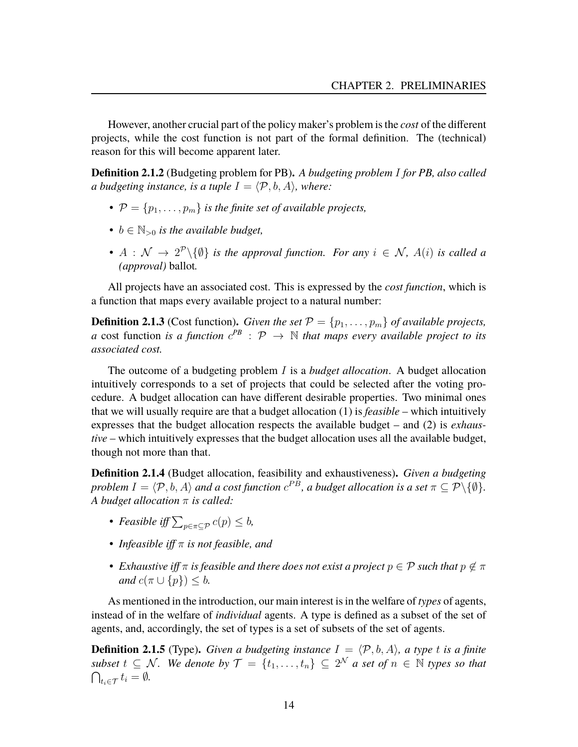However, another crucial part of the policy maker's problem is the *cost* of the different projects, while the cost function is not part of the formal definition. The (technical) reason for this will become apparent later.

**Definition 2.1.2** (Budgeting problem for PB)**.** *A budgeting problem* I *for PB, also called a budgeting instance, is a tuple*  $I = \langle P, b, A \rangle$ *, where:* 

- $P = \{p_1, \ldots, p_m\}$  *is the finite set of available projects,*
- $b \in \mathbb{N}_{\geq 0}$  *is the available budget,*
- $A: \mathcal{N} \to 2^{\mathcal{P}}\backslash \{\emptyset\}$  *is the approval function. For any*  $i \in \mathcal{N}$ ,  $A(i)$  *is called a (approval)* ballot*.*

All projects have an associated cost. This is expressed by the *cost function*, which is a function that maps every available project to a natural number:

**Definition 2.1.3** (Cost function). *Given the set*  $P = \{p_1, \ldots, p_m\}$  *of available projects, a* cost function *is a function*  $c^{PB}$  :  $\mathcal{P} \rightarrow \mathbb{N}$  *that maps every available project to its associated cost.*

The outcome of a budgeting problem I is a *budget allocation*. A budget allocation intuitively corresponds to a set of projects that could be selected after the voting procedure. A budget allocation can have different desirable properties. Two minimal ones that we will usually require are that a budget allocation (1) is *feasible* – which intuitively expresses that the budget allocation respects the available budget – and (2) is *exhaustive* – which intuitively expresses that the budget allocation uses all the available budget, though not more than that.

**Definition 2.1.4** (Budget allocation, feasibility and exhaustiveness)**.** *Given a budgeting problem*  $I = \langle \mathcal{P}, b, A \rangle$  *and a cost function*  $c^{PB}$ *, a budget allocation is a set*  $\pi \subseteq \mathcal{P} \setminus \{\emptyset\}$ *. A budget allocation* π *is called:*

- *Feasible iff*  $\sum_{p \in \pi \subseteq \mathcal{P}} c(p) \leq b$ ,
- *Infeasible iff* π *is not feasible, and*
- *Exhaustive iff*  $\pi$  *is feasible and there does not exist a project*  $p \in \mathcal{P}$  *such that*  $p \notin \pi$ *and*  $c(\pi \cup \{p\}) \leq b$ .

As mentioned in the introduction, our main interest is in the welfare of *types* of agents, instead of in the welfare of *individual* agents. A type is defined as a subset of the set of agents, and, accordingly, the set of types is a set of subsets of the set of agents.

**Definition 2.1.5** (Type). *Given a budgeting instance*  $I = \langle \mathcal{P}, b, A \rangle$ *, a type t is a finite subset*  $t \subseteq \mathcal{N}$ . We denote by  $\mathcal{T} = \{t_1, \ldots, t_n\} \subseteq 2^{\mathcal{N}}$  a set of  $n \in \mathbb{N}$  types so that  $\bigcap_{t_i \in \mathcal{T}} t_i = \emptyset.$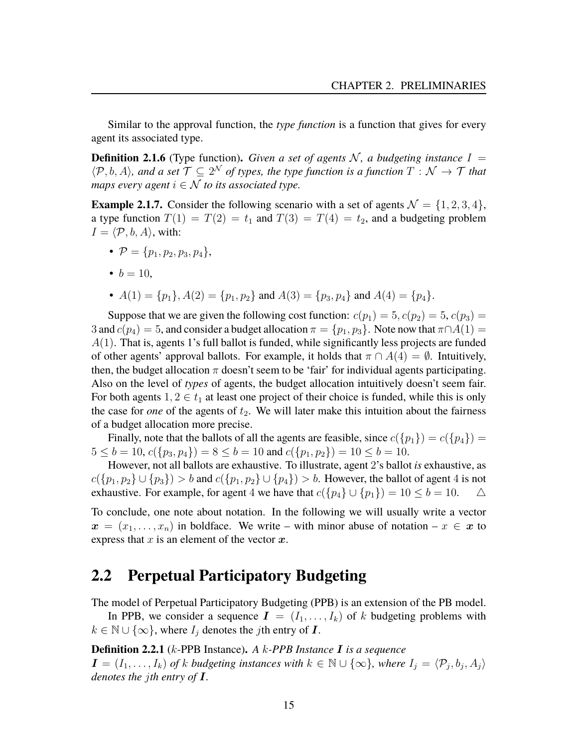Similar to the approval function, the *type function* is a function that gives for every agent its associated type.

**Definition 2.1.6** (Type function). *Given a set of agents* N, a budgeting instance  $I =$  $\langle \mathcal{P}, b, A \rangle$ , and a set  $\mathcal{T} \subseteq 2^{\mathcal{N}}$  of types, the type function is a function  $T : \mathcal{N} \to \mathcal{T}$  that *maps every agent*  $i \in \mathcal{N}$  *to its associated type.* 

<span id="page-16-1"></span>**Example 2.1.7.** Consider the following scenario with a set of agents  $\mathcal{N} = \{1, 2, 3, 4\}$ , a type function  $T(1) = T(2) = t_1$  and  $T(3) = T(4) = t_2$ , and a budgeting problem  $I = \langle \mathcal{P}, b, A \rangle$ , with:

- $\mathcal{P} = \{p_1, p_2, p_3, p_4\},\$
- $b = 10$ .
- $A(1) = \{p_1\}, A(2) = \{p_1, p_2\}$  and  $A(3) = \{p_3, p_4\}$  and  $A(4) = \{p_4\}.$

Suppose that we are given the following cost function:  $c(p_1) = 5, c(p_2) = 5, c(p_3) = 5$ 3 and  $c(p_4) = 5$ , and consider a budget allocation  $\pi = \{p_1, p_3\}$ . Note now that  $\pi \cap A(1) =$  $A(1)$ . That is, agents 1's full ballot is funded, while significantly less projects are funded of other agents' approval ballots. For example, it holds that  $\pi \cap A(4) = \emptyset$ . Intuitively, then, the budget allocation  $\pi$  doesn't seem to be 'fair' for individual agents participating. Also on the level of *types* of agents, the budget allocation intuitively doesn't seem fair. For both agents  $1, 2 \in t_1$  at least one project of their choice is funded, while this is only the case for *one* of the agents of  $t_2$ . We will later make this intuition about the fairness of a budget allocation more precise.

Finally, note that the ballots of all the agents are feasible, since  $c({p_1}) = c({p_4}) = c$  $5 \le b = 10, c({p_3, p_4}) = 8 \le b = 10$  and  $c({p_1, p_2}) = 10 \le b = 10$ .

However, not all ballots are exhaustive. To illustrate, agent 2's ballot *is* exhaustive, as  $c({p_1, p_2} \cup {p_3}) > b$  and  $c({p_1, p_2} \cup {p_4}) > b$ . However, the ballot of agent 4 is not exhaustive. For example, for agent 4 we have that  $c({p_4} \cup {p_1}) = 10 \le b = 10$ .

To conclude, one note about notation. In the following we will usually write a vector  $x = (x_1, \ldots, x_n)$  in boldface. We write – with minor abuse of notation –  $x \in \mathbf{x}$  to express that  $x$  is an element of the vector  $x$ .

#### <span id="page-16-0"></span>**2.2 Perpetual Participatory Budgeting**

The model of Perpetual Participatory Budgeting (PPB) is an extension of the PB model.

In PPB, we consider a sequence  $I = (I_1, \ldots, I_k)$  of k budgeting problems with  $k \in \mathbb{N} \cup \{\infty\}$ , where  $I_j$  denotes the jth entry of **I**.

**Definition 2.2.1** (k-PPB Instance)**.** *A* k*-PPB Instance* I *is a sequence*  $\boldsymbol{I} = (I_1, \ldots, I_k)$  of k budgeting instances with  $k \in \mathbb{N} \cup \{\infty\}$ , where  $I_j = \langle \mathcal{P}_j, b_j, A_j \rangle$ *denotes the* j*th entry of* I*.*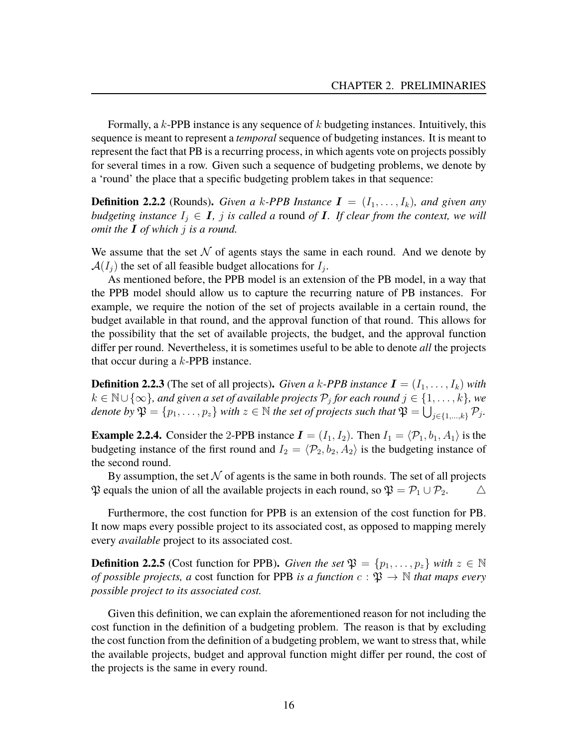Formally, a  $k$ -PPB instance is any sequence of  $k$  budgeting instances. Intuitively, this sequence is meant to represent a *temporal* sequence of budgeting instances. It is meant to represent the fact that PB is a recurring process, in which agents vote on projects possibly for several times in a row. Given such a sequence of budgeting problems, we denote by a 'round' the place that a specific budgeting problem takes in that sequence:

**Definition 2.2.2** (Rounds). *Given a k-PPB Instance*  $I = (I_1, \ldots, I_k)$ *, and given any budgeting instance*  $I_j \in I$ , *j is called a round of I. If clear from the context, we will omit the* I *of which* j *is a round.*

We assume that the set  $N$  of agents stays the same in each round. And we denote by  $\mathcal{A}(I_j)$  the set of all feasible budget allocations for  $I_j$ .

As mentioned before, the PPB model is an extension of the PB model, in a way that the PPB model should allow us to capture the recurring nature of PB instances. For example, we require the notion of the set of projects available in a certain round, the budget available in that round, and the approval function of that round. This allows for the possibility that the set of available projects, the budget, and the approval function differ per round. Nevertheless, it is sometimes useful to be able to denote *all* the projects that occur during a k-PPB instance.

**Definition 2.2.3** (The set of all projects). *Given a k-PPB instance*  $I = (I_1, \ldots, I_k)$  *with*  $k \in \mathbb{N} \cup \{\infty\}$ , and given a set of available projects  $\mathcal{P}_j$  for each round  $j \in \{1, \dots, k\}$ , we denote by  $\mathfrak{P} = \{p_1, \ldots, p_z\}$  with  $z \in \mathbb{N}$  the set of projects such that  $\mathfrak{P} = \bigcup_{j \in \{1, \ldots, k\}} \mathcal{P}_j$ .

**Example 2.2.4.** Consider the 2-PPB instance  $I = (I_1, I_2)$ . Then  $I_1 = \langle \mathcal{P}_1, b_1, A_1 \rangle$  is the budgeting instance of the first round and  $I_2 = \langle \mathcal{P}_2, b_2, A_2 \rangle$  is the budgeting instance of the second round.

By assumption, the set  $N$  of agents is the same in both rounds. The set of all projects  $\mathfrak P$  equals the union of all the available projects in each round, so  $\mathfrak P = \mathcal P_1 \cup \mathcal P_2$ .

Furthermore, the cost function for PPB is an extension of the cost function for PB. It now maps every possible project to its associated cost, as opposed to mapping merely every *available* project to its associated cost.

**Definition 2.2.5** (Cost function for PPB). *Given the set*  $\mathfrak{P} = \{p_1, \ldots, p_z\}$  *with*  $z \in \mathbb{N}$ *of possible projects, a* cost function for PPB *is a function*  $c : \mathfrak{P} \to \mathbb{N}$  *that maps every possible project to its associated cost.*

Given this definition, we can explain the aforementioned reason for not including the cost function in the definition of a budgeting problem. The reason is that by excluding the cost function from the definition of a budgeting problem, we want to stress that, while the available projects, budget and approval function might differ per round, the cost of the projects is the same in every round.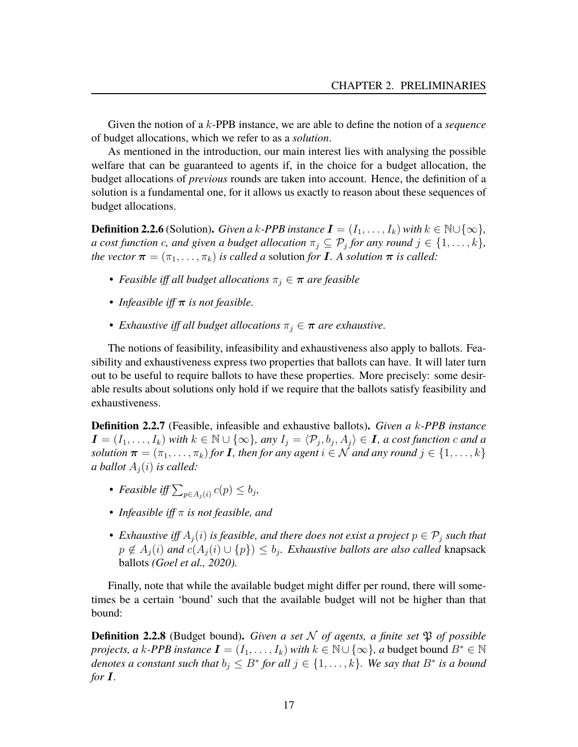Given the notion of a k-PPB instance, we are able to define the notion of a *sequence* of budget allocations, which we refer to as a *solution*.

As mentioned in the introduction, our main interest lies with analysing the possible welfare that can be guaranteed to agents if, in the choice for a budget allocation, the budget allocations of *previous* rounds are taken into account. Hence, the definition of a solution is a fundamental one, for it allows us exactly to reason about these sequences of budget allocations.

**Definition 2.2.6** (Solution). *Given a k-PPB instance*  $I = (I_1, \ldots, I_k)$  *with*  $k \in \mathbb{N} \cup \{\infty\}$ *, a cost function c, and given a budget allocation*  $\pi_j \subseteq \mathcal{P}_j$  *for any round*  $j \in \{1, \ldots, k\}$ *, the vector*  $\boldsymbol{\pi} = (\pi_1, \dots, \pi_k)$  *is called a solution for* **I**. A *solution*  $\boldsymbol{\pi}$  *is called:* 

- *Feasible iff all budget allocations*  $\pi_i \in \pi$  *are feasible*
- *Infeasible iff* π *is not feasible.*
- *Exhaustive iff all budget allocations*  $\pi_j \in \pi$  *are exhaustive.*

The notions of feasibility, infeasibility and exhaustiveness also apply to ballots. Feasibility and exhaustiveness express two properties that ballots can have. It will later turn out to be useful to require ballots to have these properties. More precisely: some desirable results about solutions only hold if we require that the ballots satisfy feasibility and exhaustiveness.

**Definition 2.2.7** (Feasible, infeasible and exhaustive ballots)**.** *Given a* k*-PPB instance*  $\mathbf{I} = (I_1, \ldots, I_k)$  *with*  $k \in \mathbb{N} \cup \{\infty\}$ , any  $I_j = \langle \mathcal{P}_j, b_j, A_j \rangle \in \mathbf{I}$ , a cost function c and a *solution*  $\boldsymbol{\pi} = (\pi_1, \dots, \pi_k)$  *for* **I**, then for any agent  $i \in \mathcal{N}$  and any round  $j \in \{1, \dots, k\}$ *a ballot*  $A_i(i)$  *is called:* 

- *Feasible iff*  $\sum_{p \in A_j(i)} c(p) \le b_j$ ,
- *Infeasible iff* π *is not feasible, and*
- *Exhaustive iff*  $A_j(i)$  *is feasible, and there does not exist a project*  $p \in \mathcal{P}_j$  *such that*  $p \notin A_j(i)$  and  $c(A_j(i) \cup \{p\}) \leq b_j$ . Exhaustive ballots are also called knapsack ballots *(Goel et al., [2020\)](#page-80-4).*

Finally, note that while the available budget might differ per round, there will sometimes be a certain 'bound' such that the available budget will not be higher than that bound:

**Definition 2.2.8** (Budget bound). *Given a set* N *of agents, a finite set*  $\mathfrak{P}$  *of possible projects, a* k-*PPB instance*  $\mathbf{I} = (I_1, \ldots, I_k)$  *with*  $k \in \mathbb{N} \cup \{\infty\}$ , *a* budget bound  $B^* \in \mathbb{N}$ *denotes a constant such that*  $b_j \leq B^*$  *for all*  $j \in \{1, \ldots, k\}$ *. We say that*  $B^*$  *is a bound for* I*.*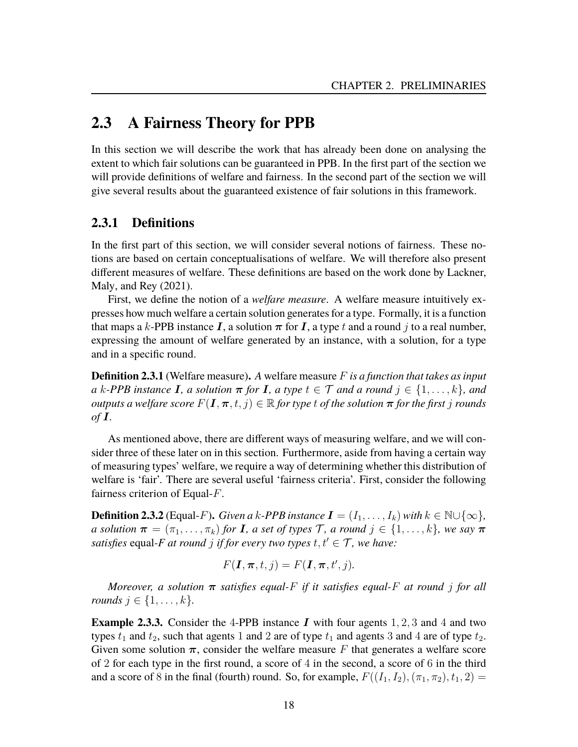### <span id="page-19-0"></span>**2.3 A Fairness Theory for PPB**

In this section we will describe the work that has already been done on analysing the extent to which fair solutions can be guaranteed in PPB. In the first part of the section we will provide definitions of welfare and fairness. In the second part of the section we will give several results about the guaranteed existence of fair solutions in this framework.

#### **2.3.1 Definitions**

In the first part of this section, we will consider several notions of fairness. These notions are based on certain conceptualisations of welfare. We will therefore also present different measures of welfare. These definitions are based on the work done by Lackner, Maly, and Rey [\(2021\)](#page-81-0).

First, we define the notion of a *welfare measure*. A welfare measure intuitively expresses how much welfare a certain solution generates for a type. Formally, it is a function that maps a k-PPB instance I, a solution  $\pi$  for I, a type t and a round j to a real number, expressing the amount of welfare generated by an instance, with a solution, for a type and in a specific round.

**Definition 2.3.1** (Welfare measure)**.** *A* welfare measure F *is a function that takes as input*  $a \, k$ -PPB instance **I**, a solution  $\pi$  for **I**, a type  $t \in \mathcal{T}$  and a round  $j \in \{1, \ldots, k\}$ , and *outputs a welfare score*  $F(I, \pi, t, j) \in \mathbb{R}$  *for type t of the solution*  $\pi$  *for the first j rounds of* I*.*

As mentioned above, there are different ways of measuring welfare, and we will consider three of these later on in this section. Furthermore, aside from having a certain way of measuring types' welfare, we require a way of determining whether this distribution of welfare is 'fair'. There are several useful 'fairness criteria'. First, consider the following fairness criterion of Equal-F.

**Definition 2.3.2** (Equal-F). *Given a k-PPB instance*  $I = (I_1, \ldots, I_k)$  *with*  $k \in \mathbb{N} \cup \{\infty\}$ *, a solution*  $\boldsymbol{\pi} = (\pi_1, \ldots, \pi_k)$  *for* **I***, a set of types* T*, a round*  $j \in \{1, \ldots, k\}$ *, we say*  $\boldsymbol{\pi}$ *satisfies* equal-F at round *j* if for every two types  $t, t' \in \mathcal{T}$ , we have:

$$
F(\mathbf{I}, \boldsymbol{\pi}, t, j) = F(\mathbf{I}, \boldsymbol{\pi}, t', j).
$$

*Moreover, a solution* π *satisfies equal-*F *if it satisfies equal-*F *at round* j *for all rounds*  $j \in \{1, ..., k\}$ .

**Example 2.3.3.** Consider the 4-PPB instance  $I$  with four agents 1, 2, 3 and 4 and two types  $t_1$  and  $t_2$ , such that agents 1 and 2 are of type  $t_1$  and agents 3 and 4 are of type  $t_2$ . Given some solution  $\pi$ , consider the welfare measure F that generates a welfare score of 2 for each type in the first round, a score of 4 in the second, a score of 6 in the third and a score of 8 in the final (fourth) round. So, for example,  $F((I_1, I_2),(\pi_1, \pi_2), t_1, 2)$  =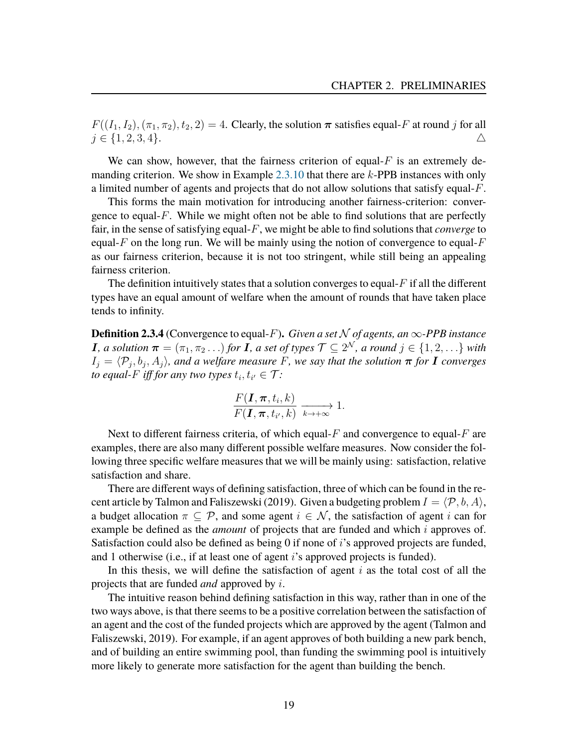$F((I_1, I_2), (\pi_1, \pi_2), t_2, 2) = 4$ . Clearly, the solution  $\pi$  satisfies equal-F at round j for all  $j \in \{1, 2, 3, 4\}.$   $\triangle$ 

We can show, however, that the fairness criterion of equal- $F$  is an extremely demanding criterion. We show in Example [2.3.10](#page-26-0) that there are k-PPB instances with only a limited number of agents and projects that do not allow solutions that satisfy equal-F.

This forms the main motivation for introducing another fairness-criterion: convergence to equal- $F$ . While we might often not be able to find solutions that are perfectly fair, in the sense of satisfying equal-F, we might be able to find solutions that *converge* to equal-F on the long run. We will be mainly using the notion of convergence to equal- $F$ as our fairness criterion, because it is not too stringent, while still being an appealing fairness criterion.

The definition intuitively states that a solution converges to equal- $F$  if all the different types have an equal amount of welfare when the amount of rounds that have taken place tends to infinity.

**Definition 2.3.4** (Convergence to equal-F). *Given a set*  $N$  *of agents, an*  $\infty$ -PPB *instance* **I**, a solution  $\boldsymbol{\pi} = (\pi_1, \pi_2 \dots)$  for **I**, a set of types  $\mathcal{T} \subseteq 2^{\mathcal{N}}$ , a round  $j \in \{1, 2, \dots\}$  with  $I_j = \langle \mathcal{P}_j, b_j, A_j \rangle$ , and a welfare measure F, we say that the solution  $\pi$  for **I** converges *to equal-F iff for any two types*  $t_i, t_{i'} \in \mathcal{T}$ :

$$
\frac{F(\mathbf{I}, \boldsymbol{\pi}, t_i, k)}{F(\mathbf{I}, \boldsymbol{\pi}, t_{i'}, k)} \xrightarrow[k \to +\infty]{} 1.
$$

Next to different fairness criteria, of which equal- $F$  and convergence to equal- $F$  are examples, there are also many different possible welfare measures. Now consider the following three specific welfare measures that we will be mainly using: satisfaction, relative satisfaction and share.

There are different ways of defining satisfaction, three of which can be found in the re-cent article by Talmon and Faliszewski [\(2019\)](#page-81-4). Given a budgeting problem  $I = \langle \mathcal{P}, b, A \rangle$ , a budget allocation  $\pi \subset \mathcal{P}$ , and some agent  $i \in \mathcal{N}$ , the satisfaction of agent i can for example be defined as the *amount* of projects that are funded and which i approves of. Satisfaction could also be defined as being 0 if none of i's approved projects are funded, and 1 otherwise (i.e., if at least one of agent i's approved projects is funded).

In this thesis, we will define the satisfaction of agent  $i$  as the total cost of all the projects that are funded *and* approved by i.

The intuitive reason behind defining satisfaction in this way, rather than in one of the two ways above, is that there seems to be a positive correlation between the satisfaction of an agent and the cost of the funded projects which are approved by the agent (Talmon and Faliszewski, [2019\)](#page-81-4). For example, if an agent approves of both building a new park bench, and of building an entire swimming pool, than funding the swimming pool is intuitively more likely to generate more satisfaction for the agent than building the bench.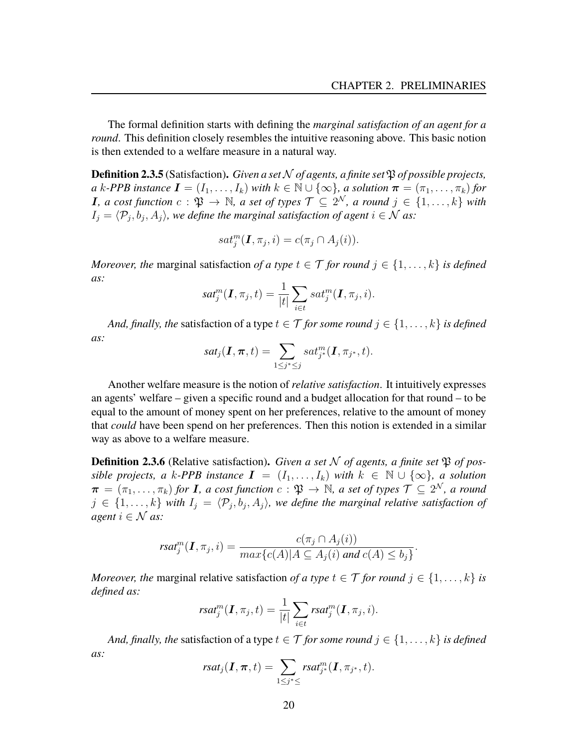The formal definition starts with defining the *marginal satisfaction of an agent for a round*. This definition closely resembles the intuitive reasoning above. This basic notion is then extended to a welfare measure in a natural way.

**Definition 2.3.5** (Satisfaction). *Given a set*  $N$  *of agents, a finite set*  $\mathfrak{P}$  *of possible projects, a* k-PPB instance  $I = (I_1, \ldots, I_k)$  *with*  $k \in \mathbb{N} \cup \{\infty\}$ *, a solution*  $\pi = (\pi_1, \ldots, \pi_k)$  for **I**, a cost function  $c : \mathfrak{P} \to \mathbb{N}$ , a set of types  $\mathcal{T} \subseteq 2^{\mathcal{N}}$ , a round  $j \in \{1, \ldots, k\}$  with  $I_j = \langle \mathcal{P}_j, b_j, A_j \rangle$ , we define the marginal satisfaction of agent  $i \in \mathcal{N}$  as:

$$
sat_j^m(\mathbf{I}, \pi_j, i) = c(\pi_j \cap A_j(i)).
$$

*Moreover, the* marginal satisfaction *of a type*  $t \in \mathcal{T}$  *for round*  $j \in \{1, \ldots, k\}$  *is defined as:*

$$
sat_j^m(\boldsymbol{I}, \pi_j, t) = \frac{1}{|t|} \sum_{i \in t} sat_j^m(\boldsymbol{I}, \pi_j, i).
$$

*And, finally, the satisfaction of a type*  $t \in \mathcal{T}$  *for some round*  $j \in \{1, \ldots, k\}$  *is defined as:*

$$
sat_j(\boldsymbol{I},\boldsymbol{\pi},t)=\sum_{1\leq j^*\leq j} sat^m_{j^*}(\boldsymbol{I},\pi_{j^*},t).
$$

Another welfare measure is the notion of *relative satisfaction*. It intuitively expresses an agents' welfare – given a specific round and a budget allocation for that round – to be equal to the amount of money spent on her preferences, relative to the amount of money that *could* have been spend on her preferences. Then this notion is extended in a similar way as above to a welfare measure.

**Definition 2.3.6** (Relative satisfaction). Given a set N of agents, a finite set  $\mathfrak{P}$  of pos*sible projects, a* k-PPB instance  $I = (I_1, \ldots, I_k)$  with  $k \in \mathbb{N} \cup \{\infty\}$ , a solution  $\bm{\pi}=(\pi_1,\ldots,\pi_k)$  for  $\bm{I}$ , a cost function  $c:\mathfrak{P}\to\mathbb{N}$ , a set of types  $\mathcal{T}\subseteq 2^\mathcal{N}$ , a round  $j \in \{1, \ldots, k\}$  with  $I_j = \langle \mathcal{P}_j, b_j, A_j \rangle$ , we define the marginal relative satisfaction of *agent*  $i \in \mathcal{N}$  *as:* 

$$
rsat_j^m(\mathbf{I}, \pi_j, i) = \frac{c(\pi_j \cap A_j(i))}{max\{c(A)|A \subseteq A_j(i) \text{ and } c(A) \leq b_j\}}.
$$

*Moreover, the* marginal relative satisfaction *of a type*  $t \in \mathcal{T}$  *for round*  $j \in \{1, \ldots, k\}$  *is defined as:*

$$
rsat_j^m(\boldsymbol{I}, \pi_j, t) = \frac{1}{|t|} \sum_{i \in t} rsat_j^m(\boldsymbol{I}, \pi_j, i).
$$

*And, finally, the satisfaction of a type*  $t \in \mathcal{T}$  *for some round*  $j \in \{1, \ldots, k\}$  *is defined as:*

$$
rsat_j(\boldsymbol{I},\boldsymbol{\pi},t)=\sum_{1\leq j^*\leq}rsat^m_{j^*}(\boldsymbol{I},\pi_{j^*},t).
$$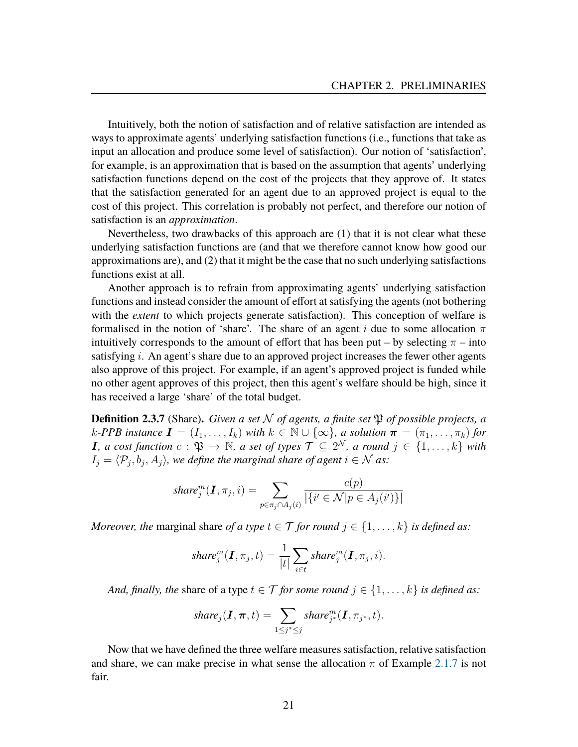Intuitively, both the notion of satisfaction and of relative satisfaction are intended as ways to approximate agents' underlying satisfaction functions (i.e., functions that take as input an allocation and produce some level of satisfaction). Our notion of 'satisfaction', for example, is an approximation that is based on the assumption that agents' underlying satisfaction functions depend on the cost of the projects that they approve of. It states that the satisfaction generated for an agent due to an approved project is equal to the cost of this project. This correlation is probably not perfect, and therefore our notion of satisfaction is an *approximation*.

Nevertheless, two drawbacks of this approach are (1) that it is not clear what these underlying satisfaction functions are (and that we therefore cannot know how good our approximations are), and (2) that it might be the case that no such underlying satisfactions functions exist at all.

Another approach is to refrain from approximating agents' underlying satisfaction functions and instead consider the amount of effort at satisfying the agents (not bothering with the *extent* to which projects generate satisfaction). This conception of welfare is formalised in the notion of 'share'. The share of an agent i due to some allocation  $\pi$ intuitively corresponds to the amount of effort that has been put – by selecting  $\pi$  – into satisfying  $i$ . An agent's share due to an approved project increases the fewer other agents also approve of this project. For example, if an agent's approved project is funded while no other agent approves of this project, then this agent's welfare should be high, since it has received a large 'share' of the total budget.

**Definition 2.3.7** (Share). *Given a set*  $N$  *of agents, a finite set*  $\mathfrak{P}$  *of possible projects, a*  $k$ -PPB instance  $I = (I_1, \ldots, I_k)$  with  $k \in \mathbb{N} \cup \{\infty\}$ , a solution  $\pi = (\pi_1, \ldots, \pi_k)$  for **I**, a cost function  $c : \mathfrak{P} \to \mathbb{N}$ , a set of types  $\mathcal{T} \subseteq 2^{\mathcal{N}}$ , a round  $j \in \{1, \ldots, k\}$  with  $I_j = \langle \mathcal{P}_j, b_j, A_j \rangle$ , we define the marginal share of agent  $i \in \mathcal{N}$  as:

$$
share_j^m(\boldsymbol{I}, \pi_j, i) = \sum_{p \in \pi_j \cap A_j(i)} \frac{c(p)}{|\{i' \in \mathcal{N} | p \in A_j(i')\}|}
$$

*Moreover, the* marginal share *of a type*  $t \in \mathcal{T}$  *for round*  $j \in \{1, ..., k\}$  *is defined as:* 

$$
share_j^m(\boldsymbol{I}, \pi_j, t) = \frac{1}{|t|} \sum_{i \in t} share_j^m(\boldsymbol{I}, \pi_j, i).
$$

*And, finally, the share of a type*  $t \in \mathcal{T}$  *for some round*  $j \in \{1, \ldots, k\}$  *is defined as:* 

$$
share_j(\boldsymbol{I}, \boldsymbol{\pi}, t) = \sum_{1 \leq j^* \leq j} share_{j^*}^m(\boldsymbol{I}, \pi_{j^*}, t).
$$

Now that we have defined the three welfare measures satisfaction, relative satisfaction and share, we can make precise in what sense the allocation  $\pi$  of Example [2.1.7](#page-16-1) is not fair.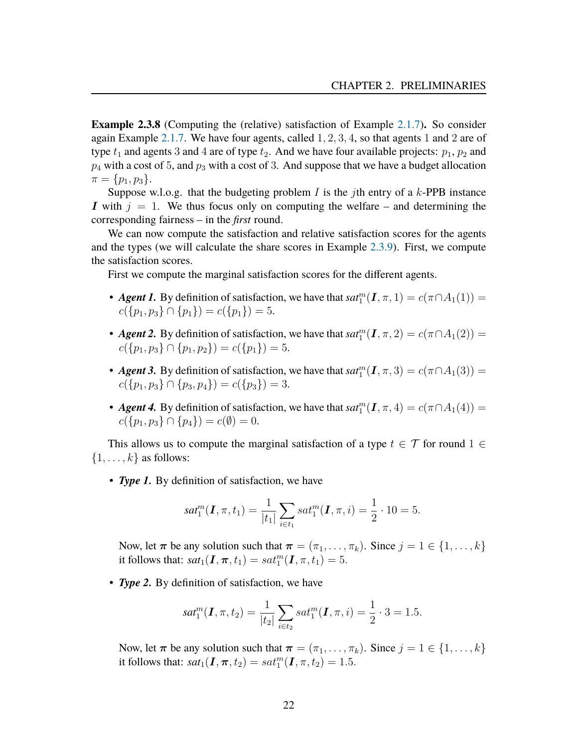<span id="page-23-0"></span>**Example 2.3.8** (Computing the (relative) satisfaction of Example [2.1.7\)](#page-16-1)**.** So consider again Example [2.1.7.](#page-16-1) We have four agents, called 1, 2, 3, 4, so that agents 1 and 2 are of type  $t_1$  and agents 3 and 4 are of type  $t_2$ . And we have four available projects:  $p_1$ ,  $p_2$  and  $p_4$  with a cost of 5, and  $p_3$  with a cost of 3. And suppose that we have a budget allocation  $\pi = \{p_1, p_3\}.$ 

Suppose w.l.o.g. that the budgeting problem I is the jth entry of a  $k$ -PPB instance I with  $j = 1$ . We thus focus only on computing the welfare – and determining the corresponding fairness – in the *first* round.

We can now compute the satisfaction and relative satisfaction scores for the agents and the types (we will calculate the share scores in Example [2.3.9\)](#page-25-0). First, we compute the satisfaction scores.

First we compute the marginal satisfaction scores for the different agents.

- *Agent 1*. By definition of satisfaction, we have that  $sat_1^m(I,\pi,1) = c(\pi \cap A_1(1)) =$  $c({p_1, p_3} \cap {p_1}) = c({p_1}) = 5.$
- **Agent 2.** By definition of satisfaction, we have that  $sat_1^m(I,\pi,2) = c(\pi \cap A_1(2))$  =  $c({p_1, p_3} \cap {p_1, p_2}) = c({p_1}) = 5.$
- *Agent 3*. By definition of satisfaction, we have that  $sat_1^m(I,\pi,3) = c(\pi \cap A_1(3))$  =  $c({p_1, p_3} \cap {p_3, p_4}) = c({p_3}) = 3.$
- *Agent 4*. By definition of satisfaction, we have that  $sat_1^m(I,\pi,4) = c(\pi \cap A_1(4))$  =  $c({p_1, p_3} \cap {p_4}) = c(\emptyset) = 0.$

This allows us to compute the marginal satisfaction of a type  $t \in \mathcal{T}$  for round  $1 \in$  $\{1, \ldots, k\}$  as follows:

• *Type 1.* By definition of satisfaction, we have

$$
sat_1^m(\mathbf{I}, \pi, t_1) = \frac{1}{|t_1|} \sum_{i \in t_1} sat_1^m(\mathbf{I}, \pi, i) = \frac{1}{2} \cdot 10 = 5.
$$

Now, let  $\pi$  be any solution such that  $\pi = (\pi_1, \ldots, \pi_k)$ . Since  $j = 1 \in \{1, \ldots, k\}$ it follows that:  $sat_1(\mathbf{I}, \boldsymbol{\pi}, t_1) = sat_1^m(\mathbf{I}, \boldsymbol{\pi}, t_1) = 5.$ 

• *Type 2.* By definition of satisfaction, we have

$$
sat_1^m(\mathbf{I}, \pi, t_2) = \frac{1}{|t_2|} \sum_{i \in t_2} sat_1^m(\mathbf{I}, \pi, i) = \frac{1}{2} \cdot 3 = 1.5.
$$

Now, let  $\pi$  be any solution such that  $\pi = (\pi_1, \ldots, \pi_k)$ . Since  $j = 1 \in \{1, \ldots, k\}$ it follows that:  $sat_1(\textbf{I}, \pi, t_2) = sat_1^m(\textbf{I}, \pi, t_2) = 1.5$ .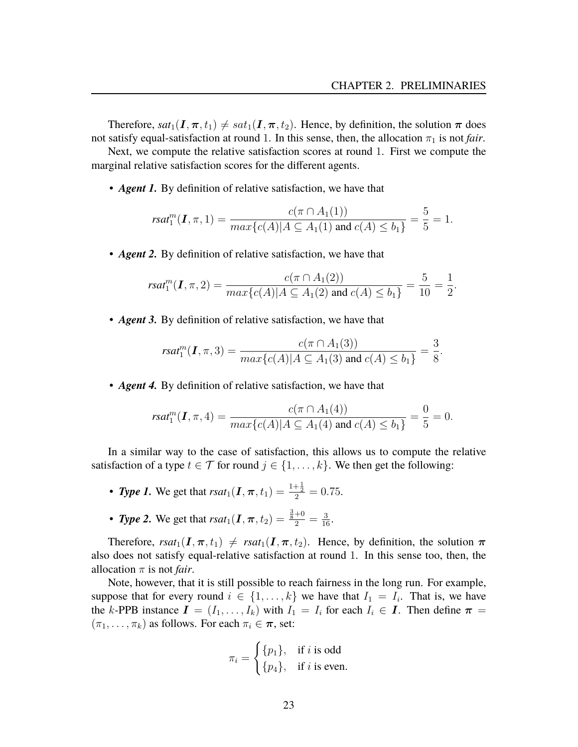Therefore,  $sat_1(I,\pi,t_1) \neq sat_1(I,\pi,t_2)$ . Hence, by definition, the solution  $\pi$  does not satisfy equal-satisfaction at round 1. In this sense, then, the allocation  $\pi_1$  is not *fair*.

Next, we compute the relative satisfaction scores at round 1. First we compute the marginal relative satisfaction scores for the different agents.

• *Agent 1.* By definition of relative satisfaction, we have that

$$
rsat_1^m(I, \pi, 1) = \frac{c(\pi \cap A_1(1))}{\max\{c(A)|A \subseteq A_1(1) \text{ and } c(A) \le b_1\}} = \frac{5}{5} = 1.
$$

• *Agent 2.* By definition of relative satisfaction, we have that

$$
rsat_1^m(\mathbf{I}, \pi, 2) = \frac{c(\pi \cap A_1(2))}{\max\{c(A)|A \subseteq A_1(2) \text{ and } c(A) \le b_1\}} = \frac{5}{10} = \frac{1}{2}.
$$

• *Agent 3.* By definition of relative satisfaction, we have that

$$
rsat_1^m(I, \pi, 3) = \frac{c(\pi \cap A_1(3))}{\max\{c(A)|A \subseteq A_1(3) \text{ and } c(A) \le b_1\}} = \frac{3}{8}.
$$

• *Agent 4.* By definition of relative satisfaction, we have that

$$
rsat_1^m(I,\pi,4)=\frac{c(\pi \cap A_1(4))}{max\{c(A)|A \subseteq A_1(4) \text{ and } c(A) \leq b_1\}}=\frac{0}{5}=0.
$$

In a similar way to the case of satisfaction, this allows us to compute the relative satisfaction of a type  $t \in \mathcal{T}$  for round  $j \in \{1, \ldots, k\}$ . We then get the following:

- **Type 1.** We get that  $rsat_1(I, \pi, t_1) = \frac{1+\frac{1}{2}}{2} = 0.75$ .
- *Type 2*. We get that  $rsat_1(I, \pi, t_2) = \frac{\frac{3}{8} + 0}{2} = \frac{3}{16}$ .

Therefore,  $rsat_1(I, \pi, t_1) \neq rsat_1(I, \pi, t_2)$ . Hence, by definition, the solution  $\pi$ also does not satisfy equal-relative satisfaction at round 1. In this sense too, then, the allocation  $\pi$  is not *fair*.

Note, however, that it is still possible to reach fairness in the long run. For example, suppose that for every round  $i \in \{1, \ldots, k\}$  we have that  $I_1 = I_i$ . That is, we have the k-PPB instance  $I = (I_1, \ldots, I_k)$  with  $I_1 = I_i$  for each  $I_i \in I$ . Then define  $\pi =$  $(\pi_1, \ldots, \pi_k)$  as follows. For each  $\pi_i \in \pi$ , set:

$$
\pi_i = \begin{cases} \{p_1\}, & \text{if } i \text{ is odd} \\ \{p_4\}, & \text{if } i \text{ is even.} \end{cases}
$$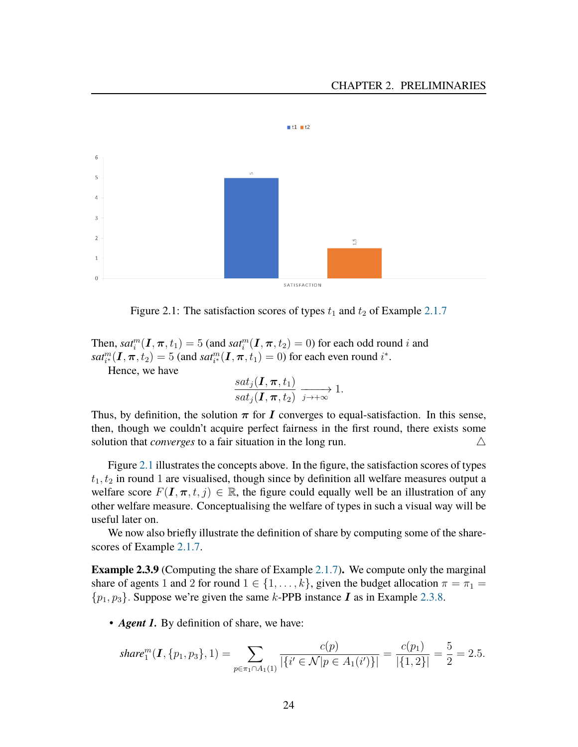

<span id="page-25-1"></span>Figure 2.1: The satisfaction scores of types  $t_1$  and  $t_2$  of Example [2.1.7](#page-16-1)

Then,  $sat_i^m(I,\pi,t_1)=5$  (and  $sat_i^m(I,\pi,t_2)=0$ ) for each odd round i and  $sat_{i}^{m}(\textbf{I}, \pi, t_2) = 5$  (and  $sat_{i}^{m}(\textbf{I}, \pi, t_1) = 0$ ) for each even round  $i^*$ .

Hence, we have

$$
\frac{sat_j(\mathbf{I}, \boldsymbol{\pi}, t_1)}{sat_j(\mathbf{I}, \boldsymbol{\pi}, t_2)} \xrightarrow{j \to +\infty} 1.
$$

Thus, by definition, the solution  $\pi$  for I converges to equal-satisfaction. In this sense, then, though we couldn't acquire perfect fairness in the first round, there exists some solution that *converges* to a fair situation in the long run.  $\triangle$ 

Figure [2.1](#page-25-1) illustrates the concepts above. In the figure, the satisfaction scores of types  $t_1, t_2$  in round 1 are visualised, though since by definition all welfare measures output a welfare score  $F(I, \pi, t, j) \in \mathbb{R}$ , the figure could equally well be an illustration of any other welfare measure. Conceptualising the welfare of types in such a visual way will be useful later on.

We now also briefly illustrate the definition of share by computing some of the sharescores of Example [2.1.7.](#page-16-1)

<span id="page-25-0"></span>**Example 2.3.9** (Computing the share of Example [2.1.7\)](#page-16-1)**.** We compute only the marginal share of agents 1 and 2 for round  $1 \in \{1, \ldots, k\}$ , given the budget allocation  $\pi = \pi_1 =$  $\{p_1, p_3\}$ . Suppose we're given the same k-PPB instance **I** as in Example [2.3.8.](#page-23-0)

• *Agent 1*. By definition of share, we have:

$$
share_1^m(\mathbf{I}, \{p_1, p_3\}, 1) = \sum_{p \in \pi_1 \cap A_1(1)} \frac{c(p)}{|\{i' \in \mathcal{N} | p \in A_1(i')\}|} = \frac{c(p_1)}{|\{1, 2\}|} = \frac{5}{2} = 2.5.
$$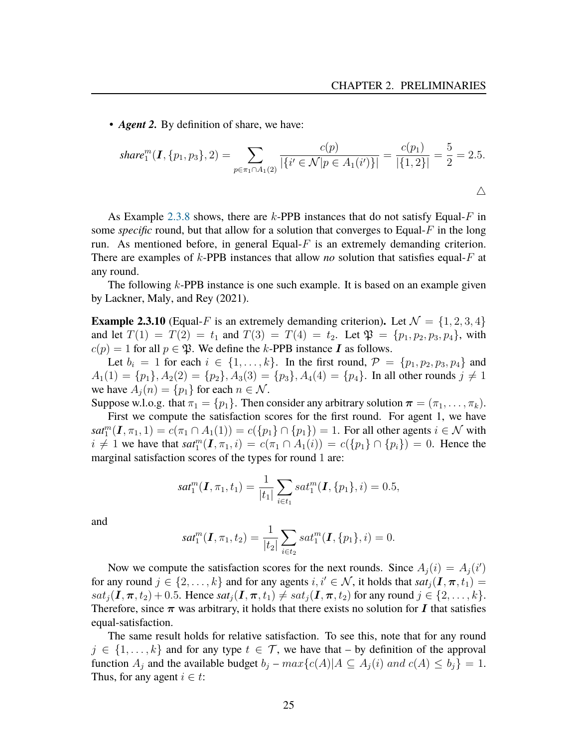• *Agent 2.* By definition of share, we have:

$$
share_1^m(\mathbf{I}, \{p_1, p_3\}, 2) = \sum_{p \in \pi_1 \cap A_1(2)} \frac{c(p)}{|\{i' \in \mathcal{N} | p \in A_1(i')\}|} = \frac{c(p_1)}{|\{1, 2\}|} = \frac{5}{2} = 2.5.
$$

As Example [2.3.8](#page-23-0) shows, there are  $k$ -PPB instances that do not satisfy Equal-F in some *specific* round, but that allow for a solution that converges to Equal-F in the long run. As mentioned before, in general Equal- $F$  is an extremely demanding criterion. There are examples of k-PPB instances that allow *no* solution that satisfies equal-F at any round.

The following k-PPB instance is one such example. It is based on an example given by Lackner, Maly, and Rey [\(2021\)](#page-81-0).

<span id="page-26-0"></span>**Example 2.3.10** (Equal-F is an extremely demanding criterion). Let  $\mathcal{N} = \{1, 2, 3, 4\}$ and let  $T(1) = T(2) = t_1$  and  $T(3) = T(4) = t_2$ . Let  $\mathfrak{P} = \{p_1, p_2, p_3, p_4\}$ , with  $c(p) = 1$  for all  $p \in \mathfrak{P}$ . We define the k-PPB instance **I** as follows.

Let  $b_i = 1$  for each  $i \in \{1, \ldots, k\}$ . In the first round,  $\mathcal{P} = \{p_1, p_2, p_3, p_4\}$  and  $A_1(1) = \{p_1\}, A_2(2) = \{p_2\}, A_3(3) = \{p_3\}, A_4(4) = \{p_4\}.$  In all other rounds  $j \neq 1$ we have  $A_i(n) = \{p_1\}$  for each  $n \in \mathcal{N}$ .

Suppose w.l.o.g. that  $\pi_1 = \{p_1\}$ . Then consider any arbitrary solution  $\boldsymbol{\pi} = (\pi_1, \dots, \pi_k)$ . First we compute the satisfaction scores for the first round. For agent 1, we have  $sat_1^m(I, \pi_1, 1) = c(\pi_1 \cap A_1(1)) = c(\{p_1\} \cap \{p_1\}) = 1$ . For all other agents  $i \in \mathcal{N}$  with  $i \neq 1$  we have that  $sat_1^m(I, \pi_1, i) = c(\pi_1 \cap A_1(i)) = c({p_1} \cap {p_i}) = 0$ . Hence the marginal satisfaction scores of the types for round 1 are:

$$
sat_1^m(\mathbf{I}, \pi_1, t_1) = \frac{1}{|t_1|} \sum_{i \in t_1} sat_1^m(\mathbf{I}, \{p_1\}, i) = 0.5,
$$

and

$$
sat_1^m(\mathbf{I}, \pi_1, t_2) = \frac{1}{|t_2|} \sum_{i \in t_2} sat_1^m(\mathbf{I}, \{p_1\}, i) = 0.
$$

Now we compute the satisfaction scores for the next rounds. Since  $A_j(i) = A_j(i')$ for any round  $j \in \{2, \ldots, k\}$  and for any agents  $i, i' \in \mathcal{N}$ , it holds that  $sat_i(I, \pi, t_1)$  $sat_j(I,\pi,t_2)+0.5$ . Hence  $sat_j(I,\pi,t_1)\ne sat_j(I,\pi,t_2)$  for any round  $j\in\{2,\ldots,k\}$ . Therefore, since  $\pi$  was arbitrary, it holds that there exists no solution for I that satisfies equal-satisfaction.

The same result holds for relative satisfaction. To see this, note that for any round  $j \in \{1, \ldots, k\}$  and for any type  $t \in \mathcal{T}$ , we have that – by definition of the approval function  $A_j$  and the available budget  $b_j - max\{c(A) | A \subseteq A_j(i) \text{ and } c(A) \leq b_j\} = 1$ . Thus, for any agent  $i \in t$ :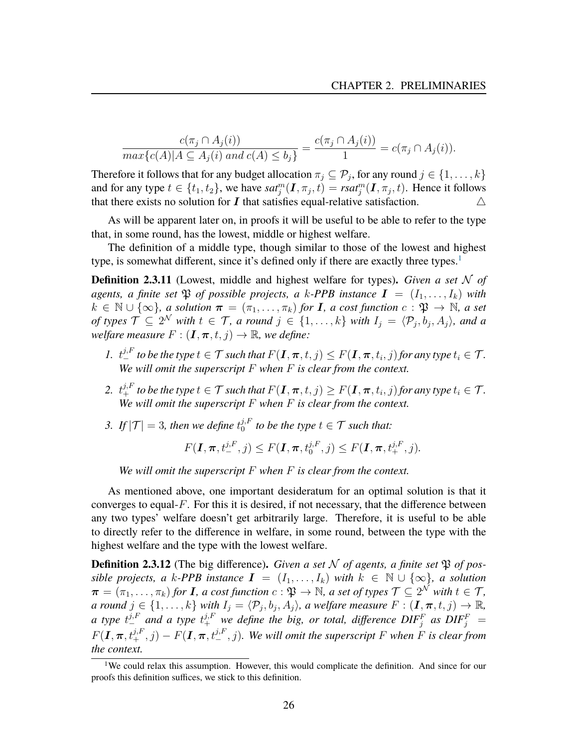$$
\frac{c(\pi_j \cap A_j(i))}{\max\{c(A) | A \subseteq A_j(i) \text{ and } c(A) \le b_j\}} = \frac{c(\pi_j \cap A_j(i))}{1} = c(\pi_j \cap A_j(i)).
$$

Therefore it follows that for any budget allocation  $\pi_j \subseteq \mathcal{P}_j$ , for any round  $j \in \{1, \ldots, k\}$ and for any type  $t \in \{t_1, t_2\}$ , we have  $sat_j^m(\mathbf{I}, \pi_j, t) = \text{rsat}_j^m(\mathbf{I}, \pi_j, t)$ . Hence it follows that there exists no solution for  $I$  that satisfies equal-relative satisfaction.  $\triangle$ 

As will be apparent later on, in proofs it will be useful to be able to refer to the type that, in some round, has the lowest, middle or highest welfare.

The definition of a middle type, though similar to those of the lowest and highest type, is somewhat different, since it's defined only if there are exactly three types.<sup>[1](#page-27-0)</sup>

**Definition 2.3.11** (Lowest, middle and highest welfare for types)**.** *Given a set* N *of agents, a finite set*  $\mathfrak{P}$  *of possible projects, a k-PPB instance*  $I = (I_1, \ldots, I_k)$  *with*  $k \in \mathbb{N} \cup \{\infty\}$ , a solution  $\pi = (\pi_1, \ldots, \pi_k)$  for **I**, a cost function  $c : \mathfrak{P} \to \mathbb{N}$ , a set *of types*  $\mathcal{T} \subseteq 2^{\mathcal{N}}$  *with*  $t \in \mathcal{T}$ *, a round*  $j \in \{1, \ldots, k\}$  *with*  $I_j = \langle \mathcal{P}_j, b_j, A_j \rangle$ *, and a welfare measure*  $F: (\mathbf{I}, \pi, t, j) \to \mathbb{R}$ *, we define:* 

- *1.*  $t_{-}^{j,F}$  to be the type  $t \in \mathcal{T}$  such that  $F(\mathbf{I}, \boldsymbol{\pi}, t, j) \leq F(\mathbf{I}, \boldsymbol{\pi}, t_i, j)$  for any type  $t_i \in \mathcal{T}$ . *We will omit the superscript* F *when* F *is clear from the context.*
- 2.  $t^{j,F}_+$  *to be the type*  $t \in \mathcal{T}$  *such that*  $F(\bm{I},\bm{\pi},t,j) \geq F(\bm{I},\bm{\pi},t_i,j)$  *for any type*  $t_i \in \mathcal{T}$ *. We will omit the superscript* F *when* F *is clear from the context.*
- 3. If  $|\mathcal{T}| = 3$ , then we define  $t_0^{j,F}$  $i_0^{j,F}$  to be the type  $t \in \mathcal{T}$  such that:

$$
F(\mathbf{I}, \boldsymbol{\pi}, t^{j, F}_{-}, j) \leq F(\mathbf{I}, \boldsymbol{\pi}, t^{j, F}_{0}, j) \leq F(\mathbf{I}, \boldsymbol{\pi}, t^{j, F}_{+}, j).
$$

*We will omit the superscript* F *when* F *is clear from the context.*

As mentioned above, one important desideratum for an optimal solution is that it converges to equal- $F$ . For this it is desired, if not necessary, that the difference between any two types' welfare doesn't get arbitrarily large. Therefore, it is useful to be able to directly refer to the difference in welfare, in some round, between the type with the highest welfare and the type with the lowest welfare.

**Definition 2.3.12** (The big difference). *Given a set*  $N$  *of agents, a finite set*  $\mathfrak{P}$  *of possible projects, a* k-PPB instance  $I = (I_1, \ldots, I_k)$  with  $k \in \mathbb{N} \cup \{\infty\}$ , a solution  $\bm{\pi} = (\pi_1, \ldots, \pi_k)$  for **I**, a cost function  $c : \mathfrak{P} \to \mathbb{N}$ , a set of types  $\mathcal{T} \subseteq 2^{\mathcal{N}}$  with  $t \in \mathcal{T}$ , *a round*  $j \in \{1, \ldots, k\}$  *with*  $I_j = \langle \mathcal{P}_j, b_j, A_j \rangle$ , *a welfare measure*  $F : (\mathbf{I}, \pi, t, j) \to \mathbb{R}$ , *a* type  $t^{j,F}_-$  and a type  $t^{j,F}_+$  we define the big, or total, difference  $\text{DIF}^F_j$  as  $\text{DIF}^F_j$  =  $F(\bm{I}, \bm{\pi}, t^{j, F}_+, j) - F(\bm{I}, \bm{\pi}, t^{j, F}_-, j)$ . We will omit the superscript F when F is clear from *the context.*

<span id="page-27-0"></span><sup>&</sup>lt;sup>1</sup>We could relax this assumption. However, this would complicate the definition. And since for our proofs this definition suffices, we stick to this definition.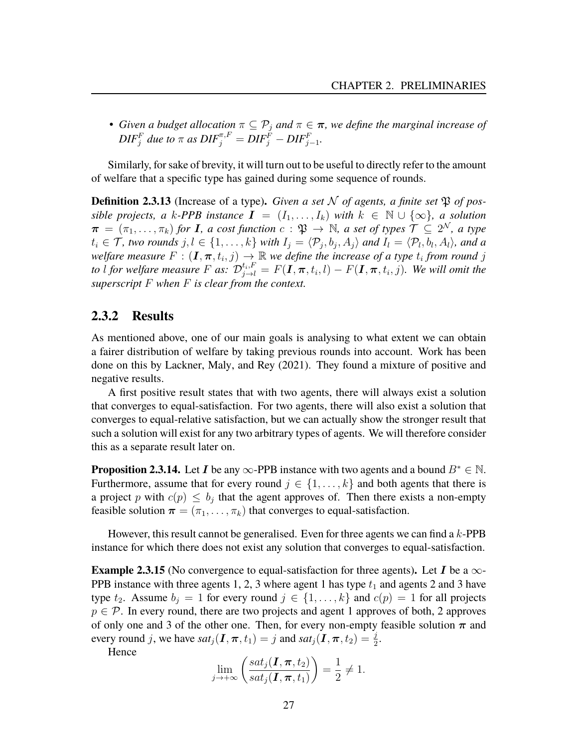• *Given a budget allocation*  $\pi \subseteq \mathcal{P}_i$  *and*  $\pi \in \pi$ *, we define the marginal increase of*  $\mathit{DIF}_{j}^{F}$  due to  $\pi$  as  $\mathit{DIF}_{j}^{\pi,F} = \mathit{DIF}_{j}^{F} - \mathit{DIF}_{j-1}^{F}$ .

Similarly, for sake of brevity, it will turn out to be useful to directly refer to the amount of welfare that a specific type has gained during some sequence of rounds.

**Definition 2.3.13** (Increase of a type). *Given a set* N *of agents, a finite set*  $\mathfrak{P}$  *of possible projects, a* k-PPB instance  $I = (I_1, \ldots, I_k)$  with  $k \in \mathbb{N} \cup \{\infty\}$ , a solution  $\pi$  =  $(\pi_1,\ldots,\pi_k)$  for **I**, a cost function  $c$  :  $\mathfrak{P} \to \mathbb{N}$ , a set of types  $\mathcal{T} \subseteq 2^{\mathcal{N}}$ , a type  $t_i \in \mathcal{T}$ *, two rounds*  $j, l \in \{1, \ldots, k\}$  with  $I_j = \langle \mathcal{P}_j, b_j, A_j \rangle$  and  $I_l = \langle \mathcal{P}_l, b_l, A_l \rangle$ *, and a* welfare measure  $F : (\mathbf{I}, \boldsymbol{\pi}, t_i, j) \to \mathbb{R}$  we define the increase of a type  $t_i$  from round  $j$ *to* l for welfare measure F as:  $\mathcal{D}_{j\to l}^{t_i, F} = F(\mathbf{I}, \boldsymbol{\pi}, t_i, l) - F(\mathbf{I}, \boldsymbol{\pi}, t_i, j)$ . We will omit the *superscript* F *when* F *is clear from the context.*

#### **2.3.2 Results**

As mentioned above, one of our main goals is analysing to what extent we can obtain a fairer distribution of welfare by taking previous rounds into account. Work has been done on this by Lackner, Maly, and Rey [\(2021\)](#page-81-0). They found a mixture of positive and negative results.

A first positive result states that with two agents, there will always exist a solution that converges to equal-satisfaction. For two agents, there will also exist a solution that converges to equal-relative satisfaction, but we can actually show the stronger result that such a solution will exist for any two arbitrary types of agents. We will therefore consider this as a separate result later on.

**Proposition 2.3.14.** Let I be any  $\infty$ -PPB instance with two agents and a bound  $B^* \in \mathbb{N}$ . Furthermore, assume that for every round  $j \in \{1, \ldots, k\}$  and both agents that there is a project p with  $c(p) \leq b_j$  that the agent approves of. Then there exists a non-empty feasible solution  $\boldsymbol{\pi} = (\pi_1, \dots, \pi_k)$  that converges to equal-satisfaction.

However, this result cannot be generalised. Even for three agents we can find a  $k$ -PPB instance for which there does not exist any solution that converges to equal-satisfaction.

<span id="page-28-0"></span>**Example 2.3.15** (No convergence to equal-satisfaction for three agents). Let I be a  $\infty$ -PPB instance with three agents 1, 2, 3 where agent 1 has type  $t_1$  and agents 2 and 3 have type  $t_2$ . Assume  $b_i = 1$  for every round  $j \in \{1, ..., k\}$  and  $c(p) = 1$  for all projects  $p \in \mathcal{P}$ . In every round, there are two projects and agent 1 approves of both, 2 approves of only one and 3 of the other one. Then, for every non-empty feasible solution  $\pi$  and every round j, we have  $sat_j(\mathbf{I}, \boldsymbol{\pi}, t_1) = j$  and  $sat_j(\mathbf{I}, \boldsymbol{\pi}, t_2) = \frac{j}{2}$ .

Hence

$$
\lim_{j \to +\infty} \left( \frac{sat_j(\mathbf{I}, \boldsymbol{\pi}, t_2)}{sat_j(\mathbf{I}, \boldsymbol{\pi}, t_1)} \right) = \frac{1}{2} \neq 1.
$$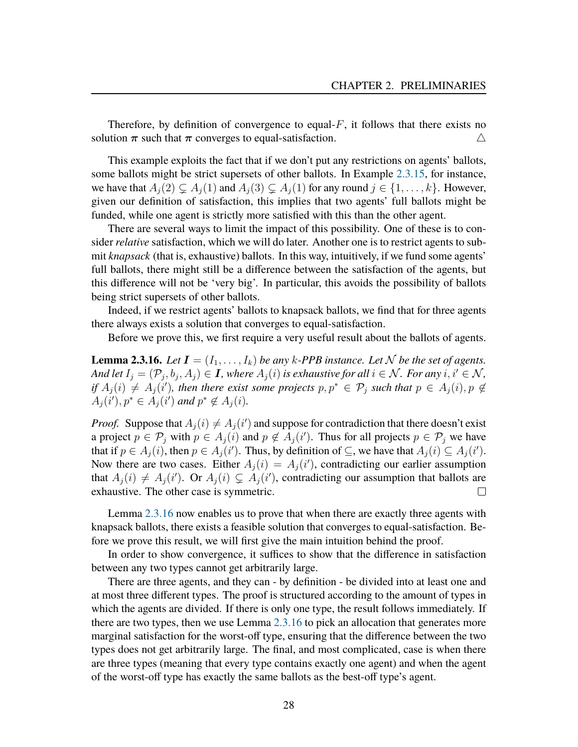Therefore, by definition of convergence to equal- $F$ , it follows that there exists no solution  $\pi$  such that  $\pi$  converges to equal-satisfaction.  $\triangle$ 

This example exploits the fact that if we don't put any restrictions on agents' ballots, some ballots might be strict supersets of other ballots. In Example [2.3.15,](#page-28-0) for instance, we have that  $A_i(2) \subseteq A_i(1)$  and  $A_i(3) \subseteq A_i(1)$  for any round  $j \in \{1, \ldots, k\}$ . However, given our definition of satisfaction, this implies that two agents' full ballots might be funded, while one agent is strictly more satisfied with this than the other agent.

There are several ways to limit the impact of this possibility. One of these is to consider *relative* satisfaction, which we will do later. Another one is to restrict agents to submit *knapsack* (that is, exhaustive) ballots. In this way, intuitively, if we fund some agents' full ballots, there might still be a difference between the satisfaction of the agents, but this difference will not be 'very big'. In particular, this avoids the possibility of ballots being strict supersets of other ballots.

Indeed, if we restrict agents' ballots to knapsack ballots, we find that for three agents there always exists a solution that converges to equal-satisfaction.

Before we prove this, we first require a very useful result about the ballots of agents.

<span id="page-29-0"></span>**Lemma 2.3.16.** *Let*  $I = (I_1, \ldots, I_k)$  *be any k*-*PPB instance. Let*  $N$  *be the set of agents. And let*  $I_j = (\mathcal{P}_j, b_j, A_j) \in I$ , where  $A_j(i)$  is exhaustive for all  $i \in \mathcal{N}$ . For any  $i, i' \in \mathcal{N}$ , *if*  $A_j(i) \neq A_j(i')$ , then there exist some projects  $p, p^* \in \mathcal{P}_j$  such that  $p \in A_j(i), p \notin \mathcal{P}_j$  $A_j(i'), p^* \in A_j(i')$  and  $p^* \notin A_j(i)$ .

*Proof.* Suppose that  $A_j(i) \neq A_j(i')$  and suppose for contradiction that there doesn't exist a project  $p \in \mathcal{P}_j$  with  $p \in A_j(i)$  and  $p \notin A_j(i')$ . Thus for all projects  $p \in \mathcal{P}_j$  we have that if  $p \in A_j(i)$ , then  $p \in A_j(i')$ . Thus, by definition of  $\subseteq$ , we have that  $A_j(i) \subseteq A_j(i')$ . Now there are two cases. Either  $A_j(i) = A_j(i')$ , contradicting our earlier assumption that  $A_j(i) \neq A_j(i')$ . Or  $A_j(i) \subsetneq A_j(i')$ , contradicting our assumption that ballots are exhaustive. The other case is symmetric.  $\Box$ 

Lemma [2.3.16](#page-29-0) now enables us to prove that when there are exactly three agents with knapsack ballots, there exists a feasible solution that converges to equal-satisfaction. Before we prove this result, we will first give the main intuition behind the proof.

In order to show convergence, it suffices to show that the difference in satisfaction between any two types cannot get arbitrarily large.

There are three agents, and they can - by definition - be divided into at least one and at most three different types. The proof is structured according to the amount of types in which the agents are divided. If there is only one type, the result follows immediately. If there are two types, then we use Lemma [2.3.16](#page-29-0) to pick an allocation that generates more marginal satisfaction for the worst-off type, ensuring that the difference between the two types does not get arbitrarily large. The final, and most complicated, case is when there are three types (meaning that every type contains exactly one agent) and when the agent of the worst-off type has exactly the same ballots as the best-off type's agent.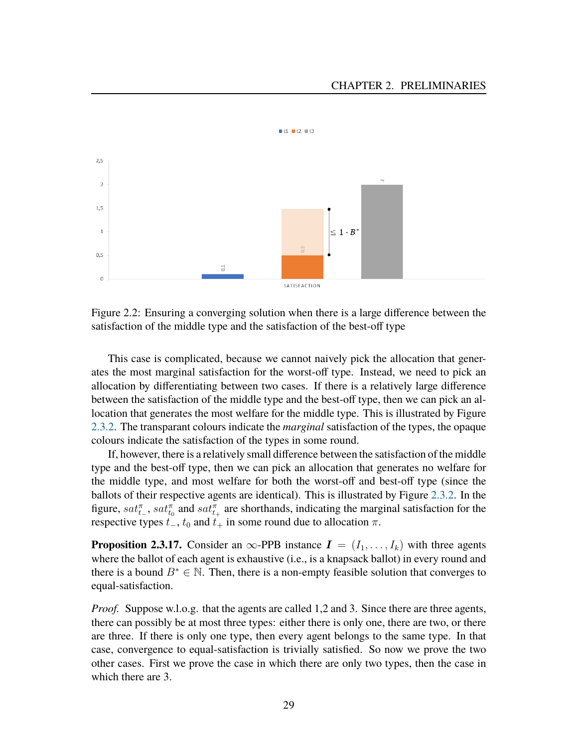

<span id="page-30-0"></span>Figure 2.2: Ensuring a converging solution when there is a large difference between the satisfaction of the middle type and the satisfaction of the best-off type

This case is complicated, because we cannot naively pick the allocation that generates the most marginal satisfaction for the worst-off type. Instead, we need to pick an allocation by differentiating between two cases. If there is a relatively large difference between the satisfaction of the middle type and the best-off type, then we can pick an allocation that generates the most welfare for the middle type. This is illustrated by Figure [2.3.2.](#page-29-0) The transparant colours indicate the *marginal* satisfaction of the types, the opaque colours indicate the satisfaction of the types in some round.

If, however, there is a relatively small difference between the satisfaction of the middle type and the best-off type, then we can pick an allocation that generates no welfare for the middle type, and most welfare for both the worst-off and best-off type (since the ballots of their respective agents are identical). This is illustrated by Figure [2.3.2.](#page-30-0) In the figure,  $sat_{t-}^{\pi}$ ,  $sat_{t_0}^{\pi}$  and  $sat_{t+}^{\pi}$  are shorthands, indicating the marginal satisfaction for the respective types  $t_-, t_0$  and  $t_+$  in some round due to allocation  $\pi$ .

**Proposition 2.3.17.** Consider an  $\infty$ -PPB instance  $I = (I_1, \ldots, I_k)$  with three agents where the ballot of each agent is exhaustive (i.e., is a knapsack ballot) in every round and there is a bound  $B^* \in \mathbb{N}$ . Then, there is a non-empty feasible solution that converges to equal-satisfaction.

*Proof.* Suppose w.l.o.g. that the agents are called 1,2 and 3. Since there are three agents, there can possibly be at most three types: either there is only one, there are two, or there are three. If there is only one type, then every agent belongs to the same type. In that case, convergence to equal-satisfaction is trivially satisfied. So now we prove the two other cases. First we prove the case in which there are only two types, then the case in which there are 3.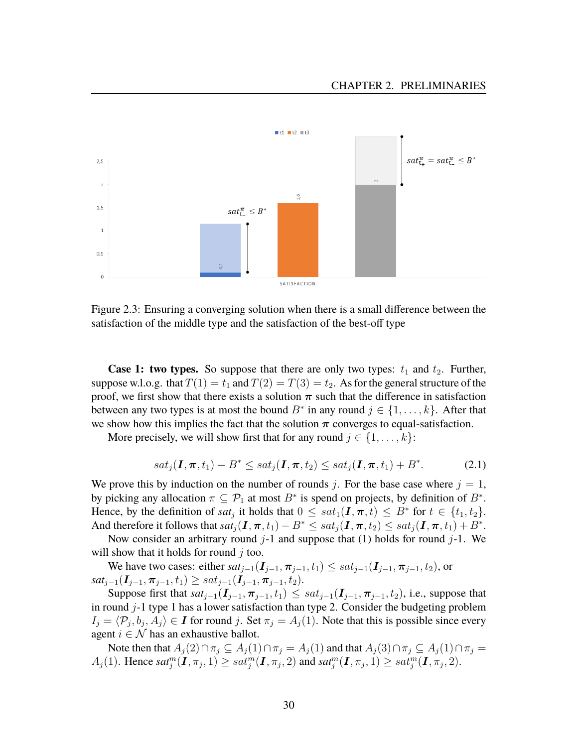

Figure 2.3: Ensuring a converging solution when there is a small difference between the satisfaction of the middle type and the satisfaction of the best-off type

**Case 1: two types.** So suppose that there are only two types:  $t_1$  and  $t_2$ . Further, suppose w.l.o.g. that  $T(1) = t_1$  and  $T(2) = T(3) = t_2$ . As for the general structure of the proof, we first show that there exists a solution  $\pi$  such that the difference in satisfaction between any two types is at most the bound  $B^*$  in any round  $j \in \{1, ..., k\}$ . After that we show how this implies the fact that the solution  $\pi$  converges to equal-satisfaction.

More precisely, we will show first that for any round  $j \in \{1, \ldots, k\}$ :

$$
sat_j(\mathbf{I}, \pi, t_1) - B^* \le sat_j(\mathbf{I}, \pi, t_2) \le sat_j(\mathbf{I}, \pi, t_1) + B^*.
$$
 (2.1)

We prove this by induction on the number of rounds j. For the base case where  $j = 1$ , by picking any allocation  $\pi \subseteq \mathcal{P}_1$  at most  $B^*$  is spend on projects, by definition of  $B^*$ . Hence, by the definition of *sat<sub>j</sub>* it holds that  $0 \leq sat_1(\mathbf{I}, \pi, t) \leq B^*$  for  $t \in \{t_1, t_2\}$ . And therefore it follows that  $sat_j(\bm{I},\bm{\pi},t_1)-B^*\le sat_j(\bm{I},\bm{\pi},t_2)\le sat_j(\bm{I},\bm{\pi},t_1)+B^*.$ 

Now consider an arbitrary round  $j-1$  and suppose that (1) holds for round  $j-1$ . We will show that it holds for round  $i$  too.

We have two cases: either  $sat_{j-1}(\mathbf{I}_{j-1}, \pi_{j-1}, t_1) \le sat_{j-1}(\mathbf{I}_{j-1}, \pi_{j-1}, t_2)$ , or  $sat_{j-1}(\mathbf{I}_{j-1},\boldsymbol{\pi}_{j-1},t_1) \geq sat_{j-1}(\mathbf{I}_{j-1},\boldsymbol{\pi}_{j-1},t_2).$ 

Suppose first that  $sat_{i-1}(\mathbf{I}_{i-1},\boldsymbol{\pi}_{i-1},t_1) \le sat_{i-1}(\mathbf{I}_{i-1},\boldsymbol{\pi}_{i-1},t_2)$ , i.e., suppose that in round  $j-1$  type 1 has a lower satisfaction than type 2. Consider the budgeting problem  $I_j = \langle P_j, b_j, A_j \rangle \in I$  for round j. Set  $\pi_j = A_j(1)$ . Note that this is possible since every agent  $i \in \mathcal{N}$  has an exhaustive ballot.

Note then that  $A_j(2) \cap \pi_j \subseteq A_j(1) \cap \pi_j = A_j(1)$  and that  $A_j(3) \cap \pi_j \subseteq A_j(1) \cap \pi_j =$  $A_j(1)$ . Hence  $sat_j^m(\mathbf{I}, \pi_j, 1) \geq sat_j^m(\mathbf{I}, \pi_j, 2)$  and  $sat_j^m(\mathbf{I}, \pi_j, 1) \geq sat_j^m(\mathbf{I}, \pi_j, 2)$ .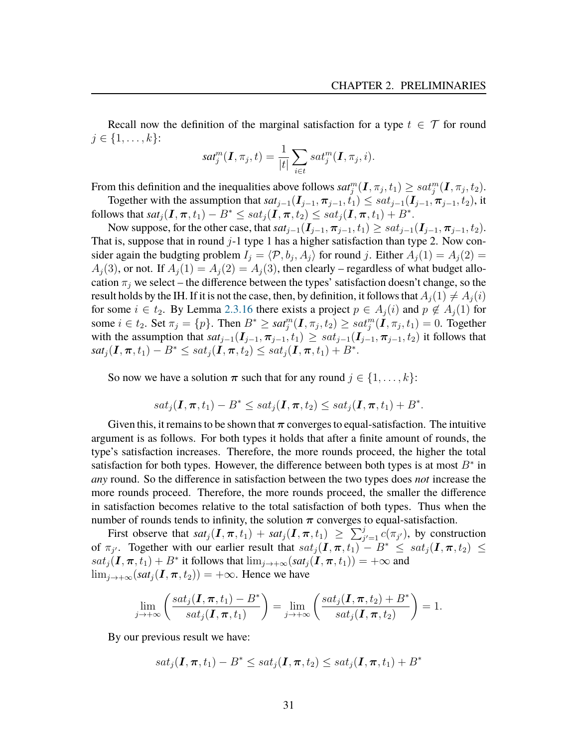Recall now the definition of the marginal satisfaction for a type  $t \in \mathcal{T}$  for round  $j \in \{1, \ldots, k\}$ :

$$
sat_j^m(\boldsymbol{I},\pi_j,t)=\frac{1}{|t|}\sum_{i\in t}sat_j^m(\boldsymbol{I},\pi_j,i).
$$

From this definition and the inequalities above follows  $sat_j^m(\bm{I},\pi_j,t_1)\ge sat_j^m(\bm{I},\pi_j,t_2).$ Together with the assumption that  $sat_{j-1}(\mathbf{I}_{j-1}, \pi_{j-1}, t_1) \le sat_{j-1}(\mathbf{I}_{j-1}, \pi_{j-1}, t_2)$ , it

follows that  $sat_j(\textbf{\emph{I}},\boldsymbol{\pi},t_1)-B^*\le sat_j(\textbf{\emph{I}},\boldsymbol{\pi},t_2)\le sat_j(\textbf{\emph{I}},\boldsymbol{\pi},t_1)+B^*.$ Now suppose, for the other case, that  $sat_{i-1}(\mathbf{I}_{i-1}, \pi_{i-1}, t_1) \ge sat_{i-1}(\mathbf{I}_{i-1}, \pi_{i-1}, t_2)$ .

That is, suppose that in round  $j-1$  type 1 has a higher satisfaction than type 2. Now consider again the budgting problem  $I_j = \langle \mathcal{P}, b_j, A_j \rangle$  for round j. Either  $A_j(1) = A_j(2) =$  $A_i(3)$ , or not. If  $A_i(1) = A_i(2) = A_i(3)$ , then clearly – regardless of what budget allocation  $\pi_i$  we select – the difference between the types' satisfaction doesn't change, so the result holds by the IH. If it is not the case, then, by definition, it follows that  $A_i(1) \neq A_i(i)$ for some  $i \in t_2$ . By Lemma [2.3.16](#page-29-0) there exists a project  $p \in A_i(i)$  and  $p \notin A_i(1)$  for some  $i \in t_2$ . Set  $\pi_j = \{p\}$ . Then  $B^* \geq sat_j^m(I, \pi_j, t_2) \geq sat_j^m(I, \pi_j, t_1) = 0$ . Together with the assumption that  $sat_{j-1}(\mathbf{I}_{j-1},\pi_{j-1},t_1) \ge sat_{j-1}(\mathbf{I}_{j-1},\pi_{j-1},t_2)$  it follows that  $\mathit{sat}_j(\bm{I},\bm{\pi},t_1) - B^* \leq \mathit{sat}_j(\tilde{\bm{I}},\bm{\pi},t_2) \leq \mathit{sat}_j(\tilde{\bm{I}},\bm{\pi},t_1) + B^*.$ 

So now we have a solution  $\pi$  such that for any round  $j \in \{1, ..., k\}$ :

$$
sat_j(\mathbf{I},\boldsymbol{\pi},t_1)-B^*\leq sat_j(\mathbf{I},\boldsymbol{\pi},t_2)\leq sat_j(\mathbf{I},\boldsymbol{\pi},t_1)+B^*.
$$

Given this, it remains to be shown that  $\pi$  converges to equal-satisfaction. The intuitive argument is as follows. For both types it holds that after a finite amount of rounds, the type's satisfaction increases. Therefore, the more rounds proceed, the higher the total satisfaction for both types. However, the difference between both types is at most  $B^*$  in *any* round. So the difference in satisfaction between the two types does *not* increase the more rounds proceed. Therefore, the more rounds proceed, the smaller the difference in satisfaction becomes relative to the total satisfaction of both types. Thus when the number of rounds tends to infinity, the solution  $\pi$  converges to equal-satisfaction.

First observe that  $sat_j(I,\pi,t_1) + sat_j(I,\pi,t_1) \geq \sum_{j'=1}^j c(\pi_{j'})$ , by construction of  $\pi_{j'}$ . Together with our earlier result that  $sat_j(I,\pi,t_1) - B^* \le sat_j(I,\pi,t_2) \le$  $sat_j(\mathbf{I},\boldsymbol{\pi},t_1)+B^*$  it follows that  $\lim_{j\to+\infty}(sat_j(\mathbf{I},\boldsymbol{\pi},t_1))=+\infty$  and  $\lim_{j\to+\infty}(sat_j(I,\pi,t_2))=+\infty$ . Hence we have

$$
\lim_{j\to+\infty}\left(\frac{sat_j(\mathbf{I},\boldsymbol{\pi},t_1)-B^*}{sat_j(\mathbf{I},\boldsymbol{\pi},t_1)}\right)=\lim_{j\to+\infty}\left(\frac{sat_j(\mathbf{I},\boldsymbol{\pi},t_2)+B^*}{sat_j(\mathbf{I},\boldsymbol{\pi},t_2)}\right)=1.
$$

By our previous result we have:

$$
sat_j(\mathbf{I},\boldsymbol{\pi},t_1)-B^*\leq sat_j(\mathbf{I},\boldsymbol{\pi},t_2)\leq sat_j(\mathbf{I},\boldsymbol{\pi},t_1)+B^*
$$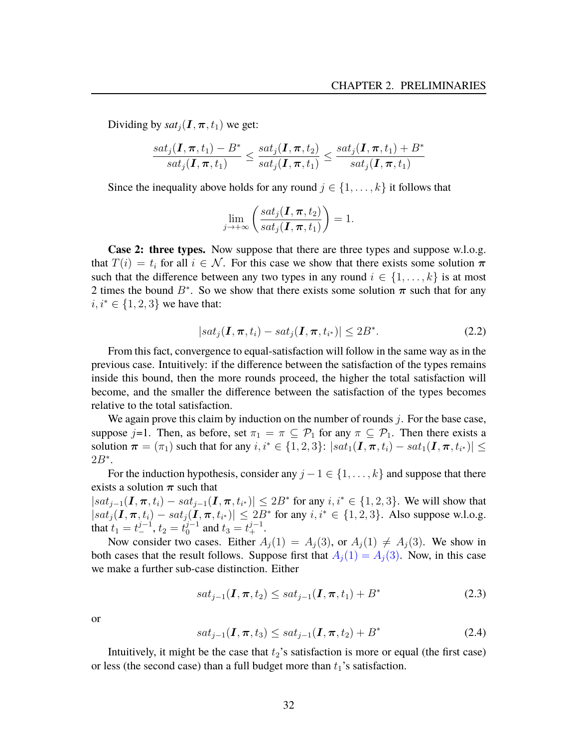Dividing by  $sat_i(I, \pi, t_1)$  we get:

$$
\frac{sat_j(\mathbf{I},\boldsymbol{\pi},t_1)-B^*}{sat_j(\mathbf{I},\boldsymbol{\pi},t_1)}\leq \frac{sat_j(\mathbf{I},\boldsymbol{\pi},t_2)}{sat_j(\mathbf{I},\boldsymbol{\pi},t_1)}\leq \frac{sat_j(\mathbf{I},\boldsymbol{\pi},t_1)+B^*}{sat_j(\mathbf{I},\boldsymbol{\pi},t_1)}
$$

Since the inequality above holds for any round  $j \in \{1, \ldots, k\}$  it follows that

$$
\lim_{j \to +\infty} \left( \frac{sat_j(\mathbf{I}, \boldsymbol{\pi}, t_2)}{sat_j(\mathbf{I}, \boldsymbol{\pi}, t_1)} \right) = 1.
$$

**Case 2: three types.** Now suppose that there are three types and suppose w.l.o.g. that  $T(i) = t_i$  for all  $i \in \mathcal{N}$ . For this case we show that there exists some solution  $\pi$ such that the difference between any two types in any round  $i \in \{1, \ldots, k\}$  is at most 2 times the bound  $B^*$ . So we show that there exists some solution  $\pi$  such that for any  $i, i^* \in \{1, 2, 3\}$  we have that:

$$
|sat_j(\mathbf{I}, \boldsymbol{\pi}, t_i) - sat_j(\mathbf{I}, \boldsymbol{\pi}, t_{i^*})| \le 2B^*.
$$
 (2.2)

From this fact, convergence to equal-satisfaction will follow in the same way as in the previous case. Intuitively: if the difference between the satisfaction of the types remains inside this bound, then the more rounds proceed, the higher the total satisfaction will become, and the smaller the difference between the satisfaction of the types becomes relative to the total satisfaction.

We again prove this claim by induction on the number of rounds  $j$ . For the base case, suppose j=1. Then, as before, set  $\pi_1 = \pi \subseteq \mathcal{P}_1$  for any  $\pi \subseteq \mathcal{P}_1$ . Then there exists a solution  $\pi = (\pi_1)$  such that for any  $i, i^* \in \{1, 2, 3\}$ :  $|sat_1(\mathbf{I}, \pi, t_i) - sat_1(\mathbf{I}, \pi, t_{i^*})| \leq$  $2B^*$ .

For the induction hypothesis, consider any  $j - 1 \in \{1, ..., k\}$  and suppose that there exists a solution  $\pi$  such that

 $|sat_{j-1}(\mathbf{I}, \pi, t_i) - sat_{j-1}(\mathbf{I}, \pi, t_{i^*})| \leq 2B^*$  for any  $i, i^* \in \{1, 2, 3\}$ . We will show that  $|sat_j(I,\pi,t_i) - sat_j(I,\pi,t_{i^*})| \leq 2B^*$  for any  $i, i^* \in \{1,2,3\}$ . Also suppose w.l.o.g. that  $t_1 = t_ -^{j-1}$ ,  $t_2 = t_0^{j-1}$  $y_0^{j-1}$  and  $t_3 = t_+^{j-1}$ .

Now consider two cases. Either  $A_j(1) = A_j(3)$ , or  $A_j(1) \neq A_j(3)$ . We show in both cases that the result follows. Suppose first that  $A_j(1) = A_j(3)$ . Now, in this case we make a further sub-case distinction. Either

<span id="page-33-0"></span>
$$
sat_{j-1}(\mathbf{I}, \pi, t_2) \le sat_{j-1}(\mathbf{I}, \pi, t_1) + B^*
$$
\n(2.3)

or

<span id="page-33-1"></span>
$$
sat_{j-1}(\mathbf{I}, \pi, t_3) \le sat_{j-1}(\mathbf{I}, \pi, t_2) + B^*
$$
\n(2.4)

Intuitively, it might be the case that  $t_2$ 's satisfaction is more or equal (the first case) or less (the second case) than a full budget more than  $t_1$ 's satisfaction.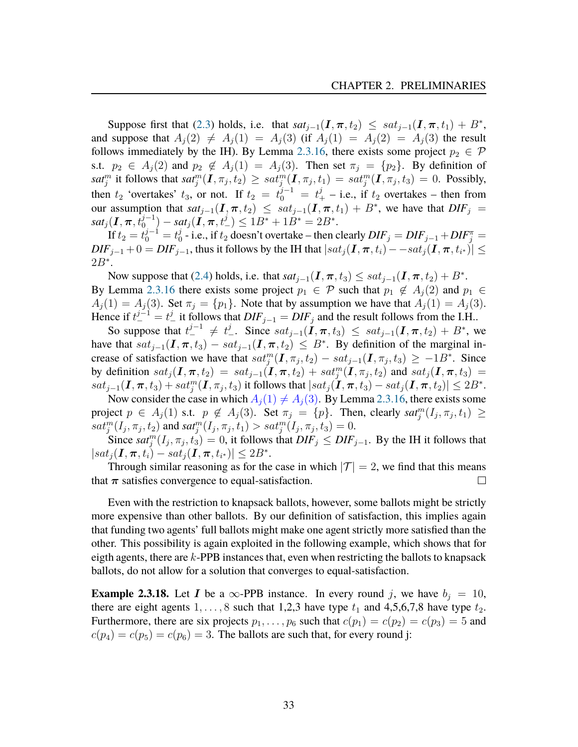Suppose first that [\(2.3\)](#page-33-0) holds, i.e. that  $sat_{j-1}(\mathbf{I}, \pi, t_2) \leq sat_{j-1}(\mathbf{I}, \pi, t_1) + B^*$ , and suppose that  $A_j(2) \neq A_j(1) = A_j(3)$  (if  $A_j(1) = A_j(2) = A_j(3)$  the result follows immediately by the IH). By Lemma [2.3.16,](#page-29-0) there exists some project  $p_2 \in \mathcal{P}$ s.t.  $p_2 \in A_j(2)$  and  $p_2 \notin A_j(1) = A_j(3)$ . Then set  $\pi_j = \{p_2\}$ . By definition of  $sat_j^m$  it follows that  $sat_j^m(I, \pi_j, t_2) \geq sat_j^m(I, \pi_j, t_1) = sat_j^m(I, \pi_j, t_3) = 0$ . Possibly, then  $t_2$  'overtakes'  $t_3$ , or not. If  $t_2 = t_0^{j-1} = t_+^j$  – i.e., if  $t_2$  overtakes – then from our assumption that  $sat_{j-1}(\mathbf{I}, \pi, t_2) \leq sat_{j-1}(\mathbf{I}, \pi, t_1) + B^*$ , we have that  $DIF_j =$  $sat_j(\boldsymbol{I}, \boldsymbol{\pi}, t_0^{j-1}) - sat_j(\tilde{\boldsymbol{I}}, \boldsymbol{\pi}, t_-^j) \leq 1B^* + 1B^* = 2B^*.$ 

If  $t_2 = t_0^{j-1} = t_0^j$  $\frac{1}{0}$  - i.e., if t<sub>2</sub> doesn't overtake – then clearly  $DIF_j = DIF_{j-1} + DIF_j^{\pi} =$  $\textit{DIF}_{j-1} + 0 = \textit{DIF}_{j-1}$ , thus it follows by the IH that  $|sat_j(\textbf{I}, \boldsymbol{\pi}, t_i) - sat_j(\textbf{I}, \boldsymbol{\pi}, t_{i^*})| \leq 1$  $2B^*$ .

Now suppose that [\(2.4\)](#page-33-1) holds, i.e. that  $sat_{j-1}(\mathbf{I}, \pi, t_3) \le sat_{j-1}(\mathbf{I}, \pi, t_2) + B^*$ . By Lemma [2.3.16](#page-29-0) there exists some project  $p_1 \in \mathcal{P}$  such that  $p_1 \notin A_i(2)$  and  $p_1 \in$  $A_j(1) = A_j(3)$ . Set  $\pi_j = \{p_1\}$ . Note that by assumption we have that  $A_j(1) = A_j(3)$ . Hence if  $t^{j-1} = t^j_-$  it follows that  $DIF_{j-1} = DIF_j$  and the result follows from the I.H..

So suppose that  $t_{-}^{j-1} \neq t_{-}^{j}$ . Since  $sat_{j-1}(\tilde{I}, \pi, t_3) \le sat_{j-1}(\tilde{I}, \pi, t_2) + B^*$ , we have that  $sat_{j-1}(\mathbf{I}, \pi, t_3) - sat_{j-1}(\mathbf{I}, \pi, t_2) \leq B^*$ . By definition of the marginal increase of satisfaction we have that  $sat_j^m(I, \pi_j, t_2) - sat_{j-1}(I, \pi_j, t_3) \ge -1B^*$ . Since by definition  $sat_j(I,\pi,t_2) = sat_{j-1}(I,\pi,t_2) + sat_j^m(I,\pi_j,t_2)$  and  $sat_j(I,\pi,t_3) =$  $sat_{j-1}(\mathbf{I}, \boldsymbol{\pi}, t_3) + sat_j^m(\mathbf{I}, \pi_j, t_3)$  it follows that  $|sat_j(\mathbf{I}, \boldsymbol{\pi}, t_3) - sat_j(\mathbf{I}, \boldsymbol{\pi}, t_2)| \leq 2B^*$ .

Now consider the case in which  $A_i(1) \neq A_i(3)$ . By Lemma [2.3.16,](#page-29-0) there exists some project  $p \in A_j(1)$  s.t.  $p \notin A_j(3)$ . Set  $\pi_j = \{p\}$ . Then, clearly  $sat_j^m(I_j, \pi_j, t_1) \geq$  $sat_j^m(I_j,\pi_j,t_2)$  and  $sat_j^m(I_j,\pi_j,t_1) > sat_j^m(I_j,\pi_j,t_3) = 0.$ 

Since  $sat_j^m(I_j, \pi_j, t_3) = 0$ , it follows that  $DIF_j \leq DIF_{j-1}$ . By the IH it follows that  $|sat_j(\textbf{I},\boldsymbol{\pi},t_i)-sat_j(\textbf{I},\boldsymbol{\pi},t_{i^*})|\leq 2B^*.$ 

Through similar reasoning as for the case in which  $|\mathcal{T}| = 2$ , we find that this means that  $\pi$  satisfies convergence to equal-satisfaction.  $\Box$ 

Even with the restriction to knapsack ballots, however, some ballots might be strictly more expensive than other ballots. By our definition of satisfaction, this implies again that funding two agents' full ballots might make one agent strictly more satisfied than the other. This possibility is again exploited in the following example, which shows that for eigth agents, there are  $k$ -PPB instances that, even when restricting the ballots to knapsack ballots, do not allow for a solution that converges to equal-satisfaction.

<span id="page-34-0"></span>**Example 2.3.18.** Let *I* be a  $\infty$ -PPB instance. In every round *j*, we have  $b_j = 10$ , there are eight agents  $1, \ldots, 8$  such that 1,2,3 have type  $t_1$  and 4,5,6,7,8 have type  $t_2$ . Furthermore, there are six projects  $p_1, \ldots, p_6$  such that  $c(p_1) = c(p_2) = c(p_3) = 5$  and  $c(p_4) = c(p_5) = c(p_6) = 3$ . The ballots are such that, for every round j: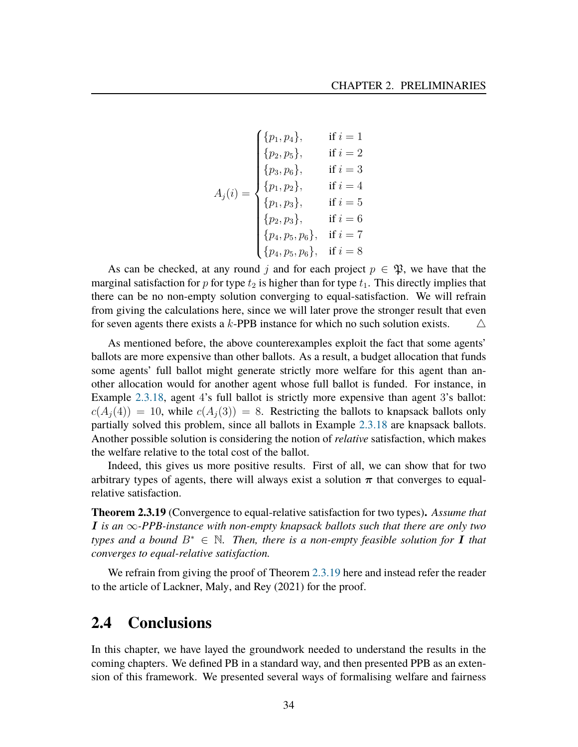$$
A_j(i) = \begin{cases} \{p_1, p_4\}, & \text{if } i = 1\\ \{p_2, p_5\}, & \text{if } i = 2\\ \{p_3, p_6\}, & \text{if } i = 3\\ \{p_1, p_2\}, & \text{if } i = 4\\ \{p_1, p_3\}, & \text{if } i = 5\\ \{p_2, p_3\}, & \text{if } i = 6\\ \{p_4, p_5, p_6\}, & \text{if } i = 7\\ \{p_4, p_5, p_6\}, & \text{if } i = 8 \end{cases}
$$

As can be checked, at any round j and for each project  $p \in \mathfrak{P}$ , we have that the marginal satisfaction for p for type  $t_2$  is higher than for type  $t_1$ . This directly implies that there can be no non-empty solution converging to equal-satisfaction. We will refrain from giving the calculations here, since we will later prove the stronger result that even for seven agents there exists a k-PPB instance for which no such solution exists.  $\triangle$ 

As mentioned before, the above counterexamples exploit the fact that some agents' ballots are more expensive than other ballots. As a result, a budget allocation that funds some agents' full ballot might generate strictly more welfare for this agent than another allocation would for another agent whose full ballot is funded. For instance, in Example [2.3.18,](#page-34-0) agent 4's full ballot is strictly more expensive than agent 3's ballot:  $c(A_i(4)) = 10$ , while  $c(A_i(3)) = 8$ . Restricting the ballots to knapsack ballots only partially solved this problem, since all ballots in Example [2.3.18](#page-34-0) are knapsack ballots. Another possible solution is considering the notion of *relative* satisfaction, which makes the welfare relative to the total cost of the ballot.

Indeed, this gives us more positive results. First of all, we can show that for two arbitrary types of agents, there will always exist a solution  $\pi$  that converges to equalrelative satisfaction.

<span id="page-35-1"></span>**Theorem 2.3.19** (Convergence to equal-relative satisfaction for two types)**.** *Assume that* I *is an* ∞*-PPB-instance with non-empty knapsack ballots such that there are only two types and a bound*  $B^* \in \mathbb{N}$ . Then, there is a non-empty feasible solution for I that *converges to equal-relative satisfaction.*

We refrain from giving the proof of Theorem [2.3.19](#page-35-1) here and instead refer the reader to the article of Lackner, Maly, and Rey [\(2021\)](#page-81-0) for the proof.

### <span id="page-35-0"></span>**2.4 Conclusions**

In this chapter, we have layed the groundwork needed to understand the results in the coming chapters. We defined PB in a standard way, and then presented PPB as an extension of this framework. We presented several ways of formalising welfare and fairness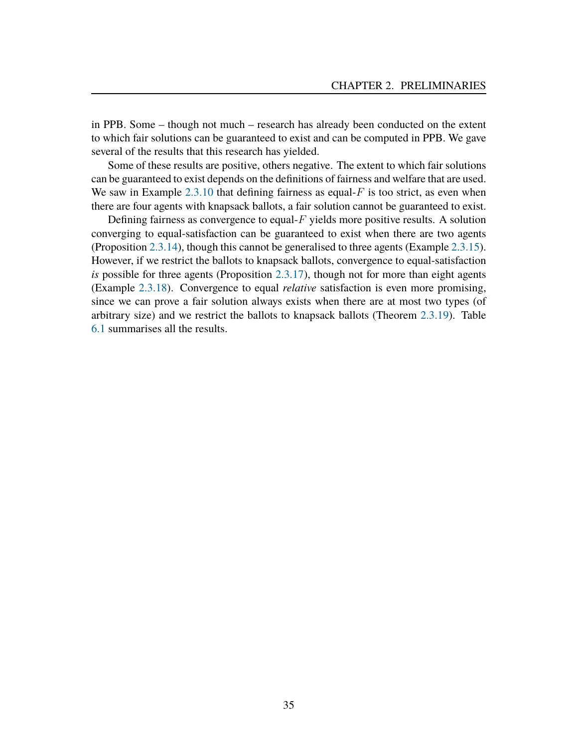in PPB. Some – though not much – research has already been conducted on the extent to which fair solutions can be guaranteed to exist and can be computed in PPB. We gave several of the results that this research has yielded.

Some of these results are positive, others negative. The extent to which fair solutions can be guaranteed to exist depends on the definitions of fairness and welfare that are used. We saw in Example  $2.3.10$  that defining fairness as equal- $F$  is too strict, as even when there are four agents with knapsack ballots, a fair solution cannot be guaranteed to exist.

Defining fairness as convergence to equal- $F$  yields more positive results. A solution converging to equal-satisfaction can be guaranteed to exist when there are two agents (Proposition [2.3.14\)](#page-28-0), though this cannot be generalised to three agents (Example [2.3.15\)](#page-28-1). However, if we restrict the ballots to knapsack ballots, convergence to equal-satisfaction *is* possible for three agents (Proposition [2.3.17\)](#page-30-0), though not for more than eight agents (Example [2.3.18\)](#page-34-0). Convergence to equal *relative* satisfaction is even more promising, since we can prove a fair solution always exists when there are at most two types (of arbitrary size) and we restrict the ballots to knapsack ballots (Theorem [2.3.19\)](#page-35-0). Table [6.1](#page-74-0) summarises all the results.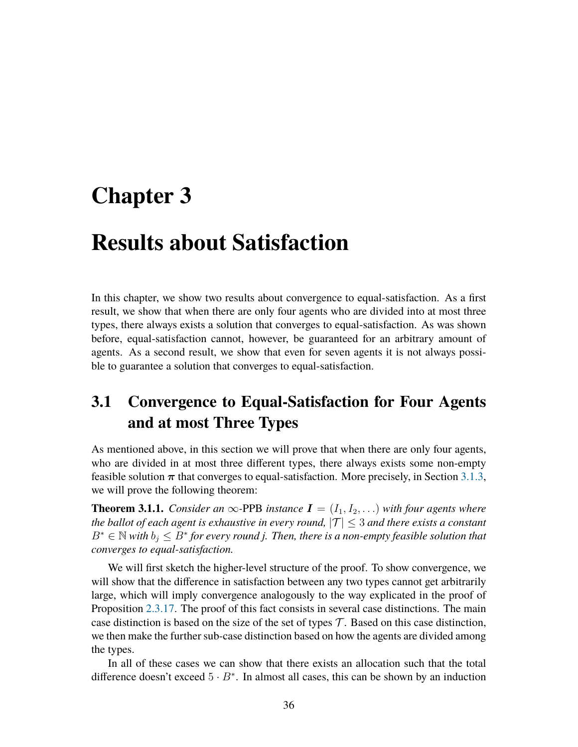# **Chapter 3**

# **Results about Satisfaction**

In this chapter, we show two results about convergence to equal-satisfaction. As a first result, we show that when there are only four agents who are divided into at most three types, there always exists a solution that converges to equal-satisfaction. As was shown before, equal-satisfaction cannot, however, be guaranteed for an arbitrary amount of agents. As a second result, we show that even for seven agents it is not always possible to guarantee a solution that converges to equal-satisfaction.

# **3.1 Convergence to Equal-Satisfaction for Four Agents and at most Three Types**

As mentioned above, in this section we will prove that when there are only four agents, who are divided in at most three different types, there always exists some non-empty feasible solution  $\pi$  that converges to equal-satisfaction. More precisely, in Section [3.1.3,](#page-50-0) we will prove the following theorem:

<span id="page-37-0"></span>**Theorem 3.1.1.** *Consider an*  $\infty$ -PPB *instance*  $I = (I_1, I_2, \ldots)$  *with four agents where the ballot of each agent is exhaustive in every round,*  $|T| \leq 3$  *and there exists a constant*  $B^* \in \mathbb{N}$  with  $b_j \leq B^*$  for every round j. Then, there is a non-empty feasible solution that *converges to equal-satisfaction.*

We will first sketch the higher-level structure of the proof. To show convergence, we will show that the difference in satisfaction between any two types cannot get arbitrarily large, which will imply convergence analogously to the way explicated in the proof of Proposition [2.3.17.](#page-30-0) The proof of this fact consists in several case distinctions. The main case distinction is based on the size of the set of types  $\mathcal T$ . Based on this case distinction, we then make the further sub-case distinction based on how the agents are divided among the types.

In all of these cases we can show that there exists an allocation such that the total difference doesn't exceed  $5 \cdot B^*$ . In almost all cases, this can be shown by an induction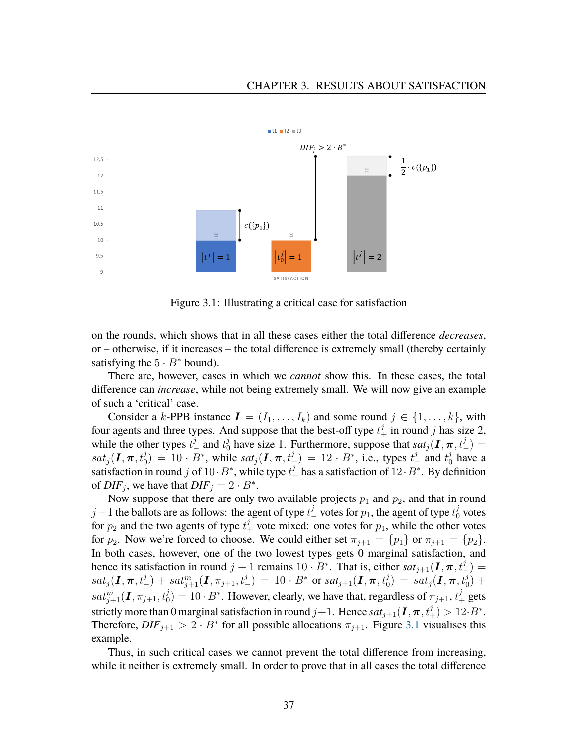

Figure 3.1: Illustrating a critical case for satisfaction

on the rounds, which shows that in all these cases either the total difference *decreases*, or – otherwise, if it increases – the total difference is extremely small (thereby certainly satisfying the  $5 \cdot B^*$  bound).

There are, however, cases in which we *cannot* show this. In these cases, the total difference can *increase*, while not being extremely small. We will now give an example of such a 'critical' case.

Consider a k-PPB instance  $I = (I_1, \ldots, I_k)$  and some round  $j \in \{1, \ldots, k\}$ , with four agents and three types. And suppose that the best-off type  $t_+^j$  in round j has size 2, while the other types  $t_{-}^{j}$  and  $t_{0}^{j}$  have size 1. Furthermore, suppose that  $sat_{j}(\textbf{I}, \boldsymbol{\pi}, t_{-}^{j})$  $sat_j(I,\pi,t_0^j) = 10 \cdot B^*$ , while  $sat_j(I,\pi,t_+^j) = 12 \cdot B^*$ , i.e., types  $t_-^j$  and  $t_0^j$  have a satisfaction in round j of  $10 \cdot B^*$ , while type  $t_+^j$  has a satisfaction of  $12 \cdot B^*$ . By definition of  $DIF_j$ , we have that  $DIF_j = 2 \cdot B^*$ .

Now suppose that there are only two available projects  $p_1$  and  $p_2$ , and that in round  $j+1$  the ballots are as follows: the agent of type  $t_{-}^{j}$  votes for  $p_{1}$ , the agent of type  $t_{0}^{j}$  votes for  $p_2$  and the two agents of type  $t_+^j$  vote mixed: one votes for  $p_1$ , while the other votes for  $p_2$ . Now we're forced to choose. We could either set  $\pi_{i+1} = \{p_1\}$  or  $\pi_{i+1} = \{p_2\}$ . In both cases, however, one of the two lowest types gets 0 marginal satisfaction, and hence its satisfaction in round  $j + 1$  remains  $10 \cdot B^*$ . That is, either  $sat_{j+1}(\mathbf{I}, \pi, t^j)$  =  $sat_j(\bm{I},\bm{\pi},t^j_-)+sat^m_{j+1}(\bm{I},\pi_{j+1},t^j_-)\ =\ 10\cdot B^* \ \text{or} \ sat_{j+1}(\bm{I},\bm{\pi},t^j_0)\ =\ sat_j(\bm{I},\bm{\pi},t^j_0)\ +$  $sat_{j+1}^m(I,\pi_{j+1},t_0^j)=10\cdot B^*$ . However, clearly, we have that, regardless of  $\pi_{j+1},t_+^j$  gets strictly more than  $0$  marginal satisfaction in round  $j+1.$  Hence  $sat_{j+1}(\bm{I},\bm{\pi},t^j_+)>12\!\cdot\!B^*$ . Therefore,  $DIF_{j+1} > 2 \cdot B^*$  for all possible allocations  $\pi_{j+1}$ . Figure [3.1](#page-37-0) visualises this example.

Thus, in such critical cases we cannot prevent the total difference from increasing, while it neither is extremely small. In order to prove that in all cases the total difference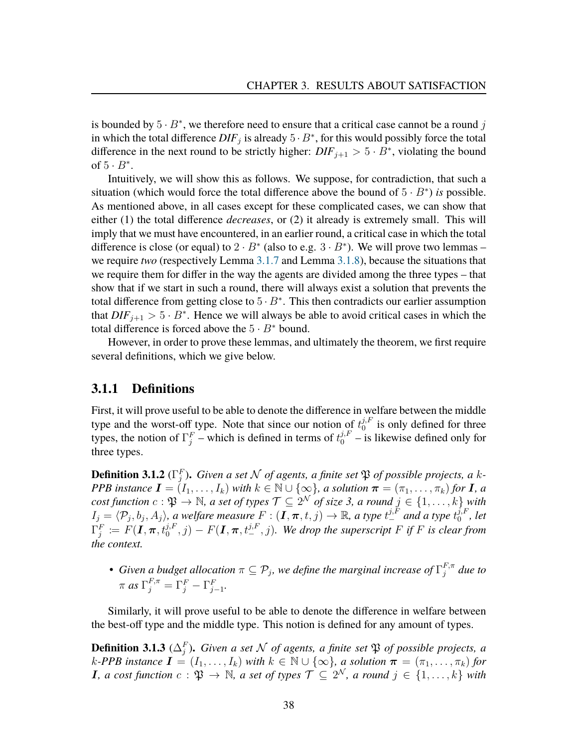is bounded by  $5 \cdot B^*$ , we therefore need to ensure that a critical case cannot be a round j in which the total difference  $DIF_j$  is already  $5 \cdot B^*$ , for this would possibly force the total difference in the next round to be strictly higher:  $DIF_{j+1} > 5 \cdot B^*$ , violating the bound of  $5 \cdot B^*$ .

Intuitively, we will show this as follows. We suppose, for contradiction, that such a situation (which would force the total difference above the bound of  $5 \cdot B^*$ ) *is* possible. As mentioned above, in all cases except for these complicated cases, we can show that either (1) the total difference *decreases*, or (2) it already is extremely small. This will imply that we must have encountered, in an earlier round, a critical case in which the total difference is close (or equal) to  $2 \cdot B^*$  (also to e.g.  $3 \cdot B^*$ ). We will prove two lemmas – we require *two* (respectively Lemma [3.1.7](#page-43-0) and Lemma [3.1.8\)](#page-48-0), because the situations that we require them for differ in the way the agents are divided among the three types – that show that if we start in such a round, there will always exist a solution that prevents the total difference from getting close to  $5 \cdot B^*$ . This then contradicts our earlier assumption that  $DIF_{j+1} > 5 \cdot B^*$ . Hence we will always be able to avoid critical cases in which the total difference is forced above the  $5 \cdot B^*$  bound.

However, in order to prove these lemmas, and ultimately the theorem, we first require several definitions, which we give below.

#### **3.1.1 Definitions**

First, it will prove useful to be able to denote the difference in welfare between the middle type and the worst-off type. Note that since our notion of  $t_0^{j,F}$  $j$ <sup>f</sup><sub>0</sub></sub> is only defined for three types, the notion of  $\Gamma_j^F$  – which is defined in terms of  $t_0^{j,F}$  – is likewise defined only for three types.

**Definition 3.1.2** ( $\Gamma_j^F$ ). Given a set  $N$  of agents, a finite set  $\mathfrak P$  of possible projects, a k-*PPB instance*  $I = (I_1, \ldots, I_k)$  *with*  $k \in \mathbb{N} \cup \{\infty\}$ *, a solution*  $\boldsymbol{\pi} = (\pi_1, \ldots, \pi_k)$  *for I, a*  $cost$  function  $c: \mathfrak{P} \to \mathbb{N}$ , a set of types  $\mathcal{T} \subseteq 2^{\mathcal{N}}$  of size 3, a round  $j \in \{1, \ldots, k\}$  with  $I_j=\langle \mathcal{P}_j,b_j,A_j\rangle$ , a welfare measure  $F:(\bm{I},\bm{\pi},t,j)\to\mathbb{R}$ , a type  $t_+^{j,F}$  and a type  $t_0^{j,F}$  $_0^{j,F}$ , let  $\Gamma_j^F \coloneqq F(\bm{I}, \bm{\pi}, t_0^{j,F}, j) - F(\bm{I}, \bm{\pi}, t_-^{j,F}, j)$ . We drop the superscript F if F is clear from *the context.*

• Given a budget allocation  $\pi \subseteq \mathcal{P}_j$ , we define the marginal increase of  $\Gamma_j^{F,\pi}$  $_j^{F,\pi}$  due to  $\pi$  as  $\Gamma_j^{F,\pi} = \Gamma_j^F - \Gamma_{j-1}^F$ .

Similarly, it will prove useful to be able to denote the difference in welfare between the best-off type and the middle type. This notion is defined for any amount of types.

<span id="page-39-0"></span>**Definition 3.1.3** ( $\Delta_j^F$ ). *Given a set*  $\mathcal N$  *of agents, a finite set*  $\mathfrak P$  *of possible projects, a k*-PPB instance  $I = (I_1, \ldots, I_k)$  with  $k \in \mathbb{N} \cup \{\infty\}$ , a solution  $\pi = (\pi_1, \ldots, \pi_k)$  for **I**, a cost function  $c : \mathfrak{P} \to \mathbb{N}$ , a set of types  $\mathcal{T} \subseteq 2^{\mathcal{N}}$ , a round  $j \in \{1, \ldots, k\}$  with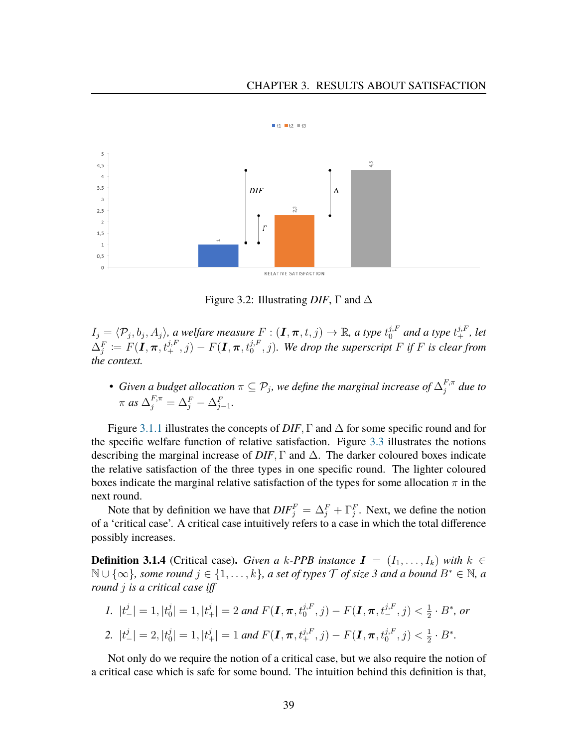#### CHAPTER 3. RESULTS ABOUT SATISFACTION



Figure 3.2: Illustrating *DIF*, Γ and ∆

 $I_j=\langle \mathcal{P}_j,b_j,A_j\rangle$ , a welfare measure  $F:(\bm{I},\bm{\pi},t,j)\to\mathbb{R}$ , a type  $t_0^{j,F}$  and a type  $t_+^{j,F}$ , let  $\Delta_j^F \coloneqq F(\bm{I}, \bm{\pi}, t_+^{j,F}, j) - F(\bm{I}, \bm{\pi}, t_0^{j,F}, j)$ . We drop the superscript F if F is clear from *the context.*

• Given a budget allocation  $\pi \subseteq \mathcal{P}_j$ , we define the marginal increase of  $\Delta_j^{F,\pi}$  $_j^{F,\pi}$  due to  $\pi$  *as*  $\Delta_j^{F,\pi} = \Delta_j^F - \Delta_{j-1}^F$ .

Figure [3.1.1](#page-39-0) illustrates the concepts of  $DIF$ ,  $\Gamma$  and  $\Delta$  for some specific round and for the specific welfare function of relative satisfaction. Figure [3.3](#page-41-0) illustrates the notions describing the marginal increase of  $DIF$ ,  $\Gamma$  and  $\Delta$ . The darker coloured boxes indicate the relative satisfaction of the three types in one specific round. The lighter coloured boxes indicate the marginal relative satisfaction of the types for some allocation  $\pi$  in the next round.

Note that by definition we have that  $DIF_j^F = \Delta_j^F + \Gamma_j^F$ . Next, we define the notion of a 'critical case'. A critical case intuitively refers to a case in which the total difference possibly increases.

**Definition 3.1.4** (Critical case). *Given a k-PPB instance*  $I = (I_1, \ldots, I_k)$  *with*  $k \in$  $\mathbb{N} \cup \{\infty\}$ *, some round*  $j \in \{1, \ldots, k\}$ *, a set of types*  $\mathcal{T}$  *of size* 3 and a bound  $B^* \in \mathbb{N}$ *, a round* j *is a critical case iff*

1. 
$$
|t^j_-| = 1
$$
,  $|t^j_0| = 1$ ,  $|t^j_+| = 2$  and  $F(\mathbf{I}, \pi, t^{j, F}_0, j) - F(\mathbf{I}, \pi, t^{j, F}_-, j) < \frac{1}{2} \cdot B^*$ , or  
\n2.  $|t^j_-| = 2$ ,  $|t^j_0| = 1$ ,  $|t^j_+| = 1$  and  $F(\mathbf{I}, \pi, t^{j, F}_+, j) - F(\mathbf{I}, \pi, t^{j, F}_0, j) < \frac{1}{2} \cdot B^*$ .

Not only do we require the notion of a critical case, but we also require the notion of a critical case which is safe for some bound. The intuition behind this definition is that,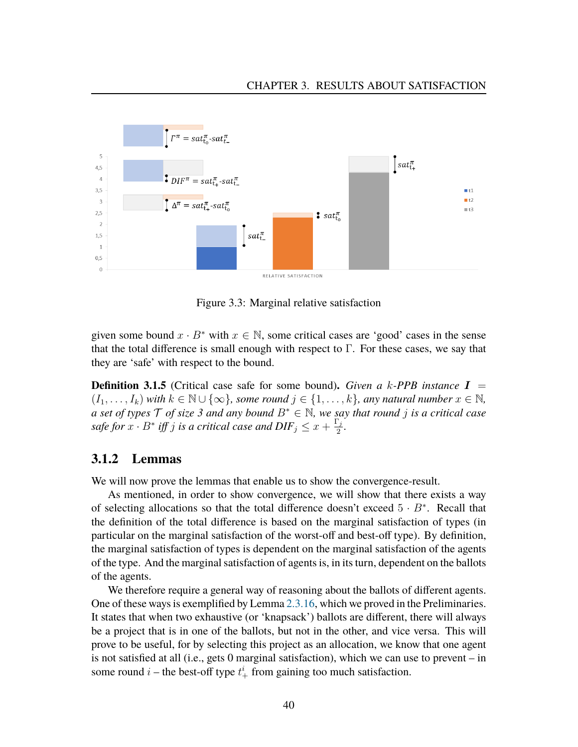

<span id="page-41-0"></span>Figure 3.3: Marginal relative satisfaction

given some bound  $x \cdot B^*$  with  $x \in \mathbb{N}$ , some critical cases are 'good' cases in the sense that the total difference is small enough with respect to  $\Gamma$ . For these cases, we say that they are 'safe' with respect to the bound.

**Definition 3.1.5** (Critical case safe for some bound)**.** *Given a* k*-PPB instance* I =  $(I_1, \ldots, I_k)$  *with*  $k \in \mathbb{N} \cup \{\infty\}$ *, some round*  $j \in \{1, \ldots, k\}$ *, any natural number*  $x \in \mathbb{N}$ *, a set of types* T *of size 3 and any bound* B<sup>∗</sup> ∈ N*, we say that round* j *is a critical case safe for*  $x \cdot B^*$  *iff* j *is a critical case and*  $DIF_j \leq x + \frac{\Gamma_j}{2}$  $\frac{j}{2}$ .

## **3.1.2 Lemmas**

We will now prove the lemmas that enable us to show the convergence-result.

As mentioned, in order to show convergence, we will show that there exists a way of selecting allocations so that the total difference doesn't exceed  $5 \cdot B^*$ . Recall that the definition of the total difference is based on the marginal satisfaction of types (in particular on the marginal satisfaction of the worst-off and best-off type). By definition, the marginal satisfaction of types is dependent on the marginal satisfaction of the agents of the type. And the marginal satisfaction of agents is, in its turn, dependent on the ballots of the agents.

We therefore require a general way of reasoning about the ballots of different agents. One of these ways is exemplified by Lemma [2.3.16,](#page-29-0) which we proved in the Preliminaries. It states that when two exhaustive (or 'knapsack') ballots are different, there will always be a project that is in one of the ballots, but not in the other, and vice versa. This will prove to be useful, for by selecting this project as an allocation, we know that one agent is not satisfied at all (i.e., gets 0 marginal satisfaction), which we can use to prevent – in some round  $i$  – the best-off type  $t^i_+$  from gaining too much satisfaction.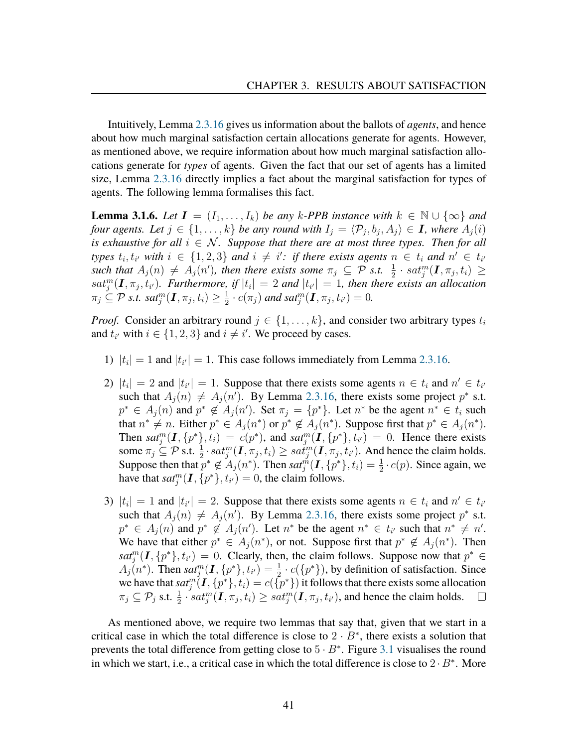Intuitively, Lemma [2.3.16](#page-29-0) gives us information about the ballots of *agents*, and hence about how much marginal satisfaction certain allocations generate for agents. However, as mentioned above, we require information about how much marginal satisfaction allocations generate for *types* of agents. Given the fact that our set of agents has a limited size, Lemma [2.3.16](#page-29-0) directly implies a fact about the marginal satisfaction for types of agents. The following lemma formalises this fact.

<span id="page-42-0"></span>**Lemma 3.1.6.** *Let*  $I = (I_1, \ldots, I_k)$  *be any* k-PPB instance with  $k \in \mathbb{N} \cup \{\infty\}$  and *four agents. Let*  $j \in \{1, \ldots, k\}$  *be any round with*  $I_j = \langle \mathcal{P}_j, b_j, A_j \rangle \in I$ , where  $A_j(i)$ *is exhaustive for all*  $i \in \mathcal{N}$ *. Suppose that there are at most three types. Then for all types*  $t_i, t_{i'}$  with  $i \in \{1, 2, 3\}$  and  $i \neq i'$ : if there exists agents  $n \in t_i$  and  $n' \in t_{i'}$  $\mathit{such that } A_j(n) \neq A_j(n')$ , then there exists some  $\pi_j \subseteq \mathcal{P}$  s.t.  $\frac{1}{2} \cdot \mathit{sat}_j^m(\mathbf{I}, \pi_j, t_i) \geq 1$  $sat_j^m(\mathbf{I}, \pi_j, t_{i'})$ . Furthermore, if  $|t_i| = 2$  and  $|t_{i'}| = 1$ , then there exists an allocation  $\pi_j \subseteq \mathcal{P}$  *s.t. sat* $_j^m(\boldsymbol{I},\pi_j,t_i) \geq \frac{1}{2}$  $\frac{1}{2} \cdot c(\pi_j)$  and sat<sup>m</sup><sub>i</sub> $(\mathbf{I}, \pi_j, t_{i'}) = 0$ .

*Proof.* Consider an arbitrary round  $j \in \{1, \ldots, k\}$ , and consider two arbitrary types  $t_i$ and  $t_{i'}$  with  $i \in \{1, 2, 3\}$  and  $i \neq i'$ . We proceed by cases.

- 1)  $|t_i| = 1$  and  $|t_{i'}| = 1$ . This case follows immediately from Lemma [2.3.16.](#page-29-0)
- 2)  $|t_i| = 2$  and  $|t_{i'}| = 1$ . Suppose that there exists some agents  $n \in t_i$  and  $n' \in t_{i'}$ such that  $A_j(n) \neq A_j(n')$ . By Lemma [2.3.16,](#page-29-0) there exists some project  $p^*$  s.t.  $p^* \in A_j(n)$  and  $p^* \notin A_j(n')$ . Set  $\pi_j = \{p^*\}$ . Let  $n^*$  be the agent  $n^* \in t_i$  such that  $n^* \neq n$ . Either  $p^* \in A_j(n^*)$  or  $p^* \notin A_j(n^*)$ . Suppose first that  $p^* \in A_j(n^*)$ . Then  $sat_j^m(I, \{p^*\}, t_i) = c(p^*)$ , and  $sat_j^m(I, \{p^*\}, t_{i'}) = 0$ . Hence there exists some  $\pi_j \subseteq \mathcal{P}$  s.t.  $\frac{1}{2} \cdot sat_j^m(\mathbf{I}, \pi_j, t_i) \ge sat_j^m(\mathbf{I}, \pi_j, t_{i'})$ . And hence the claim holds. Suppose then that  $p^* \notin A_j(n^*)$ . Then  $sat_j^m(\mathbf{I}, \{p^*\}, t_i) = \frac{1}{2} \cdot c(p)$ . Since again, we have that  $sat_j^m(I, \{p^*\}, t_{i'}) = 0$ , the claim follows.
- 3)  $|t_i| = 1$  and  $|t_{i'}| = 2$ . Suppose that there exists some agents  $n \in t_i$  and  $n' \in t_{i'}$ such that  $A_j(n) \neq A_j(n')$ . By Lemma [2.3.16,](#page-29-0) there exists some project  $p^*$  s.t.  $p^* \in A_j(n)$  and  $p^* \notin A_j(n')$ . Let  $n^*$  be the agent  $n^* \in t_{i'}$  such that  $n^* \neq n'$ . We have that either  $p^* \in A_j(n^*)$ , or not. Suppose first that  $p^* \notin A_j(n^*)$ . Then  $sat_j^m(\mathbf{I}, \{p^*\}, t_{i'}) = 0$ . Clearly, then, the claim follows. Suppose now that  $p^* \in$  $A_j(n^*)$ . Then  $sat_j^m(\mathbf{I}, \{p^*\}, t_{i'}) = \frac{1}{2} \cdot c(\{p^*\})$ , by definition of satisfaction. Since we have that  $sat_j^m(I, \{p^*\}, t_i) = c(\{p^*\})$  it follows that there exists some allocation<br>we have that  $sat_j^m(I, \{p^*\}, t_i) = c(\{p^*\})$  it follows that there exists some allocation  $\pi_j \subseteq \mathcal{P}_j$  s.t.  $\frac{1}{2} \cdot sat_j^m(\mathbf{I}, \pi_j, t_i) \ge sat_j^m(\mathbf{I}, \pi_j, t_{i'})$ , and hence the claim holds.  $\Box$

As mentioned above, we require two lemmas that say that, given that we start in a critical case in which the total difference is close to  $2 \cdot B^*$ , there exists a solution that prevents the total difference from getting close to  $5 \cdot B^*$ . Figure [3.1](#page-37-0) visualises the round in which we start, i.e., a critical case in which the total difference is close to  $2 \cdot B^*$ . More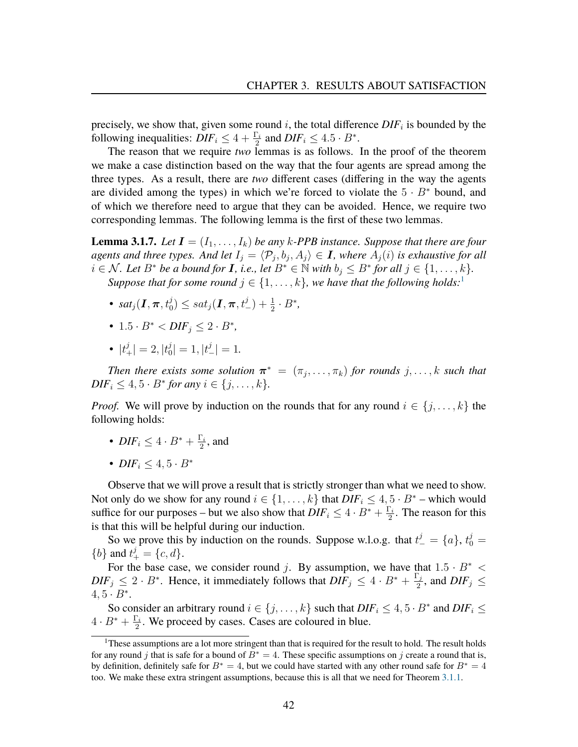precisely, we show that, given some round  $i$ , the total difference  $DIF_i$  is bounded by the following inequalities:  $DIF_i \leq 4 + \frac{\Gamma_i}{2}$  and  $DIF_i \leq 4.5 \cdot B^*$ .

The reason that we require *two* lemmas is as follows. In the proof of the theorem we make a case distinction based on the way that the four agents are spread among the three types. As a result, there are *two* different cases (differing in the way the agents are divided among the types) in which we're forced to violate the  $5 \cdot B^*$  bound, and of which we therefore need to argue that they can be avoided. Hence, we require two corresponding lemmas. The following lemma is the first of these two lemmas.

<span id="page-43-0"></span>**Lemma 3.1.7.** *Let*  $I = (I_1, \ldots, I_k)$  *be any k*-*PPB instance. Suppose that there are four* agents and three types. And let  $I_j = \langle \mathcal{P}_j, b_j, A_j \rangle \in I$ , where  $\overline{A_j(i)}$  is exhaustive for all *i* ∈ *N*. Let  $B^*$  be a bound for **I**, i.e., let  $B^*$  ∈  $\mathbb N$  *with*  $b_j \leq B^*$  for all  $j \in \{1, ..., k\}$ . *Suppose that for some round*  $j \in \{1, \ldots, k\}$  $j \in \{1, \ldots, k\}$  $j \in \{1, \ldots, k\}$ *, we have that the following holds:*<sup>1</sup>

- $sat_j(\textbf{\emph{I}},\boldsymbol{\pi},t_0^j) \leq sat_j(\textbf{\emph{I}},\boldsymbol{\pi},t_-^j) + \frac{1}{2}\cdot B^*,$
- $1.5 \cdot B^* < DIF_j \leq 2 \cdot B^*$
- $|t^j_+| = 2, |t^j_0|$  $|j_0^j| = 1, |t_{-}^j| = 1.$

*Then there exists some solution*  $\boldsymbol{\pi}^* = (\pi_j, \dots, \pi_k)$  *for rounds*  $j, \dots, k$  *such that*  $DIF_i \leq 4, 5 \cdot B^*$  *for any*  $i \in \{j, ..., k\}.$ 

*Proof.* We will prove by induction on the rounds that for any round  $i \in \{j, \ldots, k\}$  the following holds:

- $DIF_i \leq 4 \cdot B^* + \frac{\Gamma_i}{2}$  $\frac{\sum_i}{2}$ , and
- *DIF<sub>i</sub>*  $\leq 4.5 \cdot B^*$

Observe that we will prove a result that is strictly stronger than what we need to show. Not only do we show for any round  $i \in \{1, \ldots, k\}$  that  $DIF_i \leq 4, 5 \cdot B^*$  – which would suffice for our purposes – but we also show that  $DIF_i \leq 4 \cdot B^* + \frac{\Gamma_i}{2}$  $\frac{\sum_{i=1}^{n} z_i}{2}$ . The reason for this is that this will be helpful during our induction.

So we prove this by induction on the rounds. Suppose w.l.o.g. that  $t^j = \{a\}, t^j_0 =$ {*b*} and  $t^{j}_{+} = \{c, d\}.$ 

For the base case, we consider round j. By assumption, we have that  $1.5 \cdot B^*$  <  $DIF_j \leq 2 \cdot B^*$ . Hence, it immediately follows that  $DIF_j \leq 4 \cdot B^* + \frac{\Gamma_j}{2}$  $\frac{\sum_j}{2}$ , and  $DIF_j \leq$  $4, 5 \cdot B^*$ .

So consider an arbitrary round  $i \in \{j, ..., k\}$  such that  $DIF_i \leq 4, 5 \cdot B^*$  and  $DIF_i \leq 4$  $4\cdot B^*+\frac{\Gamma_i}{2}$  $\frac{\Gamma_i}{2}$ . We proceed by cases. Cases are coloured in blue.

<span id="page-43-1"></span> $1$ These assumptions are a lot more stringent than that is required for the result to hold. The result holds for any round j that is safe for a bound of  $B^* = 4$ . These specific assumptions on j create a round that is, by definition, definitely safe for  $B^* = 4$ , but we could have started with any other round safe for  $B^* = 4$ too. We make these extra stringent assumptions, because this is all that we need for Theorem [3.1.1.](#page-37-0)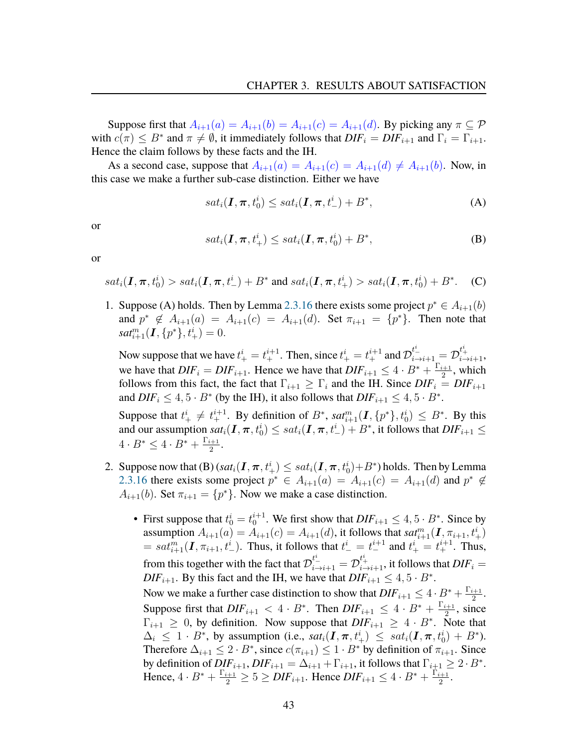Suppose first that  $A_{i+1}(a) = A_{i+1}(b) = A_{i+1}(c) = A_{i+1}(d)$ . By picking any  $\pi \subseteq \mathcal{P}$ with  $c(\pi) \leq B^*$  and  $\pi \neq \emptyset$ , it immediately follows that  $DIF_i = DIF_{i+1}$  and  $\Gamma_i = \Gamma_{i+1}$ . Hence the claim follows by these facts and the IH.

As a second case, suppose that  $A_{i+1}(a) = A_{i+1}(c) = A_{i+1}(d) \neq A_{i+1}(b)$ . Now, in this case we make a further sub-case distinction. Either we have

$$
sat_i(\mathbf{I}, \boldsymbol{\pi}, t_0^i) \le sat_i(\mathbf{I}, \boldsymbol{\pi}, t_-^i) + B^*,
$$
 (A)

or

$$
sat_i(\mathbf{I}, \boldsymbol{\pi}, t^i_+) \le sat_i(\mathbf{I}, \boldsymbol{\pi}, t^i_0) + B^*,
$$
 (B)

or

 $sat_i(\bm{I},\bm{\pi},t_0^i)>sat_i(\bm{I},\bm{\pi},t_-^i)+B^*$  and  $sat_i(\bm{I},\bm{\pi},t_+^i)>sat_i(\bm{I},\bm{\pi},t_0^i)+B^*$  $(C)$ 

1. Suppose (A) holds. Then by Lemma [2.3.16](#page-29-0) there exists some project  $p^* \in A_{i+1}(b)$ and  $p^* \notin A_{i+1}(a) = A_{i+1}(c) = A_{i+1}(d)$ . Set  $\pi_{i+1} = \{p^*\}\$ . Then note that  $sat^m_{i+1}(\mathbf{I}, \{p^*\}, t^i_+) = 0.$ 

Now suppose that we have  $t^i_+ = t^{i+1}_+$ . Then, since  $t^i_+ = t^{i+1}_+$  and  $\mathcal{D}^{t^i_-}_{i \to i+1} = \mathcal{D}^{t^i_+}_{i \to i+1}$ , we have that  $DIF_i = DIF_{i+1}$ . Hence we have that  $DIF_{i+1} \leq 4 \cdot B^* + \frac{\Gamma_{i+1}}{2}$  $\frac{i+1}{2}$ , which follows from this fact, the fact that  $\Gamma_{i+1} \geq \Gamma_i$  and the IH. Since  $DIF_i = DIF_{i+1}$ and  $DIF_i \leq 4, 5 \cdot B^*$  (by the IH), it also follows that  $DIF_{i+1} \leq 4, 5 \cdot B^*$ .

Suppose that  $t^i_+ \neq t^{i+1}_+$ . By definition of  $B^*$ ,  $sat^m_{i+1}(\mathbf{I}, \{p^*\}, t^i_0) \leq B^*$ . By this and our assumption  $sat_i(\bm{I},\bm{\pi},t_0^i)\le sat_i(\bm{I},\bm{\pi},t_-^i)+B^*$ , it follows that  $DIF_{i+1}\le$  $4\cdot B^*\leq 4\cdot B^*+\frac{\Gamma_{i+1}}{2}$  $\frac{i+1}{2}$ .

- 2. Suppose now that  $(B)$   $(sat_i(\bm{I},\bm{\pi},t_+^i)\leq sat_i(\bm{I},\bm{\pi},t_0^i)+B^*)$  holds. Then by Lemma [2.3.16](#page-29-0) there exists some project  $p^* \in A_{i+1}(a) = A_{i+1}(c) = A_{i+1}(d)$  and  $p^* \notin A_{i+1}(a) = A_{i+1}(d)$  $A_{i+1}(b)$ . Set  $\pi_{i+1} = \{p^*\}$ . Now we make a case distinction.
	- First suppose that  $t_0^i = t_0^{i+1}$ . We first show that  $DIF_{i+1} \leq 4, 5 \cdot B^*$ . Since by assumption  $A_{i+1}(a) = A_{i+1}(c) = A_{i+1}(d)$ , it follows that  $sat_{i+1}^m(I, \pi_{i+1}, t^i_+)$  $= sat^{m}_{i+1}(\mathbf{I}, \pi_{i+1}, t^i_-)$ . Thus, it follows that  $t^i_- = t^{i+1}_-$  and  $t^i_+ = t^{i+1}_+$ . Thus, from this together with the fact that  $\mathcal{D}^{t^i_-}_{i\to i+1}=\mathcal{D}^{t^i_+}_{i\to i+1},$  it follows that  $DIF_i=$  $DIF_{i+1}$ . By this fact and the IH, we have that  $DIF_{i+1} \leq 4, 5 \cdot B^*$ . Now we make a further case distinction to show that  $DIF_{i+1} \leq 4 \cdot B^* + \frac{\Gamma_{i+1}}{2}$  $\frac{i+1}{2}$ .

Suppose first that  $DIF_{i+1} < 4 \cdot B^*$ . Then  $DIF_{i+1} \leq 4 \cdot B^* + \frac{\Gamma_{i+1}}{2}$  $\frac{i+1}{2}$ , since  $\Gamma_{i+1} \geq 0$ , by definition. Now suppose that  $DIF_{i+1} \geq 4 \cdot B^*$ . Note that  $\Delta_i \leq 1 \cdot B^*$ , by assumption (i.e.,  $sat_i(I, \pi, t^i_+) \leq sat_i(I, \pi, t^i_0) + B^*$ ). Therefore  $\Delta_{i+1} \leq 2 \cdot B^*$ , since  $c(\pi_{i+1}) \leq 1 \cdot B^*$  by definition of  $\pi_{i+1}$ . Since by definition of  $DIF_{i+1}$ ,  $DIF_{i+1} = \Delta_{i+1} + \Gamma_{i+1}$ , it follows that  $\Gamma_{i+1} \geq 2 \cdot B^*$ . Hence,  $4 \cdot B^* + \frac{\Gamma_{i+1}}{2} \ge 5 \ge DIF_{i+1}$ . Hence  $DIF_{i+1} \le 4 \cdot B^* + \frac{\Gamma_{i+1}}{2}$  $\frac{i+1}{2}$ .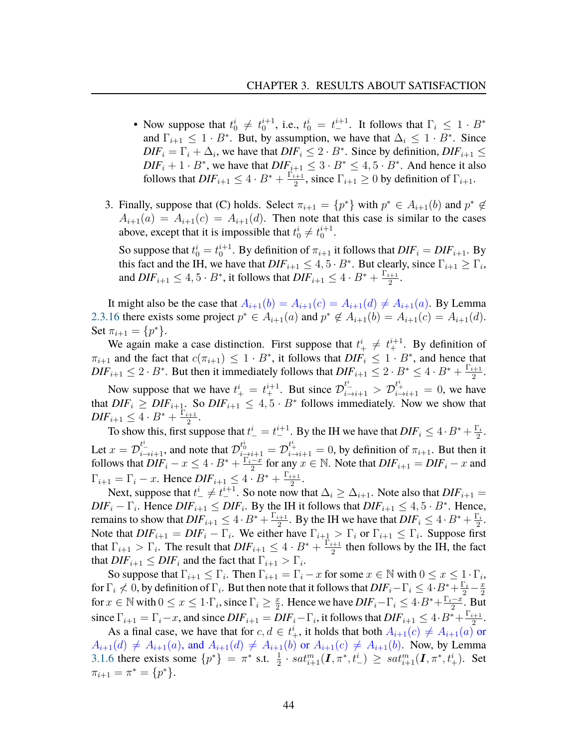- Now suppose that  $t_0^i \neq t_0^{i+1}$ , i.e.,  $t_0^i = t_0^{i+1}$ . It follows that  $\Gamma_i \leq 1 \cdot B^*$ and  $\Gamma_{i+1} \leq 1 \cdot B^*$ . But, by assumption, we have that  $\Delta_i \leq 1 \cdot B^*$ . Since  $\overline{DIF_i} = \Gamma_i + \Delta_i$ , we have that  $\overline{DIF_i} \leq 2 \cdot B^*$ . Since by definition,  $\overline{DIF_{i+1}} \leq$  $DIF_i + 1 \cdot B^*$ , we have that  $DIF_{i+1} \leq 3 \cdot B^* \leq 4, 5 \cdot B^*$ . And hence it also follows that  $DIF_{i+1} \leq 4 \cdot B^* + \frac{\Gamma_{i+1}}{2}$  $\frac{i+1}{2}$ , since  $\Gamma_{i+1} \ge 0$  by definition of  $\Gamma_{i+1}$ .
- <span id="page-45-0"></span>3. Finally, suppose that (C) holds. Select  $\pi_{i+1} = \{p^*\}$  with  $p^* \in A_{i+1}(b)$  and  $p^* \notin A_{i+1}(b)$  $A_{i+1}(a) = A_{i+1}(c) = A_{i+1}(d)$ . Then note that this case is similar to the cases above, except that it is impossible that  $t_0^i \neq t_0^{i+1}$ .

So suppose that  $t_0^i = t_0^{i+1}$ . By definition of  $\pi_{i+1}$  it follows that  $DIF_i = DIF_{i+1}$ . By this fact and the IH, we have that  $DIF_{i+1} \leq 4, 5 \cdot B^*$ . But clearly, since  $\Gamma_{i+1} \geq \Gamma_i$ , and  $DIF_{i+1} \leq 4, 5 \cdot B^*$ , it follows that  $DIF_{i+1} \leq 4 \cdot B^* + \frac{\Gamma_{i+1}}{2}$  $\frac{i+1}{2}$ .

It might also be the case that  $A_{i+1}(b) = A_{i+1}(c) = A_{i+1}(d) \neq A_{i+1}(a)$ . By Lemma [2.3.16](#page-29-0) there exists some project  $p^* \in A_{i+1}(a)$  and  $p^* \notin A_{i+1}(b) = A_{i+1}(c) = A_{i+1}(d)$ . Set  $\pi_{i+1} = \{p^*\}.$ 

We again make a case distinction. First suppose that  $t^{i}_{+} \neq t^{i+1}_{+}$ . By definition of  $\pi_{i+1}$  and the fact that  $c(\pi_{i+1}) \leq 1 \cdot B^*$ , it follows that  $DIF_i \leq 1 \cdot B^*$ , and hence that  $DIF_{i+1} \leq 2 \cdot B^*$ . But then it immediately follows that  $DIF_{i+1} \leq 2 \cdot B^* \leq 4 \cdot B^* + \frac{\Gamma_{i+1}}{2}$  $\frac{i+1}{2}$ .

Now suppose that we have  $t^i_+ = t^{i+1}_+$ . But since  $\mathcal{D}^{t^i_-}_{i \to i+1} > \mathcal{D}^{t^i_+}_{i \to i+1} = 0$ , we have that  $DIF_i \geq DIF_{i+1}$ . So  $DIF_{i+1} \leq 4, 5 \cdot B^*$  follows immediately. Now we show that  $\mathit{DIF}_{i+1} \leq 4 \cdot B^* + \frac{\Gamma_{i+1}}{2}$  $\frac{i+1}{2}$ .

To show this, first suppose that  $t_{-}^i = t_{-}^{i+1}$ . By the IH we have that  $DIF_i \leq 4 \cdot B^* + \frac{\Gamma_i}{2}$  $\frac{\Gamma_i}{2}$ . Let  $x=\mathcal{D}_{i\to i+1}^{t^i}$ , and note that  $\mathcal{D}_{i\to i+1}^{t^i_0}=\mathcal{D}_{i\to i+1}^{t^i_+} =0$ , by definition of  $\pi_{i+1}$ . But then it follows that  $\overline{DIF_i} - x \leq 4 \cdot B^* + \frac{\Gamma_i - x}{2}$  $\frac{-x}{2}$  for any  $x \in \mathbb{N}$ . Note that  $DIF_{i+1} = DIF_i - x$  and  $\Gamma_{i+1} = \Gamma_i - x$ . Hence  $DIF_{i+1} \leq 4 \cdot B^* + \frac{\Gamma_{i+1}}{2}$  $\frac{i+1}{2}$ .

Next, suppose that  $t_{-}^{i} \neq t_{-}^{i+1}$ . So note now that  $\Delta_i \geq \Delta_{i+1}$ . Note also that  $DIF_{i+1}$  =  $DIF_i - \Gamma_i$ . Hence  $DIF_{i+1} \leq DIF_i$ . By the IH it follows that  $DIF_{i+1} \leq 4, 5 \cdot B^*$ . Hence, remains to show that  $DIF_{i+1} \leq 4 \cdot B^* + \frac{\Gamma_{i+1}}{2}$  $\frac{1}{2}$ . By the IH we have that  $DIF_i \leq 4 \cdot B^* + \frac{\Gamma_i}{2}$  $\frac{\Gamma_i}{2}$ . Note that  $DIF_{i+1} = DIF_i - \Gamma_i$ . We either have  $\Gamma_{i+1} > \Gamma_i$  or  $\Gamma_{i+1} \leq \Gamma_i$ . Suppose first that  $\Gamma_{i+1} > \Gamma_i$ . The result that  $DIF_{i+1} \leq 4 \cdot B^* + \frac{\Gamma_{i+1}}{2}$  $\frac{i+1}{2}$  then follows by the IH, the fact that  $DIF_{i+1} \leq DIF_i$  and the fact that  $\Gamma_{i+1} > \Gamma_i$ .

So suppose that  $\Gamma_{i+1} \leq \Gamma_i$ . Then  $\Gamma_{i+1} = \Gamma_i - x$  for some  $x \in \mathbb{N}$  with  $0 \leq x \leq 1 \cdot \Gamma_i$ , for  $\Gamma_i \nless 0$ , by definition of  $\Gamma_i$ . But then note that it follows that  $DIF_i - \Gamma_i \leq 4 \cdot B^*_{\frac{1}{2}} + \frac{\Gamma_i}{2} - \frac{x}{2}$ 2 for  $x \in \mathbb{N}$  with  $0 \le x \le 1 \cdot \Gamma_i$ , since  $\Gamma_i \ge \frac{x}{2}$  $\frac{x}{2}$ . Hence we have  $DIF_i - \Gamma_i \leq 4 \cdot B^* + \frac{\Gamma_i - x}{2}$  $\frac{-x}{2}$ . But since  $\Gamma_{i+1} = \Gamma_i - x$ , and since  $DIF_{i+1} = DIF_i - \Gamma_i$ , it follows that  $DIF_{i+1} \leq 4 \cdot B^* + \frac{\Gamma_{i+1}}{2}$  $\frac{i+1}{2}$ .

As a final case, we have that for  $c, d \in t^i_+$ , it holds that both  $A_{i+1}(c) \neq A_{i+1}(a)$  or  $A_{i+1}(d) \neq A_{i+1}(a)$ , and  $A_{i+1}(d) \neq A_{i+1}(b)$  or  $A_{i+1}(c) \neq A_{i+1}(b)$ . Now, by Lemma [3.1.6](#page-42-0) there exists some  $\{p^*\} = \pi^*$  s.t.  $\frac{1}{2} \cdot sat_{i+1}^m(\mathbf{I}, \pi^*, t^i) \ge sat_{i+1}^m(\mathbf{I}, \pi^*, t^i_+)$ . Set  $\pi_{i+1} = \pi^* = \{p^*\}.$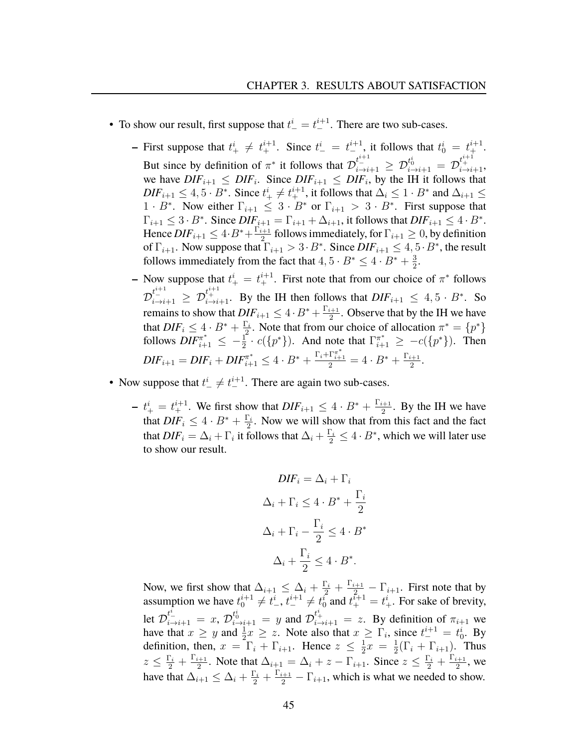- To show our result, first suppose that  $t_{-}^{i} = t_{-}^{i+1}$ . There are two sub-cases.
	- **–** First suppose that  $t^i_+ \neq t^{i+1}_+$ . Since  $t^i_- = t^{i+1}_-$ , it follows that  $t^i_0 = t^{i+1}_+$ . But since by definition of  $\pi^*$  it follows that  $\mathcal{D}_{i\to i+1}^{t^{i+1}_{-}} \geq \mathcal{D}_{i\to i+1}^{t_0^i} = \mathcal{D}_{i\to i+1}^{t_1^{i+1}},$ we have  $DIF_{i+1} \leq DIF_i$ . Since  $DIF_{i+1} \leq DIF_i$ , by the IH it follows that  $\text{DIF}_{i+1} \leq 4, 5 \cdot B^*$ . Since  $t^i_+ \neq t^{i+1}_+$ , it follows that  $\Delta_i \leq 1 \cdot B^*$  and  $\Delta_{i+1} \leq$  $1 \cdot B^*$ . Now either  $\Gamma_{i+1} \leq 3 \cdot B^*$  or  $\Gamma_{i+1} > 3 \cdot B^*$ . First suppose that  $\Gamma_{i+1} \leq 3 \cdot B^*$ . Since  $DIF_{i+1} = \Gamma_{i+1} + \Delta_{i+1}$ , it follows that  $DIF_{i+1} \leq 4 \cdot B^*$ . Hence  $DIF_{i+1} \leq 4 \cdot B^* + \frac{\Gamma_{i+1}}{2}$  $\frac{i+1}{2}$  follows immediately, for  $\Gamma_{i+1}\geq 0$ , by definition of  $\Gamma_{i+1}$ . Now suppose that  $\Gamma_{i+1} > 3 \cdot B^*$ . Since  $DIF_{i+1} \leq 4, 5 \cdot B^*$ , the result follows immediately from the fact that  $4, 5 \cdot B^* \leq 4 \cdot B^* + \frac{3}{2}$  $\frac{3}{2}$ .
	- **–** Now suppose that  $t_{+}^{i} = t_{+}^{i+1}$ . First note that from our choice of  $\pi^*$  follows  $\mathcal{D}_{i\to i+1}^{t^{i+1}_{+}} \geq \mathcal{D}_{i\to i+1}^{t^{i+1}_{+}}$ . By the IH then follows that  $DIF_{i+1} \leq 4, 5\cdot B^*$ . So remains to show that  $DIF_{i+1} \leq 4 \cdot B^* + \frac{\Gamma_{i+1}}{2}$  $\frac{k+1}{2}$ . Observe that by the IH we have that  $DIF_i \leq 4 \cdot B^* + \frac{\Gamma_i}{2}$  $\sum_{i=2}^{n}$ . Note that from our choice of allocation  $\pi^* = \{p^*\}$ follows  $DIF_{i+1}^{\pi^*} \leq -\frac{1}{2} \cdot c({p^*})$ . And note that  $\Gamma_{i+1}^{\pi^*} \geq -c({p^*})$ . Then  $DIF_{i+1} = DIF_i + DIF_{i+1}^{\pi^*} \leq 4 \cdot B^* + \frac{\Gamma_i + \Gamma_{i+1}^{\pi^*}}{2} = 4 \cdot B^* + \frac{\Gamma_{i+1}}{2}$  $\frac{i+1}{2}$ .
- Now suppose that  $t_{-}^{i} \neq t_{-}^{i+1}$ . There are again two sub-cases.
	- $t^i_{+} = t^{i+1}_{+}$ . We first show that  $DIF_{i+1} \leq 4 \cdot B^* + \frac{\Gamma_{i+1}}{2}$  $\frac{i+1}{2}$ . By the IH we have that  $DIF_i \leq 4 \cdot B^* + \frac{\Gamma_i}{2}$  $\frac{\Gamma_i}{2}$ . Now we will show that from this fact and the fact that  $DIF_i = \Delta_i + \Gamma_i$  it follows that  $\Delta_i + \frac{\Gamma_i}{2} \leq 4 \cdot B^*$ , which we will later use to show our result.

$$
DIF_i = \Delta_i + \Gamma_i
$$
  
\n
$$
\Delta_i + \Gamma_i \le 4 \cdot B^* + \frac{\Gamma_i}{2}
$$
  
\n
$$
\Delta_i + \Gamma_i - \frac{\Gamma_i}{2} \le 4 \cdot B^*
$$
  
\n
$$
\Delta_i + \frac{\Gamma_i}{2} \le 4 \cdot B^*.
$$

Now, we first show that  $\Delta_{i+1} \leq \Delta_i + \frac{\Gamma_i}{2} + \frac{\Gamma_{i+1}}{2} - \Gamma_{i+1}$ . First note that by assumption we have  $t_0^{i+1} \neq t_{-}^i$ ,  $t_{-}^{i+1} \neq t_0^i$  and  $t_{+}^{i+1} = t_{+}^i$ . For sake of brevity, let  $\mathcal{D}_{i\to i+1}^{t^i-} = x$ ,  $\mathcal{D}_{i\to i+1}^{t^i-} = y$  and  $\mathcal{D}_{i\to i+1}^{t^i+} = z$ . By definition of  $\pi_{i+1}$  we have that  $x \geq y$  and  $\frac{1}{2}x \geq z$ . Note also that  $x \geq \Gamma_i$ , since  $t^{i+1} = t^i_0$ . By definition, then,  $x = \Gamma_i + \Gamma_{i+1}$ . Hence  $z \leq \frac{1}{2}$  $\frac{1}{2}x = \frac{1}{2}$  $\frac{1}{2}(\Gamma_i + \Gamma_{i+1})$ . Thus  $z \leq \frac{\Gamma_i}{2} + \frac{\Gamma_{i+1}}{2}$  $\frac{i+1}{2}$ . Note that  $\Delta_{i+1} = \Delta_i + z - \Gamma_{i+1}$ . Since  $z \leq \frac{\Gamma_i}{2} + \frac{\Gamma_{i+1}}{2}$  $\frac{i+1}{2}$ , we have that  $\Delta_{i+1} \leq \Delta_i + \frac{\Gamma_i}{2} + \frac{\Gamma_{i+1}}{2} - \Gamma_{i+1}$ , which is what we needed to show.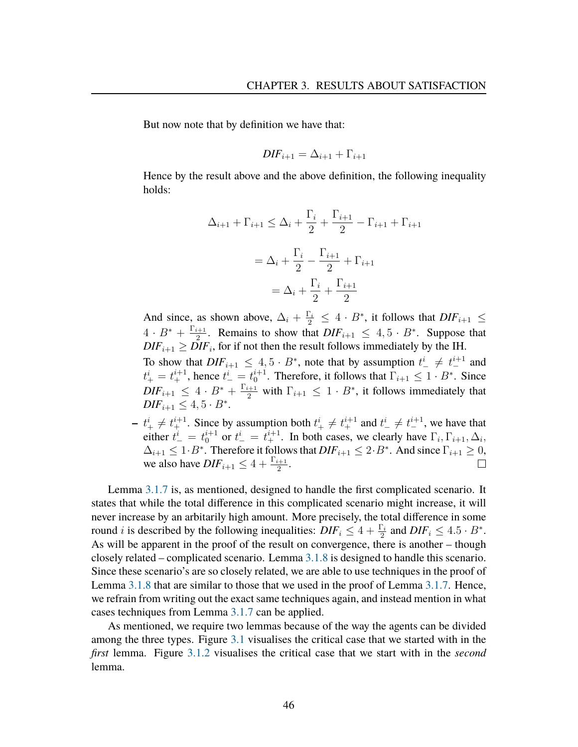But now note that by definition we have that:

$$
DIF_{i+1} = \Delta_{i+1} + \Gamma_{i+1}
$$

Hence by the result above and the above definition, the following inequality holds:

$$
\Delta_{i+1} + \Gamma_{i+1} \le \Delta_i + \frac{\Gamma_i}{2} + \frac{\Gamma_{i+1}}{2} - \Gamma_{i+1} + \Gamma_{i+1}
$$

$$
= \Delta_i + \frac{\Gamma_i}{2} - \frac{\Gamma_{i+1}}{2} + \Gamma_{i+1}
$$

$$
= \Delta_i + \frac{\Gamma_i}{2} + \frac{\Gamma_{i+1}}{2}
$$

And since, as shown above,  $\Delta_i + \frac{\Gamma_i}{2} \leq 4 \cdot B^*$ , it follows that  $DIF_{i+1} \leq$  $4 \cdot B^* + \frac{\Gamma_{i+1}}{2}$  $\frac{1}{2}$ . Remains to show that  $DIF_{i+1} \leq 4, 5 \cdot B^*$ . Suppose that  $DIF_{i+1} \geq \overline{DIF_i}$ , for if not then the result follows immediately by the IH. To show that  $DIF_{i+1} \leq 4, 5 \cdot B^*$ , note that by assumption  $t^i_- \neq t^{i+1}_-$  and  $t_{+}^{i} = t_{+}^{i+1}$ , hence  $t_{-}^{i} = t_{0}^{i+1}$ . Therefore, it follows that  $\Gamma_{i+1} \leq 1 \cdot B^*$ . Since  $\text{DIF}_{i+1} \leq 4 \cdot B^* + \frac{\Gamma_{i+1}}{2}$  with  $\Gamma_{i+1} \leq 1 \cdot B^*$ , it follows immediately that  $DIF_{i+1} \leq 4, 5 \cdot B^*$ .

 $- t_{+}^{i} \neq t_{+}^{i+1}$ . Since by assumption both  $t_{+}^{i} \neq t_{+}^{i+1}$  and  $t_{-}^{i} \neq t_{-}^{i+1}$ , we have that either  $t_{-}^{i} = t_{0}^{i+1}$  or  $t_{-}^{i} = t_{+}^{i+1}$ . In both cases, we clearly have  $\Gamma_i, \Gamma_{i+1}, \Delta_i$ ,  $\Delta_{i+1} \leq 1 \cdot B^*$ . Therefore it follows that  $DIF_{i+1} \leq 2 \cdot B^*$ . And since  $\Gamma_{i+1} \geq 0$ , we also have  $DIF_{i+1} \leq 4 + \frac{\Gamma_{i+1}}{2}$ .  $\Box$ 

Lemma [3.1.7](#page-43-0) is, as mentioned, designed to handle the first complicated scenario. It states that while the total difference in this complicated scenario might increase, it will never increase by an arbitarily high amount. More precisely, the total difference in some round *i* is described by the following inequalities:  $DIF_i \leq 4 + \frac{\Gamma_i}{2}$  and  $DIF_i \leq 4.5 \cdot B^*$ . As will be apparent in the proof of the result on convergence, there is another – though closely related – complicated scenario. Lemma [3.1.8](#page-48-0) is designed to handle this scenario. Since these scenario's are so closely related, we are able to use techniques in the proof of Lemma [3.1.8](#page-48-0) that are similar to those that we used in the proof of Lemma [3.1.7.](#page-43-0) Hence, we refrain from writing out the exact same techniques again, and instead mention in what cases techniques from Lemma [3.1.7](#page-43-0) can be applied.

As mentioned, we require two lemmas because of the way the agents can be divided among the three types. Figure [3.1](#page-37-0) visualises the critical case that we started with in the *first* lemma. Figure [3.1.2](#page-45-0) visualises the critical case that we start with in the *second* lemma.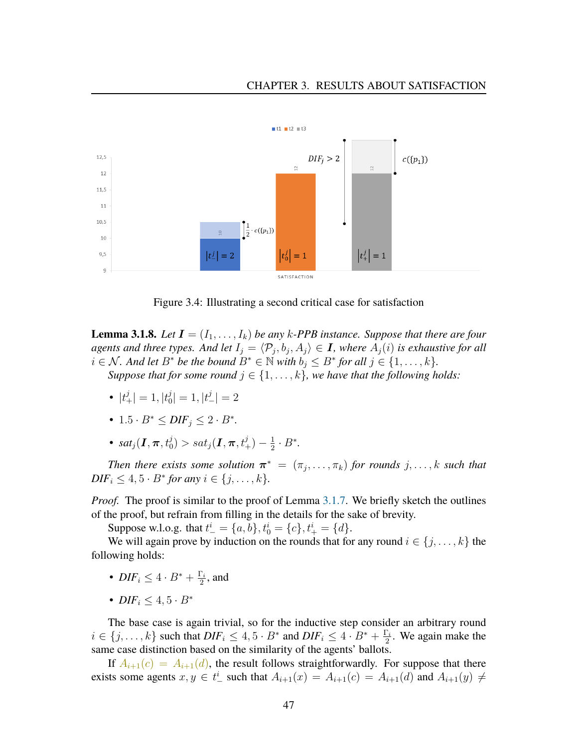#### CHAPTER 3. RESULTS ABOUT SATISFACTION



Figure 3.4: Illustrating a second critical case for satisfaction

<span id="page-48-0"></span>**Lemma 3.1.8.** Let  $I = (I_1, \ldots, I_k)$  be any k-PPB instance. Suppose that there are four agents and three types. And let  $I_j = \langle \mathcal{P}_j, b_j, A_j \rangle \in I$ , where  $A_j(i)$  is exhaustive for all *i* ∈ *N*. And let  $B^*$  be the bound  $B^*$  ∈  $\mathbb N$  *with*  $b_j \leq B^*$  *for all*  $j \in \{1, \ldots, k\}$ *. Suppose that for some round*  $j \in \{1, \ldots, k\}$ , we have that the following holds:

- $|t^j_+| = 1, |t^j_0|$  $|j_0^j|=1, |t_{-}^j|=2$
- $1.5 \cdot B^* \leq DIF_j \leq 2 \cdot B^*$ .
- $sat_j(\boldsymbol{I},\boldsymbol{\pi},t_0^j)>sat_j(\boldsymbol{I},\boldsymbol{\pi},t_+^j)-\frac{1}{2}$  $\frac{1}{2} \cdot B^*$ .

*Then there exists some solution*  $\boldsymbol{\pi}^* = (\pi_j, \dots, \pi_k)$  *for rounds*  $j, \dots, k$  *such that*  $\text{DIF}_{i} \leq 4, 5 \cdot B^* \text{ for any } i \in \{j, ..., k\}.$ 

*Proof.* The proof is similar to the proof of Lemma [3.1.7.](#page-43-0) We briefly sketch the outlines of the proof, but refrain from filling in the details for the sake of brevity.

Suppose w.l.o.g. that  $t^i_- = \{a, b\}, t^i_0 = \{c\}, t^i_+ = \{d\}.$ 

We will again prove by induction on the rounds that for any round  $i \in \{j, \ldots, k\}$  the following holds:

- $DIF_i \leq 4 \cdot B^* + \frac{\Gamma_i}{2}$  $\frac{\Gamma_i}{2}$ , and
- *DIF<sub>i</sub>*  $\leq 4.5 \cdot B^*$

The base case is again trivial, so for the inductive step consider an arbitrary round  $i \in \{j, \ldots, k\}$  such that  $DIF_i \leq 4, 5 \cdot B^*$  and  $DIF_i \leq 4 \cdot B^* + \frac{\Gamma_i}{2}$  $\frac{\Gamma_i}{2}$ . We again make the same case distinction based on the similarity of the agents' ballots.

If  $A_{i+1}(c) = A_{i+1}(d)$ , the result follows straightforwardly. For suppose that there exists some agents  $x, y \in t^i$  such that  $A_{i+1}(x) = A_{i+1}(c) = A_{i+1}(d)$  and  $A_{i+1}(y) \neq$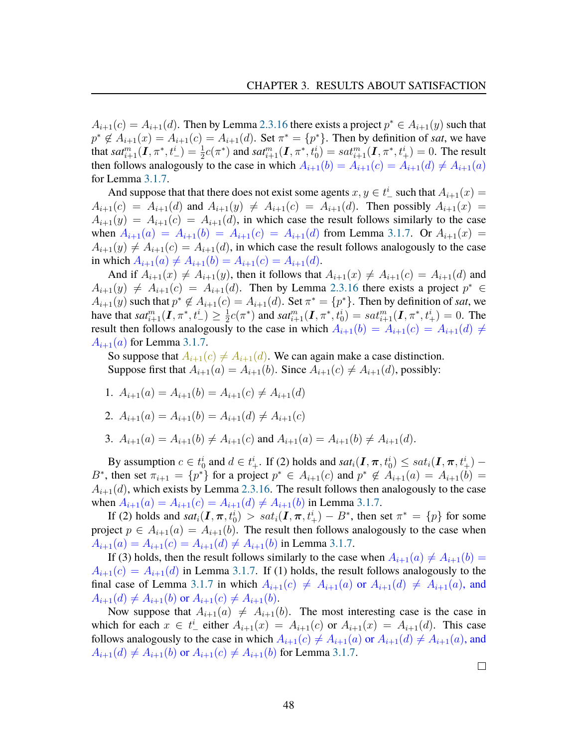$A_{i+1}(c) = A_{i+1}(d)$ . Then by Lemma [2.3.16](#page-29-0) there exists a project  $p^* \in A_{i+1}(y)$  such that  $p^* \notin A_{i+1}(x) = A_{i+1}(c) = A_{i+1}(d)$ . Set  $\pi^* = \{p^*\}\$ . Then by definition of *sat*, we have that  $sat_{i+1}^m(I,\pi^*,t_{-}^i)=\frac{1}{2}c(\pi^*)$  and  $sat_{i+1}^m(I,\pi^*,t_0^i)=sat_{i+1}^m(I,\pi^*,t_{+}^i)=0$ . The result then follows analogously to the case in which  $A_{i+1}(b) = A_{i+1}(c) = A_{i+1}(d) \neq A_{i+1}(a)$ for Lemma [3.1.7.](#page-43-0)

And suppose that that there does not exist some agents  $x, y \in t^i$  such that  $A_{i+1}(x) =$  $A_{i+1}(c) = A_{i+1}(d)$  and  $A_{i+1}(y) \neq A_{i+1}(c) = A_{i+1}(d)$ . Then possibly  $A_{i+1}(x) =$  $A_{i+1}(y) = A_{i+1}(c) = A_{i+1}(d)$ , in which case the result follows similarly to the case when  $A_{i+1}(a) = A_{i+1}(b) = A_{i+1}(c) = A_{i+1}(d)$  from Lemma [3.1.7.](#page-43-0) Or  $A_{i+1}(x) =$  $A_{i+1}(y) \neq A_{i+1}(c) = A_{i+1}(d)$ , in which case the result follows analogously to the case in which  $A_{i+1}(a) \neq A_{i+1}(b) = A_{i+1}(c) = A_{i+1}(d)$ .

And if  $A_{i+1}(x) \neq A_{i+1}(y)$ , then it follows that  $A_{i+1}(x) \neq A_{i+1}(c) = A_{i+1}(d)$  and  $A_{i+1}(y) \neq A_{i+1}(c) = A_{i+1}(d)$ . Then by Lemma [2.3.16](#page-29-0) there exists a project  $p^* \in$  $A_{i+1}(y)$  such that  $p^* \notin A_{i+1}(c) = A_{i+1}(d)$ . Set  $\pi^* = \{p^*\}\$ . Then by definition of *sat*, we have that  $sat_{i+1}^m(I,\pi^*, t_{-}^i) \geq \frac{1}{2}$  $\frac{1}{2}c(\pi^*)$  and  $sat_{i+1}^m(\mathbf{I}, \pi^*, \overline{t_0^i}) = sat_{i+1}^m(\mathbf{I}, \pi^*, t_+^i) = 0$ . The result then follows analogously to the case in which  $A_{i+1}(b) = A_{i+1}(c) = A_{i+1}(d) \neq$  $A_{i+1}(a)$  for Lemma [3.1.7.](#page-43-0)

So suppose that  $A_{i+1}(c) \neq A_{i+1}(d)$ . We can again make a case distinction. Suppose first that  $A_{i+1}(a) = A_{i+1}(b)$ . Since  $A_{i+1}(c) \neq A_{i+1}(d)$ , possibly:

1.  $A_{i+1}(a) = A_{i+1}(b) = A_{i+1}(c) \neq A_{i+1}(d)$ 

2. 
$$
A_{i+1}(a) = A_{i+1}(b) = A_{i+1}(d) \neq A_{i+1}(c)
$$

3.  $A_{i+1}(a) = A_{i+1}(b) \neq A_{i+1}(c)$  and  $A_{i+1}(a) = A_{i+1}(b) \neq A_{i+1}(d)$ .

By assumption  $c \in t_0^i$  and  $d \in t_+^i$ . If (2) holds and  $sat_i(\mathbf{I}, \boldsymbol{\pi}, t_0^i) \le sat_i(\mathbf{I}, \boldsymbol{\pi}, t_+^i)$  – B<sup>\*</sup>, then set  $\pi_{i+1} = \{p^*\}$  for a project  $p^* \in A_{i+1}(c)$  and  $p^* \notin A_{i+1}(a) = A_{i+1}(b)$  $A_{i+1}(d)$ , which exists by Lemma [2.3.16.](#page-29-0) The result follows then analogously to the case when  $A_{i+1}(a) = A_{i+1}(c) = A_{i+1}(d) \neq A_{i+1}(b)$  in Lemma [3.1.7.](#page-43-0)

If (2) holds and  $sat_i(I, \pi, t_0^i) > sat_i(I, \pi, t_+^i) - B^*$ , then set  $\pi^* = \{p\}$  for some project  $p \in A_{i+1}(a) = A_{i+1}(b)$ . The result then follows analogously to the case when  $A_{i+1}(a) = A_{i+1}(c) = A_{i+1}(d) \neq A_{i+1}(b)$  in Lemma [3.1.7.](#page-43-0)

If (3) holds, then the result follows similarly to the case when  $A_{i+1}(a) \neq A_{i+1}(b)$  =  $A_{i+1}(c) = A_{i+1}(d)$  in Lemma [3.1.7.](#page-43-0) If (1) holds, the result follows analogously to the final case of Lemma [3.1.7](#page-43-0) in which  $A_{i+1}(c) \neq A_{i+1}(a)$  or  $A_{i+1}(d) \neq A_{i+1}(a)$ , and  $A_{i+1}(d) \neq A_{i+1}(b)$  or  $A_{i+1}(c) \neq A_{i+1}(b)$ .

Now suppose that  $A_{i+1}(a) \neq A_{i+1}(b)$ . The most interesting case is the case in which for each  $x \in t^i$  either  $A_{i+1}(x) = A_{i+1}(c)$  or  $A_{i+1}(x) = A_{i+1}(d)$ . This case follows analogously to the case in which  $A_{i+1}(c) \neq A_{i+1}(a)$  or  $A_{i+1}(d) \neq A_{i+1}(a)$ , and  $A_{i+1}(d) \neq A_{i+1}(b)$  or  $A_{i+1}(c) \neq A_{i+1}(b)$  for Lemma [3.1.7.](#page-43-0)

 $\Box$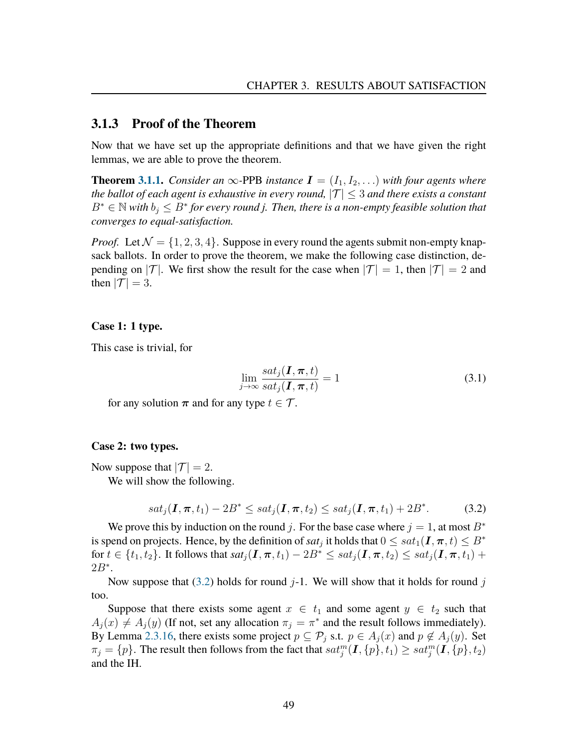### <span id="page-50-0"></span>**3.1.3 Proof of the Theorem**

Now that we have set up the appropriate definitions and that we have given the right lemmas, we are able to prove the theorem.

**Theorem [3.1.1.](#page-37-0)** *Consider an*  $\infty$ -PPB *instance*  $I = (I_1, I_2, \ldots)$  *with four agents where the ballot of each agent is exhaustive in every round,*  $|T| \leq 3$  *and there exists a constant*  $B^* \in \mathbb{N}$  with  $b_j \leq B^*$  for every round j. Then, there is a non-empty feasible solution that *converges to equal-satisfaction.*

*Proof.* Let  $\mathcal{N} = \{1, 2, 3, 4\}$ . Suppose in every round the agents submit non-empty knapsack ballots. In order to prove the theorem, we make the following case distinction, depending on  $|\mathcal{T}|$ . We first show the result for the case when  $|\mathcal{T}| = 1$ , then  $|\mathcal{T}| = 2$  and then  $|\mathcal{T}| = 3$ .

#### **Case 1: 1 type.**

This case is trivial, for

$$
\lim_{j \to \infty} \frac{sat_j(\mathbf{I}, \boldsymbol{\pi}, t)}{sat_j(\mathbf{I}, \boldsymbol{\pi}, t)} = 1
$$
\n(3.1)

for any solution  $\pi$  and for any type  $t \in \mathcal{T}$ .

#### **Case 2: two types.**

Now suppose that  $|\mathcal{T}| = 2$ .

We will show the following.

<span id="page-50-1"></span>
$$
sat_j(\mathbf{I}, \pi, t_1) - 2B^* \le sat_j(\mathbf{I}, \pi, t_2) \le sat_j(\mathbf{I}, \pi, t_1) + 2B^*.
$$
 (3.2)

We prove this by induction on the round j. For the base case where  $j = 1$ , at most  $B^*$ is spend on projects. Hence, by the definition of  $sat_j$  it holds that  $0 \le sat_1(\bm{I},\bm{\pi},t) \le B^*$ for  $t \in \{t_1, t_2\}$ . It follows that  $sat_i(I, \pi, t_1) - 2B^* \le sat_i(I, \pi, t_2) \le sat_i(I, \pi, t_1) +$  $2B^*$ .

Now suppose that [\(3.2\)](#page-50-1) holds for round  $j-1$ . We will show that it holds for round j too.

Suppose that there exists some agent  $x \in t_1$  and some agent  $y \in t_2$  such that  $A_j(x) \neq A_j(y)$  (If not, set any allocation  $\pi_j = \pi^*$  and the result follows immediately). By Lemma [2.3.16,](#page-29-0) there exists some project  $p \subseteq P_j$  s.t.  $p \in A_j(x)$  and  $p \notin A_j(y)$ . Set  $\pi_j = \{p\}.$  The result then follows from the fact that  $sat_j^m(\bm{I}, \{p\}, t_1) \ge sat_j^m(\bm{I}, \{p\}, t_2)$ and the IH.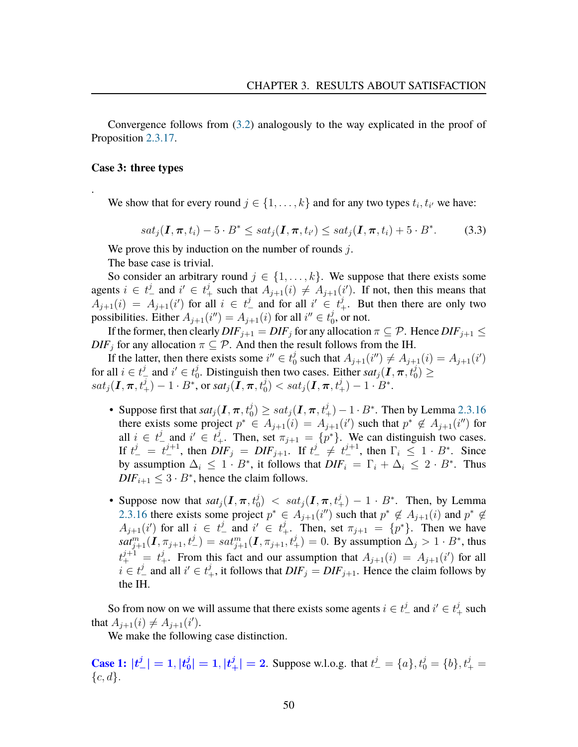Convergence follows from [\(3.2\)](#page-50-1) analogously to the way explicated in the proof of Proposition [2.3.17.](#page-30-0)

#### **Case 3: three types**

.

We show that for every round  $j \in \{1, \ldots, k\}$  and for any two types  $t_i, t_{i'}$  we have:

<span id="page-51-0"></span>
$$
sat_j(\mathbf{I}, \boldsymbol{\pi}, t_i) - 5 \cdot B^* \le sat_j(\mathbf{I}, \boldsymbol{\pi}, t_{i'}) \le sat_j(\mathbf{I}, \boldsymbol{\pi}, t_i) + 5 \cdot B^*.
$$
 (3.3)

We prove this by induction on the number of rounds  $j$ .

The base case is trivial.

So consider an arbitrary round  $j \in \{1, \ldots, k\}$ . We suppose that there exists some agents  $i \in t^j_-$  and  $i' \in t^j_+$  such that  $A_{j+1}(i) \neq A_{j+1}(i')$ . If not, then this means that  $A_{j+1}(i) = A_{j+1}(i')$  for all  $i \in t^j$  and for all  $i' \in t^j_+$ . But then there are only two possibilities. Either  $A_{j+1}(i'') = A_{j+1}(i)$  for all  $i'' \in t_0^j$  $_0^j$ , or not.

If the former, then clearly  $DIF_{i+1} = DIF_i$  for any allocation  $\pi \subseteq \mathcal{P}$ . Hence  $DIF_{i+1} \leq$  $DIF<sub>j</sub>$  for any allocation  $\pi \subseteq \mathcal{P}$ . And then the result follows from the IH.

If the latter, then there exists some  $i'' \in t_0^j$  $\frac{d}{dt}$  such that  $A_{j+1}(i'') \neq A_{j+1}(i) = A_{j+1}(i')$ for all  $i \in t^j_-$  and  $i' \in t^j_0$ <sup>j</sup><sub>0</sub>. Distinguish then two cases. Either  $sat_j(\textbf{I}, \pi, t_0^j) \geq$  $sat_j(\boldsymbol{I},\boldsymbol{\pi},t^j_+)-1\cdot B^*, \text{ or } sat_j(\boldsymbol{I},\boldsymbol{\pi},t^j_0)< sat_j(\boldsymbol{I},\boldsymbol{\pi},t^j_+)-1\cdot B^*.$ 

- Suppose first that  $sat_j(\bm{I},\bm{\pi},t_0^j)\ge sat_j(\bm{I},\bm{\pi},t_+^j)-1\cdot B^*$ . Then by Lemma [2.3.16](#page-29-0) there exists some project  $p^* \in A_{j+1}(i) = A_{j+1}(i')$  such that  $p^* \notin A_{j+1}(i'')$  for all  $i \in t^j$  and  $i' \in t^j_+$ . Then, set  $\pi_{j+1} = \{p^*\}$ . We can distinguish two cases. If  $t_{-}^{j} = t_{-}^{j+1}$ , then  $DIF_{j} = DIF_{j+1}$ . If  $t_{-}^{j} \neq t_{-}^{j+1}$ , then  $\Gamma_{i} \leq 1 \cdot B^{*}$ . Since by assumption  $\Delta_i \leq 1 \cdot B^*$ , it follows that  $DIF_i = \Gamma_i + \Delta_i \leq 2 \cdot B^*$ . Thus  $\text{DIF}_{i+1} \leq 3 \cdot B^*$ , hence the claim follows.
- Suppose now that  $sat_j(I, \pi, t_0^j) < sat_j(I, \pi, t_+^j) 1 \cdot B^*$ . Then, by Lemma [2.3.16](#page-29-0) there exists some project  $p^* \in A_{j+1}(i'')$  such that  $p^* \notin A_{j+1}(i)$  and  $p^* \notin A_{j+1}(i')$  $A_{j+1}(i')$  for all  $i \in t^j$  and  $i' \in t^j_+$ . Then, set  $\pi_{j+1} = \{p^*\}$ . Then we have  $sat_{j+1}^m(I, \pi_{j+1}, t^j_-) = sat_{j+1}^m(I, \pi_{j+1}, t^j_+) = 0$ . By assumption  $\Delta_j > 1 \cdot B^*$ , thus  $t^{j+1}_{+} = t^{j}_{+}$ . From this fact and our assumption that  $A_{j+1}(i) = A_{j+1}(i')$  for all  $i \in t_{-}^{j}$  and all  $i' \in t_{+}^{j}$ , it follows that  $DIF_{j} = DIF_{j+1}$ . Hence the claim follows by the IH.

So from now on we will assume that there exists some agents  $i \in t^j_-$  and  $i' \in t^j_+$  such that  $A_{j+1}(i) \neq A_{j+1}(i')$ .

We make the following case distinction.

**Case 1:**  $|t^j_-| = 1, |t^j_0|$  $|b_0^j| = 1, |t_+^j| = 2$ . Suppose w.l.o.g. that  $t_-^j = \{a\}, t_0^j = \{b\}, t_+^j = \{b_+^j\}$  ${c, d}.$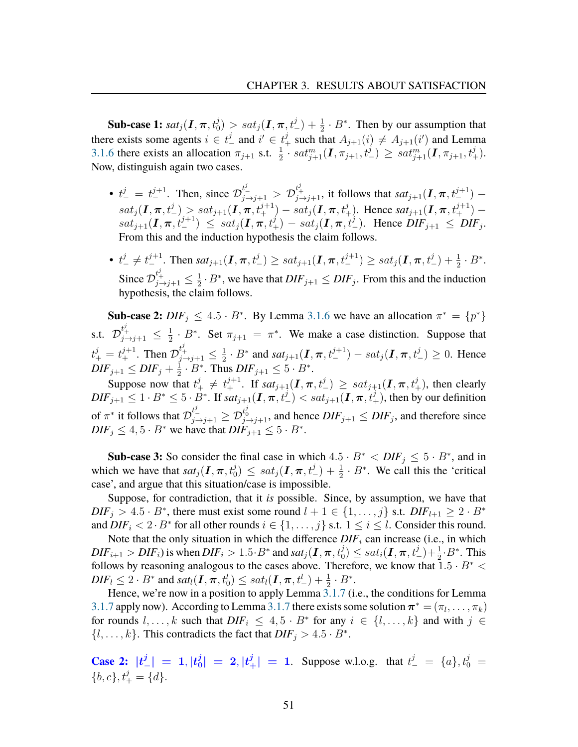**Sub-case 1:**  $sat_j(I, \pi, t_0^j) > sat_j(I, \pi, t_0^j) + \frac{1}{2} \cdot B^*$ . Then by our assumption that there exists some agents  $i \in t^j_-$  and  $i' \in t^j_+$  such that  $A_{j+1}(i) \neq A_{j+1}(i')$  and Lemma [3.1.6](#page-42-0) there exists an allocation  $\pi_{j+1}$  s.t.  $\frac{1}{2} \cdot sat_{j+1}^m(\mathbf{I}, \pi_{j+1}, t^j) \ge sat_{j+1}^m(\mathbf{I}, \pi_{j+1}, t^j)$ . Now, distinguish again two cases.

- $t^j_-=t^{j+1}_-$ . Then, since  $\mathcal{D}^{t^j_-\overline{j}+1}_{j\to j+1} > \mathcal{D}^{t^j_+\overline{j}+1}_{j\to j+1}$ , it follows that  $sat_{j+1}(I,\pi,t^{j+1}_-)$  $sat_j(I,\pi,t^j_-) > sat_{j+1}(I,\pi,t^{j+1}_+) - sat_j(I,\pi,t^j_+).$  Hence  $sat_{j+1}(I,\pi,t^{j+1}_+)$  $sat_{j+1}(\mathbf{I}, \pi, t^{j+1}) \leq sat_j(\mathbf{I}, \pi, t^j_+) - sat_j(\mathbf{I}, \pi, t^j_-).$  Hence  $\overline{DIF_{j+1}} \leq \overline{DIF_j}.$ From this and the induction hypothesis the claim follows.
- $t_{-}^{j} \neq t_{-}^{j+1}$ . Then  $sat_{j+1}(\mathbf{I}, \pi, t_{-}^{j}) \geq sat_{j+1}(\mathbf{I}, \pi, t_{-}^{j+1}) \geq sat_{j}(\mathbf{I}, \pi, t_{-}^{j}) + \frac{1}{2} \cdot B^{*}$ . Since  $\mathcal{D}_{j\rightarrow j+1}^{t_{+}^{j}}\leq\frac{1}{2}$  $\frac{1}{2} \cdot B^*$ , we have that  $DIF_{j+1} \leq DIF_j$ . From this and the induction hypothesis, the claim follows.

**Sub-case 2:**  $DIF_j \leq 4.5 \cdot B^*$ . By Lemma [3.1.6](#page-42-0) we have an allocation  $\pi^* = \{p^*\}$ s.t.  $\mathcal{D}_{j \to j+1}^{t_+^j} \leq \frac{1}{2}$  $\frac{1}{2} \cdot B^*$ . Set  $\pi_{j+1} = \pi^*$ . We make a case distinction. Suppose that  $t^{j}_{+} = t^{j+1}_{+}$ . Then  $\mathcal{D}^{t^{j}_{+}}_{j \rightarrow j+1} \leq \frac{1}{2}$  $\frac{1}{2} \cdot B^*$  and  $sat_{j+1}(\mathbf{I}, \pi, t^{j+1}) - sat_j(\mathbf{I}, \pi, t^j_-) \ge 0$ . Hence  $\mathit{DIF}_{j+1} \leq \mathit{DIF}_{j} + \frac{1}{2}$  $\frac{1}{2} \cdot B^*$ . Thus  $DIF_{j+1} \leq 5 \cdot B^*$ .

Suppose now that  $t^j_+ \neq t^{j+1}_+$ . If  $sat_{j+1}(\mathbf{I}, \pi, t^j_-) \geq sat_{j+1}(\mathbf{I}, \pi, t^j_+)$ , then clearly  $\textit{DIF}_{j+1} \leq 1 \cdot B^* \leq 5 \cdot B^*$ . If  $\textit{sat}_{j+1}(\textit{\textbf{I}}, \boldsymbol{\pi}, t^j_{-}) < \textit{sat}_{j+1}(\textit{\textbf{I}}, \boldsymbol{\pi}, t^j_{+})$ , then by our definition of  $\pi^*$  it follows that  $\mathcal{D}_{j\to j+1}^{t^j_-}\geq \mathcal{D}_{j\to j+1}^{t^j_0}$ , and hence  $DIF_{j+1}\leq DIF_j$ , and therefore since  $DIF_j \leq 4, 5 \cdot B^*$  we have that  $DIF_{j+1} \leq 5 \cdot B^*$ .

**Sub-case 3:** So consider the final case in which  $4.5 \cdot B^* < DIF_j \leq 5 \cdot B^*$ , and in which we have that  $sat_j(I,\pi,t_0^j) \leq sat_j(I,\pi,t_-^j) + \frac{1}{2} \cdot B^*$ . We call this the 'critical case', and argue that this situation/case is impossible.

Suppose, for contradiction, that it *is* possible. Since, by assumption, we have that  $DIF_j > 4.5 \cdot B^*$ , there must exist some round  $l + 1 \in \{1, \ldots, j\}$  s.t.  $DIF_{l+1} \geq 2 \cdot B^*$ and  $\overline{DIF_i} < 2 \cdot B^*$  for all other rounds  $i \in \{1, \ldots, j\}$  s.t.  $1 \leq i \leq l$ . Consider this round.

Note that the only situation in which the difference  $DIF_i$  can increase (i.e., in which  $DIF_{i+1} > DIF_i$ ) is when  $DIF_i > 1.5 \cdot B^*$  and  $sat_j(\bm{I}, \bm{\pi}, t_0^j) \le sat_i(\bm{I}, \bm{\pi}, t_-^j) + \frac{1}{2} \cdot B^*$ . This follows by reasoning analogous to the cases above. Therefore, we know that  $1.5 \cdot B^*$  <  $\textit{DIF}_{l} \leq 2 \cdot B^*$  and  $\textit{sat}_{l}(\textit{\textbf{I}},\textit{\textbf{\pi}},t_0^l) \leq \textit{sat}_{l}(\textit{\textbf{I}},\textit{\textbf{\pi}},t_{-}^l)+\frac{1}{2} \cdot B^*.$ 

Hence, we're now in a position to apply Lemma [3.1.7](#page-43-0) (i.e., the conditions for Lemma [3.1.7](#page-43-0) apply now). According to Lemma 3.1.7 there exists some solution  $\boldsymbol{\pi}^* = (\pi_l, \dots, \pi_k)$ for rounds  $l, \ldots, k$  such that  $DIF_i \leq 4, 5 \cdot B^*$  for any  $i \in \{l, \ldots, k\}$  and with  $j \in$  $\{l, \ldots, k\}$ . This contradicts the fact that  $DIF_j > 4.5 \cdot B^*$ .

**Case 2:**  $|t^j_-| = 1, |t^j_0|$  $\vert \frac{d}{d} \vert = 2, \vert t_+^j \vert = 1$ . Suppose w.l.o.g. that  $t_-^j = \{a\}, t_0^j = 1$  ${b, c}, t<sup>j</sup>_{+} = {d}.$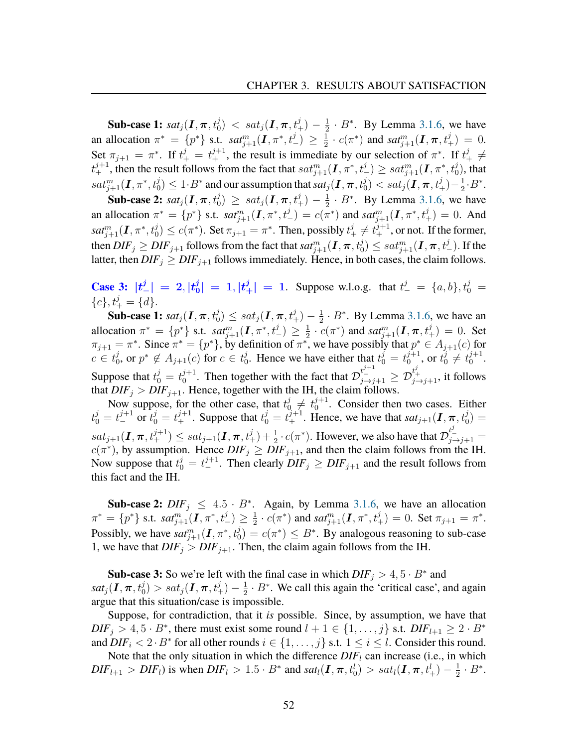**Sub-case 1:**  $\mathit{sat}_j(\bm{I}, \bm{\pi}, t_0^j) \ < \mathit{sat}_j(\bm{I}, \bm{\pi}, t_+^j) - \frac{1}{2}$  $\frac{1}{2} \cdot B^*$ . By Lemma [3.1.6,](#page-42-0) we have an allocation  $\pi^* = \{p^*\}$  s.t.  $sat^m_{j+1}(\mathbf{I}, \pi^*, t^j_-) \geq \frac{1}{2}$  $\frac{1}{2} \cdot c(\pi^*)$  and  $sat_{j+1}^m(I,\pi,t_+^j) = 0$ . Set  $\pi_{j+1} = \pi^*$ . If  $t^j_+ = t^{j+1}_+$ , the result is immediate by our selection of  $\pi^*$ . If  $t^j_+ \neq$  $t^{j+1}_+$ , then the result follows from the fact that  $sat^m_{j+1}(\bm{I},\pi^*,t^j_-)\ge sat^m_{j+1}(\bm{I},\pi^*,t^j_0),$  that  $sat^m_{j+1}(\bm{I},\pi^*,t^j_0)\leq 1\!\cdot \!B^*$  and our assumption that  $sat_j(\bm{I},\bm{\pi},t^j_0)< sat_j(\bm{I},\bm{\pi},t^j_+)-\frac{1}{2}$  $\frac{1}{2} \cdot B^*$ .

**Sub-case 2:**  $\mathit{sat}_j(\bm{I}, \bm{\pi}, t_0^j) \geq \mathit{sat}_j(\bm{I}, \bm{\pi}, t_+^j) - \frac{1}{2}$  $\frac{1}{2} \cdot B^*$ . By Lemma [3.1.6,](#page-42-0) we have an allocation  $\pi^* = \{p^*\}$  s.t.  $sat_{j+1}^m(I, \pi^*, t^j_-) = c(\pi^*)$  and  $sat_{j+1}^m(I, \pi^*, t^j_+) = 0$ . And  $sat^m_{j+1}(\bm{I}, \pi^*, t^j_0)\leq c(\pi^*).$  Set  $\pi_{j+1}=\pi^*.$  Then, possibly  $t^j_+\neq t^{j+1}_+,$  or not. If the former, then  $DIF_j \geq DIF_{j+1}$  follows from the fact that  $sat^m_{j+1}(\bm{I},\bm{\pi},t^j_0) \leq sat^m_{j+1}(\bm{I},\bm{\pi},t^j_-).$  If the latter, then  $DIF_j \geq DIF_{j+1}$  follows immediately. Hence, in both cases, the claim follows.

**Case 3:**  $|t^j_-| = 2, |t^j_0|$  $|j_0^j| = 1, |t_+^j| = 1$ . Suppose w.l.o.g. that  $t_-^j = \{a, b\}, t_0^j =$  ${c}, t<sup>j</sup>_{+} = {d}.$ 

**Sub-case 1:**  $sat_j(\textbf{\emph{I}},\boldsymbol{\pi},t_0^j)\le sat_j(\textbf{\emph{I}},\boldsymbol{\pi},t_+^j)-\frac{1}{2}$  $\frac{1}{2} \cdot B^*$ . By Lemma [3.1.6,](#page-42-0) we have an allocation  $\pi^* = \{p^*\}\$  s.t.  $sat_{j+1}^m(I, \pi^*, t_{-}^j) \geq \frac{1}{2}$  $\frac{1}{2} \cdot c(\pi^*)$  and  $sat_{j+1}^m(I, \pi, t_+^j) = 0$ . Set  $\pi_{j+1} = \pi^*$ . Since  $\pi^* = \{p^*\}$ , by definition of  $\pi^*$ , we have possibly that  $p^* \in A_{j+1}(c)$  for  $c \in t_0^j$  $j_0$ , or  $p^* \notin A_{j+1}(c)$  for  $c \in t_0^j$  $\epsilon_0^j$ . Hence we have either that  $t_0^j = t_0^{j+1}$  $y_0^{j+1}$ , or  $t_0^j \neq t_0^{j+1}$  $_{0}^{j+1}.$ Suppose that  $t_0^j = t_0^{j+1}$  $\mathcal{D}_{0}^{j+1}$ . Then together with the fact that  $\mathcal{D}_{j \to j+1}^{t^{j+1}} \geq \mathcal{D}_{j \to j+1}^{t^{j}}$ , it follows that  $DIF_j > DIF_{j+1}$ . Hence, together with the IH, the claim follows.

Now suppose, for the other case, that  $t_0^j \neq t_0^{j+1}$  $0^{j+1}$ . Consider then two cases. Either  $t_0^j = t_0^{j+1}$  or  $t_0^j = t_+^{j+1}$ . Suppose that  $t_0^j = t_+^{j+1}$ . Hence, we have that  $sat_{j+1}(\mathbf{I}, \pi, t_0^j)$  $sat_{j+1}(\mathbf{I}, \boldsymbol{\pi}, t^{j+1}_+) \leq sat_{j+1}(\mathbf{I}, \boldsymbol{\pi}, t^{j}_+) + \frac{1}{2} \cdot c(\pi^*)$ . However, we also have that  $\mathcal{D}^{t^{j}_-}_{j \to j+1}$  $c(\pi^*)$ , by assumption. Hence  $DIF_j \geq \overline{DIF_{j+1}}$ , and then the claim follows from the IH. Now suppose that  $t_0^j = t_0^{j+1}$ . Then clearly  $DIF_j \geq DIF_{j+1}$  and the result follows from this fact and the IH.

**Sub-case 2:**  $DIF_j \leq 4.5 \cdot B^*$ . Again, by Lemma [3.1.6,](#page-42-0) we have an allocation  $\pi^* = \{p^*\}$  s.t.  $\mathit{sat}^m_{j+1}(\bm{I}, \pi^*, t^j_-) \geq \frac{1}{2}$  $\frac{1}{2} \cdot c(\pi^*)$  and  $sat_{j+1}^m(I, \pi^*, t_+^j) = 0$ . Set  $\pi_{j+1} = \pi^*$ . Possibly, we have  $sat_{j+1}^m(I,\pi^*,t_0^j)=c(\pi^*)\leq B^*$ . By analogous reasoning to sub-case 1, we have that  $DIF_j > DIF_{j+1}$ . Then, the claim again follows from the IH.

**Sub-case 3:** So we're left with the final case in which  $DIF_j > 4, 5 \cdot B^*$  and  $sat_j(\bm{I},\bm{\pi},t_0^j)>sat_j(\bm{I},\bm{\pi},t_+^j)-\frac{1}{2}$  $\frac{1}{2} \cdot B^*$ . We call this again the 'critical case', and again argue that this situation/case is impossible.

Suppose, for contradiction, that it *is* possible. Since, by assumption, we have that  $DIF_j > 4, 5 \cdot B^*$ , there must exist some round  $l + 1 \in \{1, \ldots, j\}$  s.t.  $DIF_{l+1} \geq 2 \cdot B^*$ and  $\overline{DIF_i} < 2 \cdot B^*$  for all other rounds  $i \in \{1, \ldots, j\}$  s.t.  $1 \leq i \leq l$ . Consider this round.

Note that the only situation in which the difference  $DIF_l$  can increase (i.e., in which  $DIF_{l+1} > DIF_l$ ) is when  $DIF_l > 1.5 \cdot B^*$  and  $sat_l(\mathbf{I}, \boldsymbol{\pi}, t_0^l) > sat_l(\mathbf{I}, \boldsymbol{\pi}, t_+^l) - \frac{1}{2}$  $\frac{1}{2} \cdot B^*$ .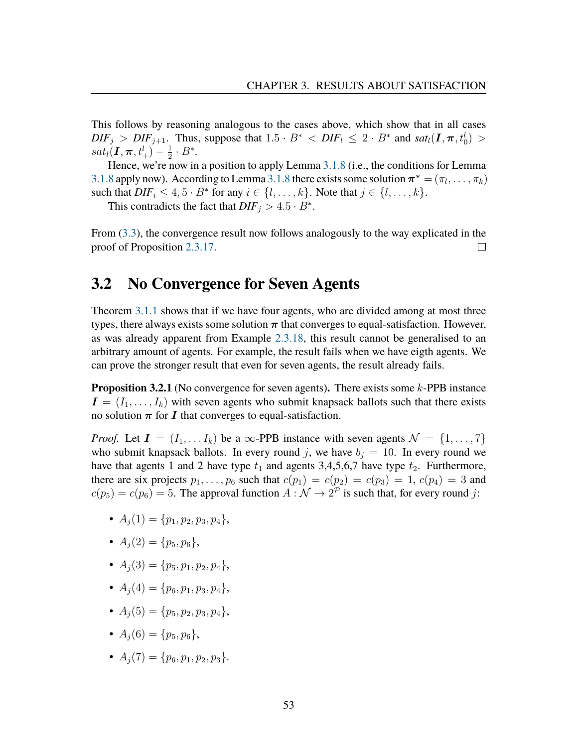This follows by reasoning analogous to the cases above, which show that in all cases  $DIF_j > DIF_{j+1}$ . Thus, suppose that  $1.5 \cdot B^* < DIF_l \leq 2 \cdot B^*$  and  $sat_l(\mathbf{I}, \pi, t_0^l) >$  $sat_l(\boldsymbol{I},\boldsymbol{\pi},t^l_+)-\frac{1}{2}$  $\frac{1}{2} \cdot B^*$ .

Hence, we're now in a position to apply Lemma [3.1.8](#page-48-0) (i.e., the conditions for Lemma [3.1.8](#page-48-0) apply now). According to Lemma 3.1.8 there exists some solution  $\boldsymbol{\pi}^* = (\pi_l, \dots, \pi_k)$ such that  $DIF_i \leq 4, 5 \cdot B^*$  for any  $i \in \{l, ..., k\}$ . Note that  $j \in \{l, ..., k\}$ .

This contradicts the fact that  $DIF_j > 4.5 \cdot B^*$ .

From [\(3.3\)](#page-51-0), the convergence result now follows analogously to the way explicated in the proof of Proposition [2.3.17.](#page-30-0)  $\Box$ 

## **3.2 No Convergence for Seven Agents**

Theorem [3.1.1](#page-37-0) shows that if we have four agents, who are divided among at most three types, there always exists some solution  $\pi$  that converges to equal-satisfaction. However, as was already apparent from Example [2.3.18,](#page-34-0) this result cannot be generalised to an arbitrary amount of agents. For example, the result fails when we have eigth agents. We can prove the stronger result that even for seven agents, the result already fails.

<span id="page-54-0"></span>**Proposition 3.2.1** (No convergence for seven agents)**.** There exists some k-PPB instance  $I = (I_1, \ldots, I_k)$  with seven agents who submit knapsack ballots such that there exists no solution  $\pi$  for I that converges to equal-satisfaction.

*Proof.* Let  $I = (I_1, \ldots, I_k)$  be a  $\infty$ -PPB instance with seven agents  $\mathcal{N} = \{1, \ldots, 7\}$ who submit knapsack ballots. In every round j, we have  $b_j = 10$ . In every round we have that agents 1 and 2 have type  $t_1$  and agents 3,4,5,6,7 have type  $t_2$ . Furthermore, there are six projects  $p_1, \ldots, p_6$  such that  $c(p_1) = c(p_2) = c(p_3) = 1, c(p_4) = 3$  and  $c(p_5) = c(p_6) = 5$ . The approval function  $A : \mathcal{N} \to 2^{\mathcal{P}}$  is such that, for every round j:

- $A_i(1) = \{p_1, p_2, p_3, p_4\},\$
- $A_i(2) = \{p_5, p_6\},\,$
- $A_i(3) = \{p_5, p_1, p_2, p_4\},\$
- $A_i(4) = \{p_6, p_1, p_3, p_4\},\$
- $A_i(5) = \{p_5, p_2, p_3, p_4\},\$
- $A_i(6) = \{p_5, p_6\},\,$
- $A_i(7) = \{p_6, p_1, p_2, p_3\}.$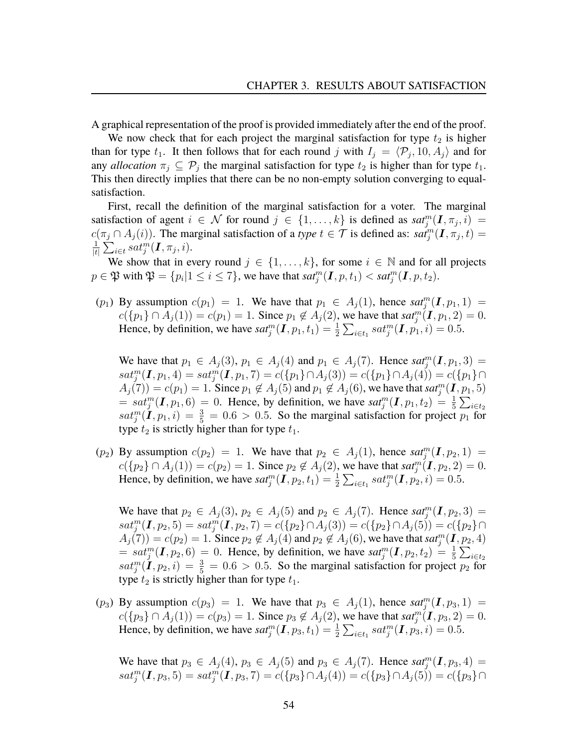A graphical representation of the proof is provided immediately after the end of the proof.

We now check that for each project the marginal satisfaction for type  $t_2$  is higher than for type  $t_1$ . It then follows that for each round j with  $I_j = \langle \mathcal{P}_j, 10, A_j \rangle$  and for any *allocation*  $\pi_j \subseteq \mathcal{P}_j$  the marginal satisfaction for type  $t_2$  is higher than for type  $t_1$ . This then directly implies that there can be no non-empty solution converging to equalsatisfaction.

First, recall the definition of the marginal satisfaction for a voter. The marginal satisfaction of agent  $i \in \mathcal{N}$  for round  $j \in \{1, ..., k\}$  is defined as  $sat_j^m(\boldsymbol{I}, \pi_j, i)$  $c(\pi_j \cap A_j(i))$ . The marginal satisfaction of a *type*  $t \in \mathcal{T}$  is defined as:  $sat_j^m(\mathbf{I}, \pi_j, t)$ 1  $\frac{1}{|t|}\sum_{i\in t}^r sat_j^m(\bm{I}, \pi_j, i).$ 

We show that in every round  $j \in \{1, \ldots, k\}$ , for some  $i \in \mathbb{N}$  and for all projects  $p \in \mathfrak{P}$  with  $\mathfrak{P} = \{p_i | 1 \le i \le 7\}$ , we have that  $sat_j^m(\mathbf{I}, p, t_1) < sat_j^m(\mathbf{I}, p, t_2)$ .

(p<sub>1</sub>) By assumption  $c(p_1) = 1$ . We have that  $p_1 \in A_j(1)$ , hence  $sat_j^m(I, p_1, 1) =$  $c({p_1} \cap A_j(1)) = c(p_1) = 1$ . Since  $p_1 \notin A_j(2)$ , we have that  $sat_j^m(I, p_1, 2) = 0$ . Hence, by definition, we have  $sat_j^m(\mathbf{I}, p_1, t_1) = \frac{1}{2} \sum_{i \in t_1} sat_j^m(\mathbf{I}, p_1, i) = 0.5$ .

We have that  $p_1 \in A_j(3)$ ,  $p_1 \in A_j(4)$  and  $p_1 \in A_j(7)$ . Hence  $\textit{sat}_j^m(\textbf{I},p_1,3)$  $sat_j^m(\boldsymbol{I},p_1,4)=sat_j^m(\boldsymbol{I},p_1,7)=c(\{p_1\}\cap A_j(3))=c(\{p_1\}\cap A_j(4))=c(\{p_1\}\cap A_j(5))=c(\{p_2\})$  $A_j(7)) = c(p_1) = 1$ . Since  $p_1 \notin A_j(5)$  and  $p_1 \notin A_j(6)$ , we have that  $sat_j^m(\mathbf{I}, p_1, 5)$  $\mathcal{L} = sat_j^m(\mathbf{I}, p_1, 6) = 0$ . Hence, by definition, we have  $sat_j^m(\mathbf{I}, p_1, t_2) = \frac{1}{5} \sum_{i \in t_2}$  $sat_j^m(\mathbf{I},p_1,i) = \frac{3}{5} = 0.6 > 0.5$ . So the marginal satisfaction for project  $p_1$  for type  $t_2$  is strictly higher than for type  $t_1$ .

 $(p_2)$  By assumption  $c(p_2) = 1$ . We have that  $p_2 \in A_j(1)$ , hence  $sat_j^m(I, p_2, 1) =$  $c({p_2} \cap A_j(1)) = c(p_2) = 1$ . Since  $p_2 \notin A_j(2)$ , we have that  $sat_j^m(I, p_2, 2) = 0$ . Hence, by definition, we have  $sat_j^m(\mathbf{I}, p_2, t_1) = \frac{1}{2} \sum_{i \in t_1} sat_j^m(\mathbf{I}, p_2, i) = 0.5$ .

We have that  $p_2 \in A_j(3)$ ,  $p_2 \in A_j(5)$  and  $p_2 \in A_j(7)$ . Hence  $sat_j^m(I, p_2, 3)$  $sat_j^m(\mathbf{I},p_2,5)=sat_j^m(\mathbf{I},p_2,7)=c(\{p_2\}\cap A_j(3))=c(\{p_2\}\cap A_j(5))=c(\{p_2\}\cap A_j(5))=c(\{p_3\}\cap A_j(5))=c(\{p_4\}\cap A_j(5))=c(\{p_5\}\cap A_j(5))=c(\{p_6\}\cap A_j(5))=c(\{p_7\}\cap A_j(5))=c(\{p_8\}\cap A_j(5))=c(\{p_9\}\cap A_j(5))=c(\{p_9\}\cap A_j(5))=c(\{p_9\}\cap A_j(5))=c(\{p_9\}\$  $A_j(7)) = c(p_2) = 1$ . Since  $p_2 \notin A_j(4)$  and  $p_2 \notin A_j(6)$ , we have that  $sat_j^m(\mathbf{I},p_2,4)$  $\mathcal{L} = sat_j^m(\mathbf{I}, p_2, 6) = 0$ . Hence, by definition, we have  $sat_j^m(\mathbf{I}, p_2, t_2) = \frac{1}{5} \sum_{i \in t_2}$  $sat_j^m(\mathbf{I},p_2,i) = \frac{3}{5} = 0.6 > 0.5$ . So the marginal satisfaction for project  $p_2$  for type  $t_2$  is strictly higher than for type  $t_1$ .

(p<sub>3</sub>) By assumption  $c(p_3) = 1$ . We have that  $p_3 \in A_j(1)$ , hence  $sat_j^m(I, p_3, 1) =$  $c({p_3} \cap A_j(1)) = c(p_3) = 1$ . Since  $p_3 \notin A_j(2)$ , we have that  $sat_j^m(I, p_3, 2) = 0$ . Hence, by definition, we have  $sat_j^m(\mathbf{I}, p_3, t_1) = \frac{1}{2} \sum_{i \in t_1} sat_j^m(\mathbf{I}, p_3, i) = 0.5$ .

We have that  $p_3 \in A_j(4)$ ,  $p_3 \in A_j(5)$  and  $p_3 \in A_j(7)$ . Hence  $sat_j^m(\mathbf{I}, p_3, 4)$  $sat_j^m(\mathbf{I},p_3,5)=sat_j^m(\mathbf{I},p_3,7)=c(\{p_3\}\cap A_j(4))=c(\{p_3\}\cap A_j(5))=c(\{p_3\}\cap A_j(5))=c(\{p_3\}\cap A_j(5))=c(\{p_4\}\cap A_j(5))=c(\{p_5\}\cap A_j(5))=c(\{p_6\}\cap A_j(5))=c(\{p_7\}\cap A_j(5))=c(\{p_8\}\cap A_j(5))=c(\{p_9\}\cap A_j(5))=c(\{p_9\}\cap A_j(5))=c(\{p_9\}\cap A_j(5))=c(\{p_9\}\$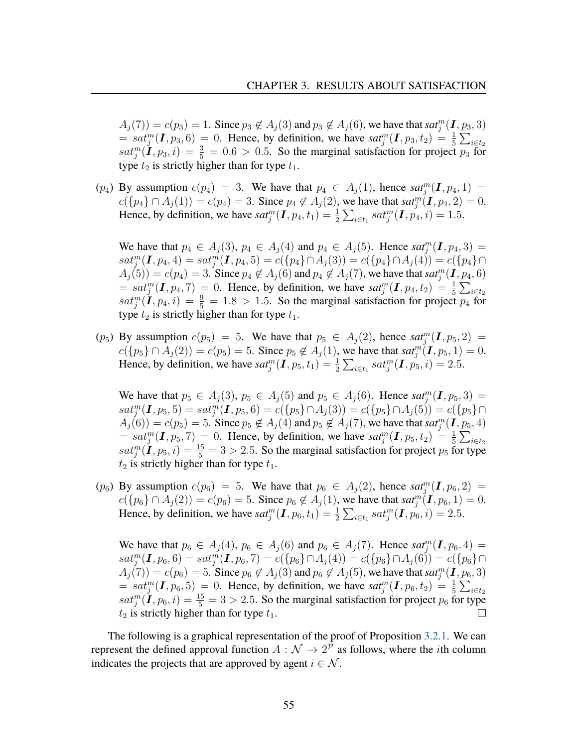$A_j(7) = c(p_3) = 1$ . Since  $p_3 \notin A_j(3)$  and  $p_3 \notin A_j(6)$ , we have that  $sat_j^m(\mathbf{I}, p_3, 3)$  $= sat_j^m(\mathbf{I}, p_3, 6) = 0$ . Hence, by definition, we have  $sat_j^m(\mathbf{I}, p_3, t_2) = \frac{1}{5} \sum_{i \in t_2}$  $sat_j^m(\mathbf{I},p_3,i) = \frac{3}{5} = 0.6 > 0.5$ . So the marginal satisfaction for project  $\overline{p_3}$  for type  $t_2$  is strictly higher than for type  $t_1$ .

(p<sub>4</sub>) By assumption  $c(p_4) = 3$ . We have that  $p_4 \in A_j(1)$ , hence  $sat_j^m(I, p_4, 1) =$  $c({p_4} \cap A_j(1)) = c(p_4) = 3$ . Since  $p_4 \notin A_j(2)$ , we have that  $sat_j^m(I, p_4, 2) = 0$ . Hence, by definition, we have  $sat_j^m(\mathbf{I}, p_4, t_1) = \frac{1}{2} \sum_{i \in t_1} sat_j^m(\mathbf{I}, p_4, i) = 1.5$ .

We have that  $p_4 \in A_j(3)$ ,  $p_4 \in A_j(4)$  and  $p_4 \in A_j(5)$ . Hence  $sat_j^m(\mathbf{I}, p_4, 3)$  $sat_j^m(\boldsymbol{I},p_4,4)=sat_j^m(\boldsymbol{I},p_4,5)=c(\{p_4\}\cap A_j(3))=c(\{p_4\}\cap A_j(4))=c(\{p_4\}\cap A_j(4))$  $A_j(5)) = c(p_4) = 3$ . Since  $p_4 \notin A_j(6)$  and  $p_4 \notin A_j(7)$ , we have that  $sat_j^m(\mathbf{I},p_4,6)$  $\mathcal{L} = sat_j^m(\mathbf{I}, p_4, 7) = 0$ . Hence, by definition, we have  $sat_j^m(\mathbf{I}, p_4, t_2) = \frac{1}{5} \sum_{i \in t_2}$  $sat_j^m(\mathbf{I},p_4,i) = \frac{9}{5} = 1.8 > 1.5$ . So the marginal satisfaction for project  $p_4$  for type  $t_2$  is strictly higher than for type  $t_1$ .

(p<sub>5</sub>) By assumption  $c(p_5) = 5$ . We have that  $p_5 \in A_j(2)$ , hence  $sat_j^m(I, p_5, 2) =$  $c({p_5} \cap A_j(2)) = c(p_5) = 5$ . Since  $p_5 \notin A_j(1)$ , we have that  $sat_j^m(I, p_5, 1) = 0$ . Hence, by definition, we have  $sat_j^m(\mathbf{I}, p_5, t_1) = \frac{1}{2} \sum_{i \in t_1} sat_j^m(\mathbf{I}, p_5, i) = 2.5$ .

We have that  $p_5 \in A_j(3)$ ,  $p_5 \in A_j(5)$  and  $p_5 \in A_j(6)$ . Hence  $sat_j^m(\mathbf{I}, p_5, 3)$  $sat_j^m(\boldsymbol{I},p_5,5)=sat_j^m(\boldsymbol{I},p_5,6)=c(\{p_5\}\cap A_j(3))=c(\{p_5\}\cap A_j(5))=c(\{p_5\}\cap A_j(5))=c(\{p_6\}\cap A_j(5))=c(\{p_7\}\cap A_j(5))=c(\{p_8\}\cap A_j(5))=c(\{p_9\}\cap A_j(5))=c(\{p_9\}\cap A_j(5))=c(\{p_9\}\cap A_j(5))=c(\{p_9\}\cap A_j(5))=c(\{p_9\}\cap A_j(5))=c(\{p_9\}\cap A_j(5))=c(\{p_9\}\$  $A_j(6)) = c(p_5) = 5$ . Since  $p_5 \notin A_j(4)$  and  $p_5 \notin A_j(7)$ , we have that  $sat_j^m(\mathbf{I}, p_5, 4)$  $= sat_j^m(I, p_5, 7) = 0$ . Hence, by definition, we have  $sat_j^m(I, p_5, t_2) = \frac{1}{5} \sum_{i \in t_2}$  $sat_j^m(\mathbf{I},p_5,i)=\frac{15}{5}=3>2.5.$  So the marginal satisfaction for project  $p_5$  for type  $t_2$  is strictly higher than for type  $t_1$ .

(p<sub>6</sub>) By assumption  $c(p_6) = 5$ . We have that  $p_6 \in A_j(2)$ , hence  $sat_j^m(I, p_6, 2) =$  $c({p_6}\cap A_j(2)) = c(p_6) = 5$ . Since  $p_6 \notin A_j(1)$ , we have that  $sat_j^m(I, p_6, 1) = 0$ . Hence, by definition, we have  $sat_j^m(\mathbf{I}, p_6, t_1) = \frac{1}{2} \sum_{i \in t_1} sat_j^m(\mathbf{I}, p_6, i) = 2.5$ .

We have that  $p_6 \in A_j(4)$ ,  $p_6 \in A_j(6)$  and  $p_6 \in A_j(7)$ . Hence  $sat_j^m(I, p_6, 4)$  $sat_j^m(\boldsymbol{I},p_6,6)=sat_j^m(\boldsymbol{I},p_6,7)=c(\{p_6\}\cap A_j(4))=c(\{p_6\}\cap A_j(6))=c(\{p_6\}\cap A_j(6))$  $A_j(7)) = c(p_6) = 5$ . Since  $p_6 \notin A_j(3)$  and  $p_6 \notin A_j(5)$ , we have that  $sat_j^m(\mathbf{I}, p_6, 3)$  $= sat_j^m(\mathbf{I}, p_6, 5) = 0$ . Hence, by definition, we have  $sat_j^m(\mathbf{I}, p_6, t_2) = \frac{1}{5} \sum_{i \in t_2}$  $sat_j^m(\mathbf{I},p_6,i)=\frac{15}{5}=3>2.5.$  So the marginal satisfaction for project  $p_6$  for type  $t_2$  is strictly higher than for type  $t_1$ .

The following is a graphical representation of the proof of Proposition [3.2.1.](#page-54-0) We can represent the defined approval function  $A : \mathcal{N} \to 2^{\overline{p}}$  as follows, where the *i*th column indicates the projects that are approved by agent  $i \in \mathcal{N}$ .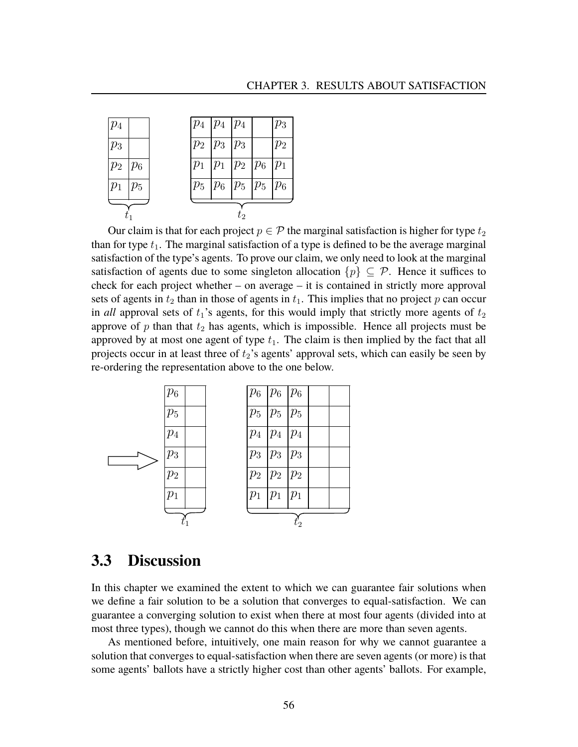

Our claim is that for each project  $p \in \mathcal{P}$  the marginal satisfaction is higher for type  $t_2$ than for type  $t_1$ . The marginal satisfaction of a type is defined to be the average marginal satisfaction of the type's agents. To prove our claim, we only need to look at the marginal satisfaction of agents due to some singleton allocation  $\{p\} \subseteq \mathcal{P}$ . Hence it suffices to check for each project whether – on average – it is contained in strictly more approval sets of agents in  $t_2$  than in those of agents in  $t_1$ . This implies that no project p can occur in *all* approval sets of  $t_1$ 's agents, for this would imply that strictly more agents of  $t_2$ approve of  $p$  than that  $t_2$  has agents, which is impossible. Hence all projects must be approved by at most one agent of type  $t_1$ . The claim is then implied by the fact that all projects occur in at least three of  $t_2$ 's agents' approval sets, which can easily be seen by re-ordering the representation above to the one below.



## **3.3 Discussion**

In this chapter we examined the extent to which we can guarantee fair solutions when we define a fair solution to be a solution that converges to equal-satisfaction. We can guarantee a converging solution to exist when there at most four agents (divided into at most three types), though we cannot do this when there are more than seven agents.

As mentioned before, intuitively, one main reason for why we cannot guarantee a solution that converges to equal-satisfaction when there are seven agents (or more) is that some agents' ballots have a strictly higher cost than other agents' ballots. For example,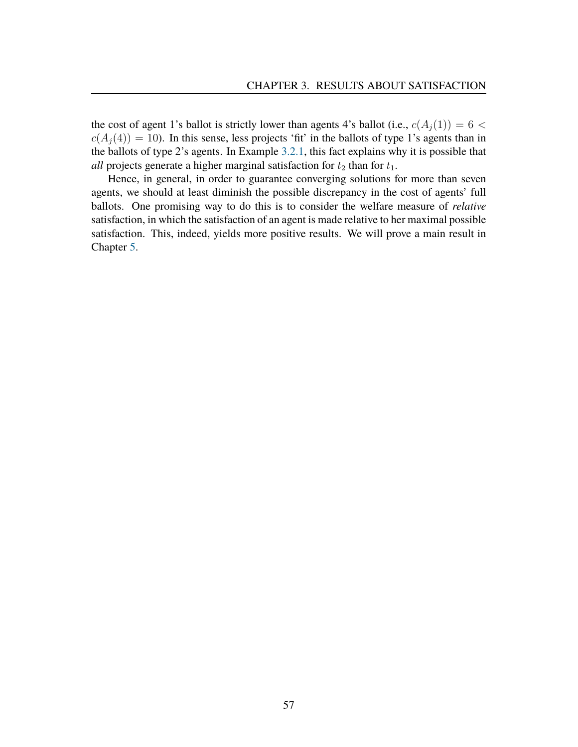the cost of agent 1's ballot is strictly lower than agents 4's ballot (i.e.,  $c(A_i(1)) = 6$  <  $c(A_i(4)) = 10$ ). In this sense, less projects 'fit' in the ballots of type 1's agents than in the ballots of type 2's agents. In Example [3.2.1,](#page-54-0) this fact explains why it is possible that *all* projects generate a higher marginal satisfaction for  $t_2$  than for  $t_1$ .

Hence, in general, in order to guarantee converging solutions for more than seven agents, we should at least diminish the possible discrepancy in the cost of agents' full ballots. One promising way to do this is to consider the welfare measure of *relative* satisfaction, in which the satisfaction of an agent is made relative to her maximal possible satisfaction. This, indeed, yields more positive results. We will prove a main result in Chapter [5.](#page-62-0)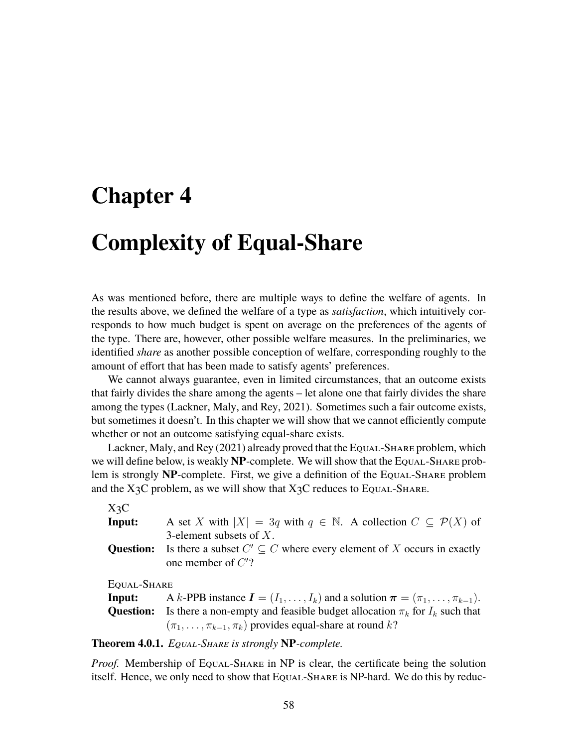# **Chapter 4**

# **Complexity of Equal-Share**

As was mentioned before, there are multiple ways to define the welfare of agents. In the results above, we defined the welfare of a type as *satisfaction*, which intuitively corresponds to how much budget is spent on average on the preferences of the agents of the type. There are, however, other possible welfare measures. In the preliminaries, we identified *share* as another possible conception of welfare, corresponding roughly to the amount of effort that has been made to satisfy agents' preferences.

We cannot always guarantee, even in limited circumstances, that an outcome exists that fairly divides the share among the agents – let alone one that fairly divides the share among the types (Lackner, Maly, and Rey, [2021\)](#page-81-0). Sometimes such a fair outcome exists, but sometimes it doesn't. In this chapter we will show that we cannot efficiently compute whether or not an outcome satisfying equal-share exists.

Lackner, Maly, and Rey [\(2021\)](#page-81-0) already proved that the Equal-Share problem, which we will define below, is weakly **NP**-complete. We will show that the Equal-Share problem is strongly **NP**-complete. First, we give a definition of the Equal-Share problem and the  $X_3C$  problem, as we will show that  $X_3C$  reduces to Equal-Share.

### X3C

| Input: | A set X with $ X  = 3q$ with $q \in \mathbb{N}$ . A collection $C \subseteq \mathcal{P}(X)$ of |
|--------|------------------------------------------------------------------------------------------------|
|        | 3-element subsets of $X$ .                                                                     |
|        | <b>Question:</b> Is there a subset $C' \subseteq C$ where every element of X occurs in exactly |
|        | one member of $C$ ?                                                                            |

EQUAL-SHARE

**Input:** A k-PPB instance  $\mathbf{I} = (I_1, \ldots, I_k)$  and a solution  $\boldsymbol{\pi} = (\pi_1, \ldots, \pi_{k-1})$ . **Question:** Is there a non-empty and feasible budget allocation  $\pi_k$  for  $I_k$  such that  $(\pi_1, \ldots, \pi_{k-1}, \pi_k)$  provides equal-share at round k?

**Theorem 4.0.1.** *Equal-Share is strongly* **NP***-complete.*

*Proof.* Membership of EQUAL-SHARE in NP is clear, the certificate being the solution itself. Hence, we only need to show that Equal-Share is NP-hard. We do this by reduc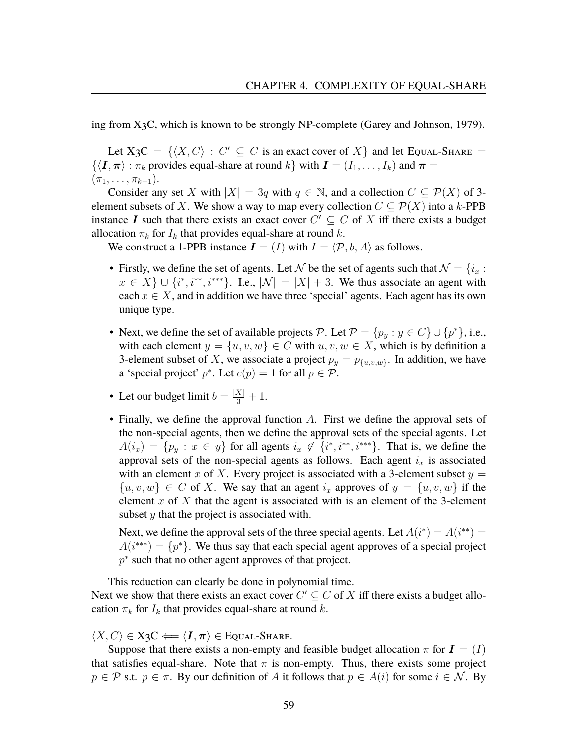ing from X3C, which is known to be strongly NP-complete (Garey and Johnson, [1979\)](#page-80-0).

Let  $X_3C = \{ \langle X, C \rangle : C' \subseteq C$  is an exact cover of X and let Equal-Share =  $\{\langle \mathbf{I}, \boldsymbol{\pi} \rangle : \pi_k \text{ provides equal-share at round } k\}$  with  $\mathbf{I} = (I_1, \ldots, I_k)$  and  $\boldsymbol{\pi} =$  $(\pi_1, \ldots, \pi_{k-1}).$ 

Consider any set X with  $|X| = 3q$  with  $q \in \mathbb{N}$ , and a collection  $C \subset \mathcal{P}(X)$  of 3element subsets of X. We show a way to map every collection  $C \subseteq \mathcal{P}(X)$  into a k-PPB instance I such that there exists an exact cover  $C' \subseteq C$  of X iff there exists a budget allocation  $\pi_k$  for  $I_k$  that provides equal-share at round k.

We construct a 1-PPB instance  $\mathbf{I} = (I)$  with  $I = \langle \mathcal{P}, b, A \rangle$  as follows.

- Firstly, we define the set of agents. Let N be the set of agents such that  $\mathcal{N} = \{i_x :$  $x \in X$   $\cup$   $\{i^*, i^{**}, i^{***}\}.$  I.e.,  $|\mathcal{N}| = |X| + 3$ . We thus associate an agent with each  $x \in X$ , and in addition we have three 'special' agents. Each agent has its own unique type.
- Next, we define the set of available projects P. Let  $P = \{p_y : y \in C\} \cup \{p^*\}\,$ , i.e., with each element  $y = \{u, v, w\} \in C$  with  $u, v, w \in X$ , which is by definition a 3-element subset of X, we associate a project  $p_y = p_{\{u,v,w\}}$ . In addition, we have a 'special project'  $p^*$ . Let  $c(p) = 1$  for all  $p \in \mathcal{P}$ .
- Let our budget limit  $b = \frac{|X|}{3} + 1$ .
- Finally, we define the approval function  $A$ . First we define the approval sets of the non-special agents, then we define the approval sets of the special agents. Let  $A(i_x) = \{p_y : x \in y\}$  for all agents  $i_x \notin \{i^*, i^{**}, i^{***}\}.$  That is, we define the approval sets of the non-special agents as follows. Each agent  $i_x$  is associated with an element x of X. Every project is associated with a 3-element subset  $y =$  $\{u, v, w\} \in C$  of X. We say that an agent  $i_x$  approves of  $y = \{u, v, w\}$  if the element x of X that the agent is associated with is an element of the 3-element subset y that the project is associated with.

Next, we define the approval sets of the three special agents. Let  $A(i^*) = A(i^{**}) = \overline{A(i^{**})}$  $A(i^{***}) = \{p^*\}\.$  We thus say that each special agent approves of a special project  $p^*$  such that no other agent approves of that project.

This reduction can clearly be done in polynomial time. Next we show that there exists an exact cover  $C' \subseteq C$  of X iff there exists a budget allocation  $\pi_k$  for  $I_k$  that provides equal-share at round k.

 $\langle X, C \rangle \in X$ 3 $C \Longleftarrow \langle I, \pi \rangle \in E$ QUAL-SHARE.

Suppose that there exists a non-empty and feasible budget allocation  $\pi$  for  $\mathbf{I} = (I)$ that satisfies equal-share. Note that  $\pi$  is non-empty. Thus, there exists some project  $p \in \mathcal{P}$  s.t.  $p \in \pi$ . By our definition of A it follows that  $p \in A(i)$  for some  $i \in \mathcal{N}$ . By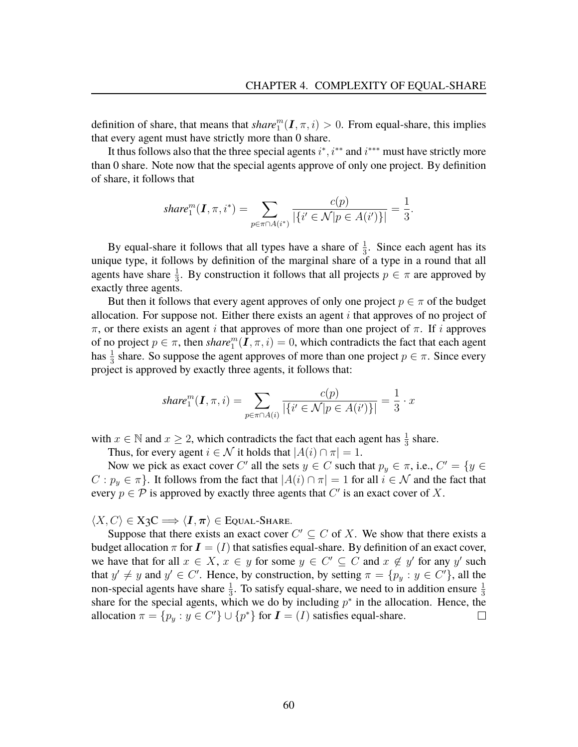definition of share, that means that  $share_1^m(I, \pi, i) > 0$ . From equal-share, this implies that every agent must have strictly more than 0 share.

It thus follows also that the three special agents  $i^*$ ,  $i^{**}$  and  $i^{***}$  must have strictly more than 0 share. Note now that the special agents approve of only one project. By definition of share, it follows that

$$
share_1^m(\mathbf{I}, \pi, i^*) = \sum_{p \in \pi \cap A(i^*)} \frac{c(p)}{|\{i' \in \mathcal{N} | p \in A(i')\}|} = \frac{1}{3}.
$$

By equal-share it follows that all types have a share of  $\frac{1}{3}$ . Since each agent has its unique type, it follows by definition of the marginal share of a type in a round that all agents have share  $\frac{1}{3}$ . By construction it follows that all projects  $p \in \pi$  are approved by exactly three agents.

But then it follows that every agent approves of only one project  $p \in \pi$  of the budget allocation. For suppose not. Either there exists an agent  $i$  that approves of no project of  $\pi$ , or there exists an agent i that approves of more than one project of  $\pi$ . If i approves of no project  $p \in \pi$ , then *share*  $\prod_{i=1}^{m}$ ,  $\overline{I}$ ,  $\pi$ ,  $i) = 0$ , which contradicts the fact that each agent has  $\frac{1}{3}$  share. So suppose the agent approves of more than one project  $p \in \pi$ . Since every project is approved by exactly three agents, it follows that:

$$
share_1^m(\mathbf{I}, \pi, i) = \sum_{p \in \pi \cap A(i)} \frac{c(p)}{|\{i' \in \mathcal{N} | p \in A(i')\}|} = \frac{1}{3} \cdot x
$$

with  $x \in \mathbb{N}$  and  $x \ge 2$ , which contradicts the fact that each agent has  $\frac{1}{3}$  share.

Thus, for every agent  $i \in \mathcal{N}$  it holds that  $|A(i) \cap \pi| = 1$ .

Now we pick as exact cover C' all the sets  $y \in C$  such that  $p_y \in \pi$ , i.e.,  $C' = \{y \in C\}$  $C: p_y \in \pi$ . It follows from the fact that  $|A(i) \cap \pi| = 1$  for all  $i \in \mathcal{N}$  and the fact that every  $p \in \mathcal{P}$  is approved by exactly three agents that  $C'$  is an exact cover of X.

 $\langle X, C \rangle \in X_3C \Longrightarrow \langle I, \pi \rangle \in E$ QUAL-SHARE.

Suppose that there exists an exact cover  $C' \subseteq C$  of X. We show that there exists a budget allocation  $\pi$  for  $\mathbf{I} = (I)$  that satisfies equal-share. By definition of an exact cover, we have that for all  $x \in X$ ,  $x \in y$  for some  $y \in C' \subseteq C$  and  $x \notin y'$  for any y' such that  $y' \neq y$  and  $y' \in C'$ . Hence, by construction, by setting  $\pi = \{p_y : y \in C'\}$ , all the non-special agents have share  $\frac{1}{3}$ . To satisfy equal-share, we need to in addition ensure  $\frac{1}{3}$ share for the special agents, which we do by including  $p^*$  in the allocation. Hence, the allocation  $\pi = \{p_y : y \in C'\} \cup \{p^*\}$  for  $\mathbf{I} = (I)$  satisfies equal-share.  $\Box$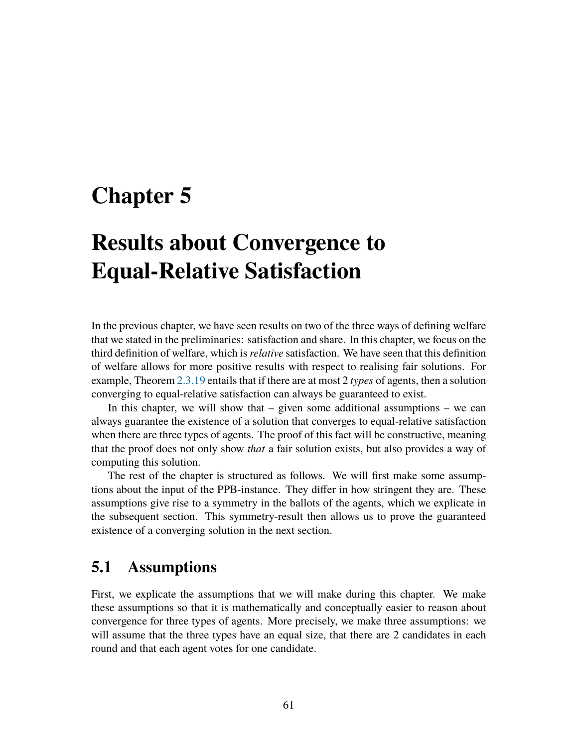# <span id="page-62-0"></span>**Chapter 5**

# **Results about Convergence to Equal-Relative Satisfaction**

In the previous chapter, we have seen results on two of the three ways of defining welfare that we stated in the preliminaries: satisfaction and share. In this chapter, we focus on the third definition of welfare, which is *relative* satisfaction. We have seen that this definition of welfare allows for more positive results with respect to realising fair solutions. For example, Theorem [2.3.19](#page-35-0) entails that if there are at most 2 *types* of agents, then a solution converging to equal-relative satisfaction can always be guaranteed to exist.

In this chapter, we will show that  $-$  given some additional assumptions  $-$  we can always guarantee the existence of a solution that converges to equal-relative satisfaction when there are three types of agents. The proof of this fact will be constructive, meaning that the proof does not only show *that* a fair solution exists, but also provides a way of computing this solution.

The rest of the chapter is structured as follows. We will first make some assumptions about the input of the PPB-instance. They differ in how stringent they are. These assumptions give rise to a symmetry in the ballots of the agents, which we explicate in the subsequent section. This symmetry-result then allows us to prove the guaranteed existence of a converging solution in the next section.

## **5.1 Assumptions**

First, we explicate the assumptions that we will make during this chapter. We make these assumptions so that it is mathematically and conceptually easier to reason about convergence for three types of agents. More precisely, we make three assumptions: we will assume that the three types have an equal size, that there are 2 candidates in each round and that each agent votes for one candidate.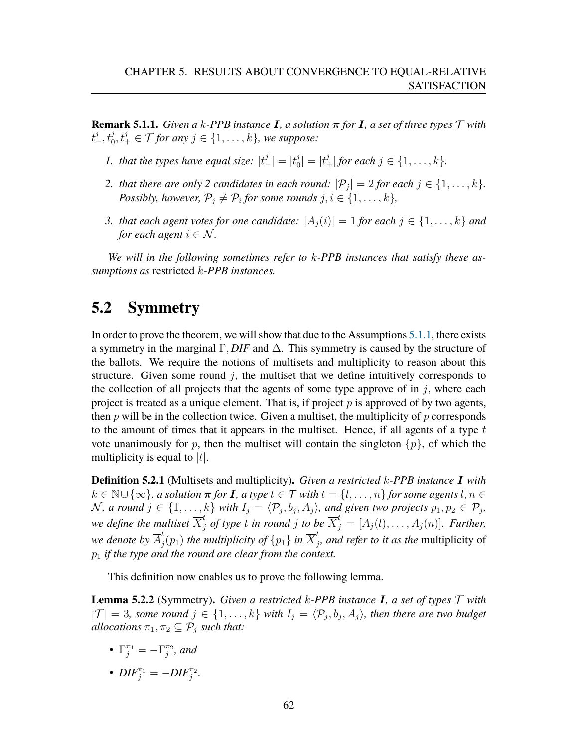<span id="page-63-0"></span>**Remark 5.1.1.** *Given a k-PPB instance* **I**, a solution  $\pi$  for **I**, a set of three types  $\mathcal T$  with  $t_{-}^{j}, t_{0}^{j}, t_{+}^{j} \in \mathcal{T}$  for any  $j \in \{1, \ldots, k\}$ , we suppose:

- 1. that the types have equal size:  $|t^j_-\|=|t^j_0|$  $|j_0^j| = |t_+^j|$  for each  $j \in \{1, ..., k\}.$
- 2. *that there are only* 2 *candidates in each round:*  $|\mathcal{P}_j| = 2$  *for each*  $j \in \{1, \ldots, k\}$ *. Possibly, however,*  $\mathcal{P}_j \neq \mathcal{P}_i$  for some rounds  $j, i \in \{1, \ldots, k\}$ ,
- *3. that each agent votes for one candidate:*  $|A_i(i)| = 1$  *for each*  $j \in \{1, ..., k\}$  *and for each agent*  $i \in \mathcal{N}$ *.*

*We will in the following sometimes refer to* k*-PPB instances that satisfy these assumptions as* restricted k*-PPB instances.*

## **5.2 Symmetry**

In order to prove the theorem, we will show that due to the Assumptions [5.1.1,](#page-63-0) there exists a symmetry in the marginal  $\Gamma$ , *DIF* and  $\Delta$ . This symmetry is caused by the structure of the ballots. We require the notions of multisets and multiplicity to reason about this structure. Given some round  $j$ , the multiset that we define intuitively corresponds to the collection of all projects that the agents of some type approve of in  $j$ , where each project is treated as a unique element. That is, if project  $p$  is approved of by two agents, then  $p$  will be in the collection twice. Given a multiset, the multiplicity of  $p$  corresponds to the amount of times that it appears in the multiset. Hence, if all agents of a type  $t$ vote unanimously for p, then the multiset will contain the singleton  $\{p\}$ , of which the multiplicity is equal to  $|t|$ .

**Definition 5.2.1** (Multisets and multiplicity)**.** *Given a restricted* k*-PPB instance* I *with*  $k \in \mathbb{N} \cup \{\infty\}$ , a solution  $\pi$  for **I**, a type  $t \in \mathcal{T}$  with  $t = \{l, \ldots, n\}$  for some agents  $l, n \in \mathcal{T}$ *N*, a round  $j$  ∈ {1, ..., k} with  $I_j = \langle P_j, b_j, A_j \rangle$ , and given two projects  $p_1, p_2 \in P_j$ , we define the multiset  $\overline{X}_j^t$  of type  $t$  in round  $j$  to be  $\overline{X}_j^t = [A_j(l), \ldots, A_j(n)]$ . Further, we denote by  $\overline{A}_{i}^{t}$  $f_j(p_1)$  the multiplicity of  $\{p_1\}$  in  $\overline{X}_j^t$ j *, and refer to it as the* multiplicity of  $p_1$  *if the type and the round are clear from the context.* 

This definition now enables us to prove the following lemma.

<span id="page-63-1"></span>**Lemma 5.2.2** (Symmetry)**.** *Given a restricted* k*-PPB instance* I*, a set of types* T *with*  $|\mathcal{T}| = 3$ *, some round*  $j \in \{1, ..., k\}$  with  $I_j = \langle \mathcal{P}_j, b_j, A_j \rangle$ *, then there are two budget allocations*  $\pi_1, \pi_2 \subseteq \mathcal{P}_i$  *such that:* 

•  $\Gamma_j^{\pi_1} = -\Gamma_j^{\pi_2}$ , and •  $DIF_j^{\pi_1} = -DIF_j^{\pi_2}$ .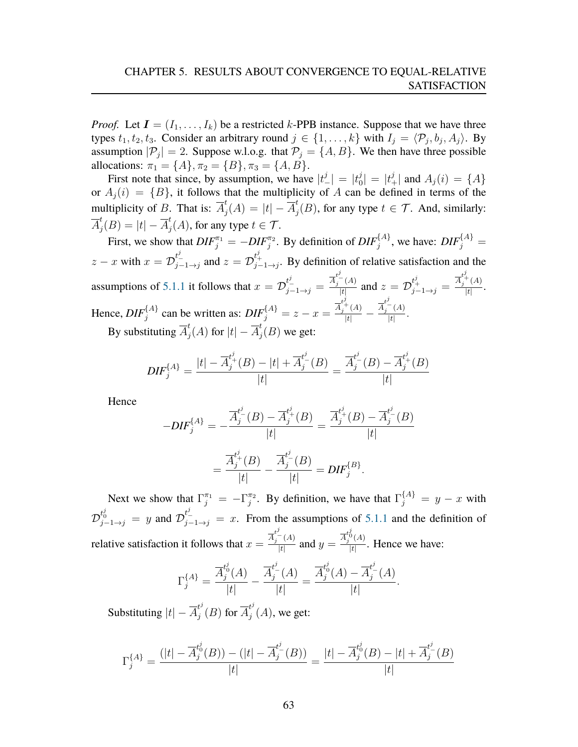*Proof.* Let  $I = (I_1, \ldots, I_k)$  be a restricted k-PPB instance. Suppose that we have three types  $t_1, t_2, t_3$ . Consider an arbitrary round  $j \in \{1, ..., k\}$  with  $I_j = \langle \mathcal{P}_j, b_j, A_j \rangle$ . By assumption  $|\mathcal{P}_j| = 2$ . Suppose w.l.o.g. that  $\mathcal{P}_j = \{A, B\}$ . We then have three possible allocations:  $\pi_1 = \{A\}, \pi_2 = \{B\}, \pi_3 = \{A, B\}.$ 

First note that since, by assumption, we have  $|t^j_-| = |t^j_0|$  $|j_0^j| = |t_+^j|$  and  $A_j(i) = \{A\}$ or  $A_j(i) = \{B\}$ , it follows that the multiplicity of A can be defined in terms of the multiplicity of B. That is:  $\overline{A}_{i}^{t}$  $j^t(A) = |t| - \overline{A}_j^t$  $j^t_j(B)$ , for any type  $t \in \mathcal{T}$ . And, similarly:  $\overline{A}^t_i$  $j^t(B)=|t|-\overline{A}_j^t$  $_{j}^{t}(A)$ , for any type  $t \in \mathcal{T}$ .

First, we show that  $DIF_{j}^{\pi_1} = -DIF_{j}^{\pi_2}$ . By definition of  $DIF_{j}^{\{A\}}$ , we have:  $DIF_{j}^{\{A\}} =$  $z-x$  with  $x=\mathcal{D}_{j-1\to j}^{t_{-}^{j}}$  and  $z=\mathcal{D}_{j-1\to j}^{t_{+}^{j}}$ . By definition of relative satisfaction and the assumptions of [5.1.1](#page-63-0) it follows that  $x = \mathcal{D}_{j-1\to j}^{t^j-1} = \frac{\overline{A}_j^{t^j-1}(A)}{|t|}$  $\frac{f^{j}(A)}{|t|}$  and  $z = \mathcal{D}_{j-1 \to j}^{t^{j}_{+}} = \frac{\overline{A}_{j}^{t^{j}_{+}}(A)}{|t|}$  $\frac{(A)}{|t|}$ . Hence,  $DIF_j^{\{A\}}$  can be written as:  $DIF_j^{\{A\}} = z - x = \frac{\overline{A}_j^{\epsilon^j_+}(A)}{|t|} - \frac{\overline{A}_j^{\epsilon^j_-}(A)}{|t|}$  $\frac{1}{|t|}$ . By substituting  $\overline{A}_i^t$  $\frac{t}{j}(A)$  for  $|t|-\overline{A}_j^t$  $j^t(B)$  we get:

$$
DIF_j^{\{A\}} = \frac{|t| - \overline{A}_j^{t^j_+}(B) - |t| + \overline{A}_j^{t^j_-}(B)}{|t|} = \frac{\overline{A}_j^{t^j_-}(B) - \overline{A}_j^{t^j_+}(B)}{|t|}
$$

Hence

$$
-DIF_j^{\{A\}} = -\frac{\overline{A}_j^{t^j}(B) - \overline{A}_j^{t^j}(B)}{|t|} = \frac{\overline{A}_j^{t^j}(B) - \overline{A}_j^{t^j}(B)}{|t|}
$$

$$
= \frac{\overline{A}_j^{t^j}(B)}{|t|} - \frac{\overline{A}_j^{t^j}(B)}{|t|} = DIF_j^{\{B\}}.
$$

Next we show that  $\Gamma_j^{\pi_1} = -\Gamma_j^{\pi_2}$ . By definition, we have that  $\Gamma_j^{\{A\}} = y - x$  with  $\mathcal{D}_{j-1\to j}^{t_0^j} = y$  and  $\mathcal{D}_{j-1\to j}^{t_1^j} = x$ . From the assumptions of [5.1.1](#page-63-0) and the definition of relative satisfaction it follows that  $x = \frac{\overline{A}_j^{\overline{t}^j}(A)}{|\overline{t}|}$  $\frac{d^{j-1}(A)}{|t|}$  and  $y = \frac{\overline{A}_{j}^{t_0^j}(A)}{|t|}$  $\frac{d^{o}(A)}{|t|}$ . Hence we have:

$$
\Gamma_j^{\{A\}} = \frac{\overline{A}_j^{t_0^j}(A)}{|t|} - \frac{\overline{A}_j^{t_-^j}(A)}{|t|} = \frac{\overline{A}_j^{t_0^j}(A) - \overline{A}_j^{t_-^j}(A)}{|t|}.
$$

Substituting  $|t| - \overline{A}_i^{t^j}$  $_{j}^{t^{j}}(B)$  for  $\overline{A}_{j}^{t^{j}}$  $j^{t'}(A)$ , we get:

$$
\Gamma_j^{\{A\}} = \frac{(|t| - \overline{A}_j^{t_0^j}(B)) - (|t| - \overline{A}_j^{t_-^j}(B))}{|t|} = \frac{|t| - \overline{A}_j^{t_0^j}(B) - |t| + \overline{A}_j^{t_-^j}(B)}{|t|}
$$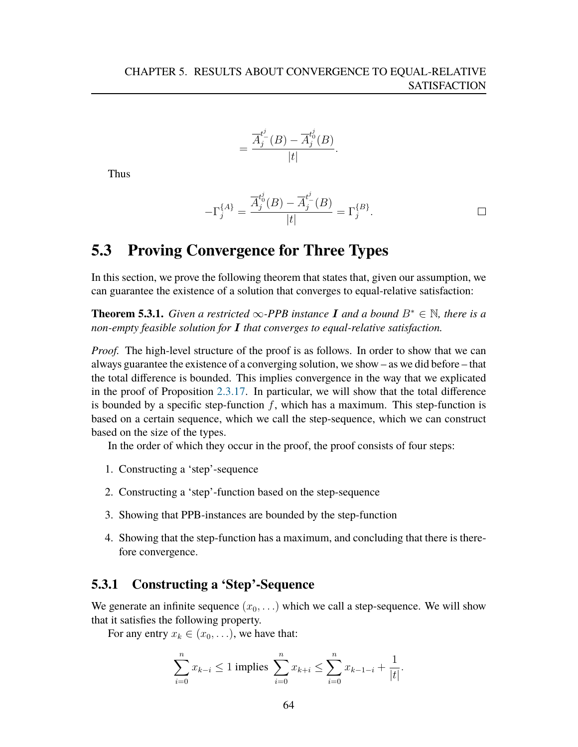$$
=\frac{\overline{A}_{j}^{t^{\underline{j}}}(\overline{B})-\overline{A}_{j}^{t^{\underline{j}}}(\overline{B})}{|t|}.
$$

Thus

$$
-\Gamma_j^{\{A\}} = \frac{\overline{A}_j^{t_0^j}(B) - \overline{A}_j^{t_-^j}(B)}{|t|} = \Gamma_j^{\{B\}}.
$$

## **5.3 Proving Convergence for Three Types**

In this section, we prove the following theorem that states that, given our assumption, we can guarantee the existence of a solution that converges to equal-relative satisfaction:

**Theorem 5.3.1.** *Given a restricted*  $\infty$ -*PPB instance* **I** and a bound  $B^* \in \mathbb{N}$ *, there is a non-empty feasible solution for* I *that converges to equal-relative satisfaction.*

*Proof.* The high-level structure of the proof is as follows. In order to show that we can always guarantee the existence of a converging solution, we show – as we did before – that the total difference is bounded. This implies convergence in the way that we explicated in the proof of Proposition [2.3.17.](#page-30-0) In particular, we will show that the total difference is bounded by a specific step-function  $f$ , which has a maximum. This step-function is based on a certain sequence, which we call the step-sequence, which we can construct based on the size of the types.

In the order of which they occur in the proof, the proof consists of four steps:

- 1. Constructing a 'step'-sequence
- 2. Constructing a 'step'-function based on the step-sequence
- 3. Showing that PPB-instances are bounded by the step-function
- 4. Showing that the step-function has a maximum, and concluding that there is therefore convergence.

## **5.3.1 Constructing a 'Step'-Sequence**

We generate an infinite sequence  $(x_0, \ldots)$  which we call a step-sequence. We will show that it satisfies the following property.

For any entry  $x_k \in (x_0, \ldots)$ , we have that:

$$
\sum_{i=0}^{n} x_{k-i} \le 1 \text{ implies } \sum_{i=0}^{n} x_{k+i} \le \sum_{i=0}^{n} x_{k-1-i} + \frac{1}{|t|}.
$$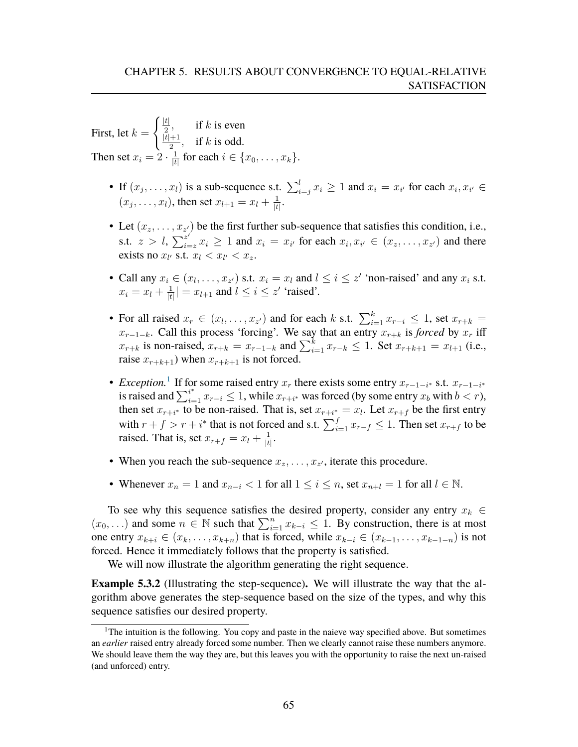First, let  $k =$  $\int \frac{|t|}{2}$ , if k is even  $|t|+1$  $\frac{+1}{2}$ , if k is odd. Then set  $x_i = 2 \cdot \frac{1}{t}$  $\frac{1}{|t|}$  for each  $i \in \{x_0, \ldots, x_k\}.$ 

- If  $(x_j, \ldots, x_l)$  is a sub-sequence s.t.  $\sum_{i=j}^{l} x_i \geq 1$  and  $x_i = x_{i'}$  for each  $x_i, x_{i'} \in$  $(x_j, ..., x_l)$ , then set  $x_{l+1} = x_l + \frac{1}{l}$  $\frac{1}{|t|}$ .
- Let  $(x_z, \ldots, x_{z})$  be the first further sub-sequence that satisfies this condition, i.e., s.t.  $z > l$ ,  $\sum_{i=1}^{z'}$  $z'_{i=z} x_i \ge 1$  and  $x_i = x_{i'}$  for each  $x_i, x_{i'} \in (x_z, \ldots, x_{z'})$  and there exists no  $x_{l'}$  s.t.  $x_l < x_{l'} < x_z$ .
- Call any  $x_i \in (x_1, \ldots, x_{z'})$  s.t.  $x_i = x_i$  and  $i \leq i \leq z'$  'non-raised' and any  $x_i$  s.t.  $x_i = x_l + \frac{1}{|t|}$  $\frac{1}{|t|}$  =  $x_{l+1}$  and  $l \leq i \leq z'$  'raised'.
- For all raised  $x_r \in (x_l, \ldots, x_{z'})$  and for each k s.t.  $\sum_{i=1}^k x_{r-i} \leq 1$ , set  $x_{r+k} =$  $x_{r-1-k}$ . Call this process 'forcing'. We say that an entry  $x_{r+k}$  is *forced* by  $x_r$  iff  $x_{r+k}$  is non-raised,  $x_{r+k} = x_{r-1-k}$  and  $\sum_{i=1}^{k} x_{r-k} \le 1$ . Set  $x_{r+k+1} = x_{l+1}$  (i.e., raise  $x_{r+k+1}$ ) when  $x_{r+k+1}$  is not forced.
- *Exception*.<sup>[1](#page-66-0)</sup> If for some raised entry  $x_r$  there exists some entry  $x_{r-1-i^*}$  s.t.  $x_{r-1-i^*}$ is raised and  $\sum_{i=1}^{i^*} x_{r-i} \leq 1$ , while  $x_{r+i^*}$  was forced (by some entry  $x_b$  with  $b < r$ ), then set  $x_{r+i^*}$  to be non-raised. That is, set  $x_{r+i^*} = x_l$ . Let  $x_{r+f}$  be the first entry with  $r + f > r + i^*$  that is not forced and s.t.  $\sum_{i=1}^{f} x_{r-f} \le 1$ . Then set  $x_{r+f}$  to be raised. That is, set  $x_{r+f} = x_l + \frac{1}{t}$  $\frac{1}{|t|}$ .
- When you reach the sub-sequence  $x_z, \ldots, x_{z'}$ , iterate this procedure.
- Whenever  $x_n = 1$  and  $x_{n-i} < 1$  for all  $1 \le i \le n$ , set  $x_{n+i} = 1$  for all  $l \in \mathbb{N}$ .

To see why this sequence satisfies the desired property, consider any entry  $x_k \in$  $(x_0, \ldots)$  and some  $n \in \mathbb{N}$  such that  $\sum_{i=1}^n x_{k-i} \leq 1$ . By construction, there is at most one entry  $x_{k+i} \in (x_k, \ldots, x_{k+n})$  that is forced, while  $x_{k-i} \in (x_{k-1}, \ldots, x_{k-1-n})$  is not forced. Hence it immediately follows that the property is satisfied.

We will now illustrate the algorithm generating the right sequence.

<span id="page-66-1"></span>**Example 5.3.2** (Illustrating the step-sequence)**.** We will illustrate the way that the algorithm above generates the step-sequence based on the size of the types, and why this sequence satisfies our desired property.

<span id="page-66-0"></span><sup>&</sup>lt;sup>1</sup>The intuition is the following. You copy and paste in the naieve way specified above. But sometimes an *earlier* raised entry already forced some number. Then we clearly cannot raise these numbers anymore. We should leave them the way they are, but this leaves you with the opportunity to raise the next un-raised (and unforced) entry.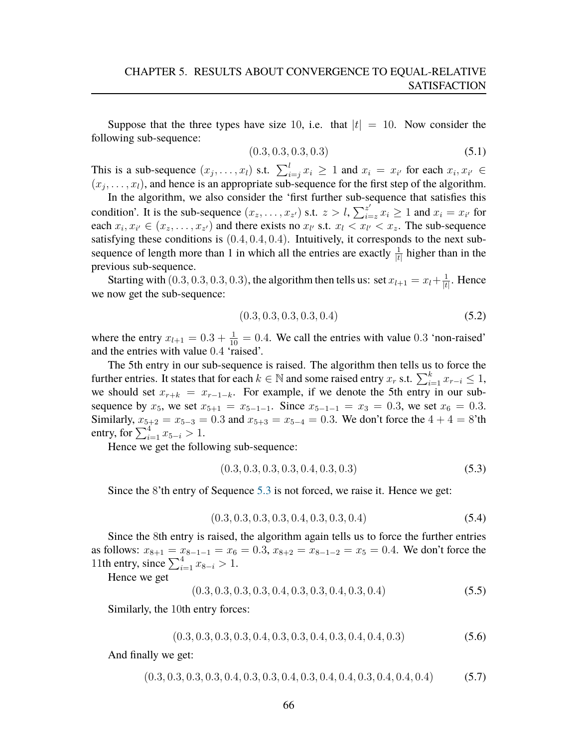Suppose that the three types have size 10, i.e. that  $|t| = 10$ . Now consider the following sub-sequence:

$$
(0.3, 0.3, 0.3, 0.3) \tag{5.1}
$$

This is a sub-sequence  $(x_j, \ldots, x_l)$  s.t.  $\sum_{i=j}^{l} x_i \geq 1$  and  $x_i = x_{i'}$  for each  $x_i, x_{i'} \in$  $(x_j, \ldots, x_l)$ , and hence is an appropriate sub-sequence for the first step of the algorithm.

In the algorithm, we also consider the 'first further sub-sequence that satisfies this condition'. It is the sub-sequence  $(x_2, \ldots, x_{z'})$  s.t.  $z > l$ ,  $\sum_{i=1}^{z'}$  $z'_{i=z}$   $x_i \geq 1$  and  $x_i = x_{i'}$  for each  $x_i, x_{i'} \in (x_z, \ldots, x_{z'})$  and there exists no  $x_{i'}$  s.t.  $x_i \leq x_{i'} \leq x_z$ . The sub-sequence satisfying these conditions is (0.4, 0.4, 0.4). Intuitively, it corresponds to the next subsequence of length more than 1 in which all the entries are exactly  $\frac{1}{|t|}$  higher than in the previous sub-sequence.

Starting with  $(0.3, 0.3, 0.3, 0.3)$ , the algorithm then tells us: set  $x_{l+1} = x_l + \frac{1}{k}$  $\frac{1}{|t|}$ . Hence we now get the sub-sequence:

$$
(0.3, 0.3, 0.3, 0.3, 0.4) \tag{5.2}
$$

where the entry  $x_{l+1} = 0.3 + \frac{1}{10} = 0.4$ . We call the entries with value 0.3 'non-raised' and the entries with value 0.4 'raised'.

The 5th entry in our sub-sequence is raised. The algorithm then tells us to force the further entries. It states that for each  $k \in \mathbb{N}$  and some raised entry  $x_r$  s.t.  $\sum_{i=1}^{k} x_{r-i} \leq 1$ , we should set  $x_{r+k} = x_{r-1-k}$ . For example, if we denote the 5th entry in our subsequence by  $x_5$ , we set  $x_{5+1} = x_{5-1-1}$ . Since  $x_{5-1-1} = x_3 = 0.3$ , we set  $x_6 = 0.3$ . Similarly,  $x_{5+2} = x_{5-3} = 0.3$  and  $x_{5+3} = x_{5-4} = 0.3$ . We don't force the  $4 + 4 = 8$ 'th entry, for  $\sum_{i=1}^{4} x_{5-i} > 1$ .

Hence we get the following sub-sequence:

<span id="page-67-0"></span>
$$
(0.3, 0.3, 0.3, 0.3, 0.4, 0.3, 0.3) \tag{5.3}
$$

Since the 8'th entry of Sequence [5.3](#page-67-0) is not forced, we raise it. Hence we get:

$$
(0.3, 0.3, 0.3, 0.3, 0.4, 0.3, 0.3, 0.4)
$$
\n
$$
(5.4)
$$

Since the 8th entry is raised, the algorithm again tells us to force the further entries as follows:  $x_{8+1} = x_{8-1-1} = x_6 = 0.3$ ,  $x_{8+2} = x_{8-1-2} = x_5 = 0.4$ . We don't force the 11th entry, since  $\sum_{i=1}^{4} x_{8-i} > 1$ .

Hence we get

$$
(0.3, 0.3, 0.3, 0.3, 0.4, 0.3, 0.3, 0.4, 0.3, 0.4)
$$
\n
$$
(5.5)
$$

Similarly, the 10th entry forces:

$$
(0.3, 0.3, 0.3, 0.3, 0.4, 0.3, 0.3, 0.4, 0.3, 0.4, 0.4, 0.3)
$$
\n
$$
(5.6)
$$

And finally we get:

$$
(0.3, 0.3, 0.3, 0.3, 0.4, 0.3, 0.3, 0.4, 0.3, 0.4, 0.4, 0.3, 0.4, 0.4, 0.4)
$$
\n
$$
(5.7)
$$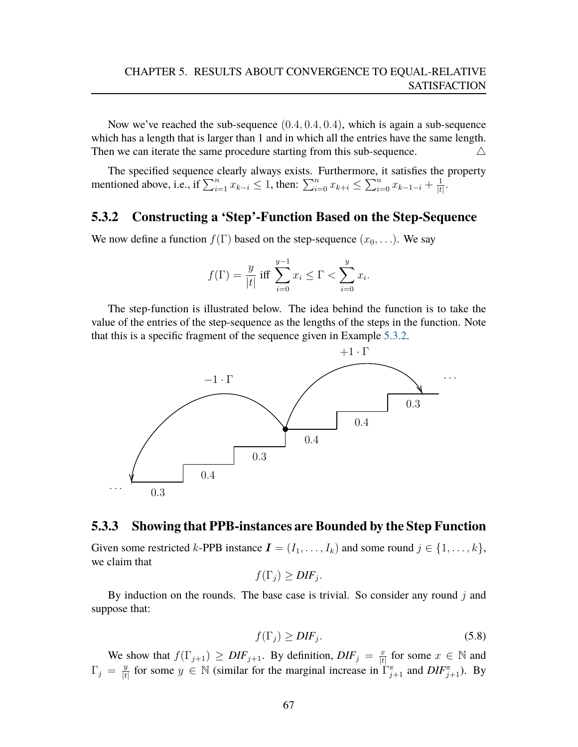Now we've reached the sub-sequence  $(0.4, 0.4, 0.4)$ , which is again a sub-sequence which has a length that is larger than 1 and in which all the entries have the same length. Then we can iterate the same procedure starting from this sub-sequence.  $\triangle$ 

The specified sequence clearly always exists. Furthermore, it satisfies the property mentioned above, i.e., if  $\sum_{i=1}^{n} x_{k-i} \leq 1$ , then:  $\sum_{i=0}^{n} x_{k+i} \leq \sum_{i=0}^{n} x_{k-1-i} + \frac{1}{k}$  $\frac{1}{|t|}$ .

### **5.3.2 Constructing a 'Step'-Function Based on the Step-Sequence**

We now define a function  $f(\Gamma)$  based on the step-sequence  $(x_0, \ldots)$ . We say

$$
f(\Gamma) = \frac{y}{|t|}
$$
 iff  $\sum_{i=0}^{y-1} x_i \le \Gamma < \sum_{i=0}^{y} x_i$ .

The step-function is illustrated below. The idea behind the function is to take the value of the entries of the step-sequence as the lengths of the steps in the function. Note that this is a specific fragment of the sequence given in Example [5.3.2.](#page-66-1)



### **5.3.3 Showing that PPB-instances are Bounded by the Step Function**

Given some restricted k-PPB instance  $\mathbf{I} = (I_1, \ldots, I_k)$  and some round  $j \in \{1, \ldots, k\}$ , we claim that

$$
f(\Gamma_j) \geq DIF_j.
$$

By induction on the rounds. The base case is trivial. So consider any round  $j$  and suppose that:

$$
f(\Gamma_j) \ge DIF_j. \tag{5.8}
$$

We show that  $f(\Gamma_{j+1}) \geq DIF_{j+1}$ . By definition,  $DIF_j = \frac{x}{H}$  $\frac{x}{|t|}$  for some  $x \in \mathbb{N}$  and  $\Gamma_j = \frac{y}{|t|}$  $\frac{y}{|t|}$  for some  $y \in \mathbb{N}$  (similar for the marginal increase in  $\Gamma_{j+1}^{\pi}$  and  $DIF_{j+1}^{\pi}$ ). By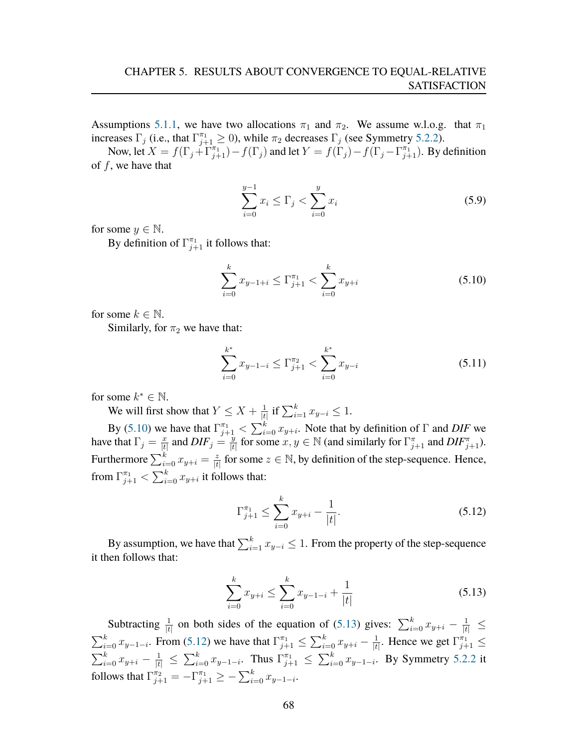Assumptions [5.1.1,](#page-63-0) we have two allocations  $\pi_1$  and  $\pi_2$ . We assume w.l.o.g. that  $\pi_1$ increases  $\Gamma_j$  (i.e., that  $\Gamma_{j+1}^{\pi_1} \ge 0$ ), while  $\pi_2$  decreases  $\Gamma_j$  (see Symmetry [5.2.2\)](#page-63-1).

Now, let  $X = f(\Gamma_j + \Gamma_{j+1}^{\pi_1}) - f(\Gamma_j)$  and let  $Y = f(\Gamma_j) - f(\Gamma_j - \Gamma_{j+1}^{\pi_1})$ . By definition of  $f$ , we have that

$$
\sum_{i=0}^{y-1} x_i \le \Gamma_j < \sum_{i=0}^{y} x_i \tag{5.9}
$$

for some  $y \in \mathbb{N}$ .

By definition of  $\Gamma_{j+1}^{\pi_1}$  it follows that:

<span id="page-69-0"></span>
$$
\sum_{i=0}^{k} x_{y-1+i} \le \Gamma_{j+1}^{\pi_1} < \sum_{i=0}^{k} x_{y+i} \tag{5.10}
$$

for some  $k \in \mathbb{N}$ .

Similarly, for  $\pi_2$  we have that:

$$
\sum_{i=0}^{k^*} x_{y-1-i} \le \Gamma_{j+1}^{\pi_2} < \sum_{i=0}^{k^*} x_{y-i} \tag{5.11}
$$

for some  $k^* \in \mathbb{N}$ .

We will first show that  $Y \leq X + \frac{1}{4}$  $\frac{1}{|t|}$  if  $\sum_{i=1}^{k} x_{y-i}$  ≤ 1.

By [\(5.10\)](#page-69-0) we have that  $\Gamma_{j+1}^{\pi_1} < \sum_{i=0}^k x_{y+i}$ . Note that by definition of  $\Gamma$  and *DIF* we have that  $\Gamma_j = \frac{x}{|t|}$  $\frac{x}{|t|}$  and  $DIF_j = \frac{y}{|t|}$  $\frac{y}{|t|}$  for some  $x, y \in \mathbb{N}$  (and similarly for  $\Gamma_{j+1}^{\pi}$  and  $DIF_{j+1}^{\pi}$ ). Furthermore  $\sum_{i=0}^k x_{y+i} = \frac{z}{|t|}$  $\frac{z}{|t|}$  for some  $z \in \mathbb{N}$ , by definition of the step-sequence. Hence, from  $\Gamma_{j+1}^{\pi_1}<\sum_{i=0}^k x_{y+i}$  it follows that:

<span id="page-69-2"></span>
$$
\Gamma_{j+1}^{\pi_1} \le \sum_{i=0}^{k} x_{y+i} - \frac{1}{|t|}.\tag{5.12}
$$

By assumption, we have that  $\sum_{i=1}^k x_{y-i} \leq 1$ . From the property of the step-sequence it then follows that:

<span id="page-69-1"></span>
$$
\sum_{i=0}^{k} x_{y+i} \le \sum_{i=0}^{k} x_{y-1-i} + \frac{1}{|t|}
$$
\n(5.13)

Subtracting  $\frac{1}{|t|}$  on both sides of the equation of [\(5.13\)](#page-69-1) gives:  $\sum_{i=0}^{k} x_{y+i} - \frac{1}{|t|} \le$  $\sum_{i=0}^{k} x_{y-1-i}$ . From [\(5.12\)](#page-69-2) we have that  $\Gamma_{j+1}^{\pi_1} \leq \sum_{i=0}^{k} x_{y+i} - \frac{1}{|t|}$  $\frac{1}{|t|}$ . Hence we get  $\Gamma_{j+1}^{\pi_1} \leq$  $\sum_{i=0}^{k} x_{y+i} - \frac{1}{|t|} \le \sum_{i=0}^{k} x_{y-1-i}$ . Thus  $\Gamma_{j+1}^{\pi_1} \le \sum_{i=0}^{k} x_{y-1-i}$ . By Symmetry [5.2.2](#page-63-1) it follows that  $\Gamma_{j+1}^{\pi_2}=-\Gamma_{j+1}^{\pi_1}\geq -\sum_{i=0}^k x_{y-1-i}.$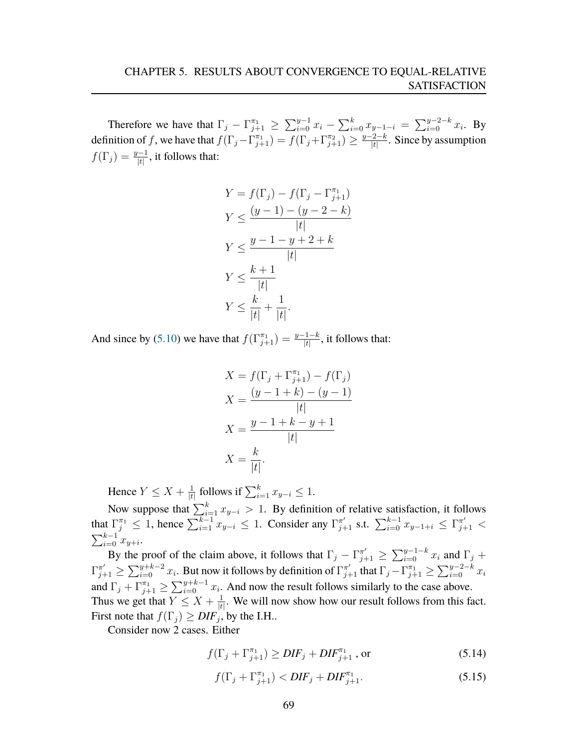Therefore we have that  $\Gamma_j - \Gamma_{j+1}^{\pi_1} \ge \sum_{i=0}^{y-1} x_i - \sum_{i=0}^{k} x_{y-1-i} = \sum_{i=0}^{y-2-k} x_i$ . By definition of f, we have that  $f(\Gamma_j - \Gamma_{j+1}^{\pi_1}) = f(\Gamma_j + \Gamma_{j+1}^{\pi_2}) \ge \frac{y-2-k}{|t|}$  $\frac{e^{2-k}}{|t|}$ . Since by assumption  $f(\Gamma_j) = \frac{y-1}{|t|}$ , it follows that:

$$
Y = f(\Gamma_j) - f(\Gamma_j - \Gamma_{j+1}^{\pi_1})
$$
  
\n
$$
Y \le \frac{(y-1) - (y-2-k)}{|t|}
$$
  
\n
$$
Y \le \frac{y-1-y+2+k}{|t|}
$$
  
\n
$$
Y \le \frac{k+1}{|t|}
$$
  
\n
$$
Y \le \frac{k}{|t|} + \frac{1}{|t|}.
$$

And since by [\(5.10\)](#page-69-0) we have that  $f(\Gamma_{j+1}^{\pi_1}) = \frac{y-1-k}{|t|}$ , it follows that:

$$
X = f(\Gamma_j + \Gamma_{j+1}^{\pi_1}) - f(\Gamma_j)
$$
  
\n
$$
X = \frac{(y - 1 + k) - (y - 1)}{|t|}
$$
  
\n
$$
X = \frac{y - 1 + k - y + 1}{|t|}
$$
  
\n
$$
X = \frac{k}{|t|}.
$$

Hence  $Y \leq X + \frac{1}{16}$  $\frac{1}{|t|}$  follows if  $\sum_{i=1}^{k} x_{y-i}$  ≤ 1.

Now suppose that  $\sum_{i=1}^{k} x_{y-i} > 1$ . By definition of relative satisfaction, it follows that  $\Gamma_j^{\pi_1} \leq 1$ , hence  $\sum_{i=1}^{k-1} x_{y-i} \leq 1$ . Consider any  $\Gamma_{j+1}^{\pi'}$  s.t.  $\sum_{i=0}^{k-1} x_{y-1+i} \leq \Gamma_{j+1}^{\pi'} <$  $\sum_{i=0}^{k-1} x_{y+i}$ .

By the proof of the claim above, it follows that  $\Gamma_j - \Gamma_{j+1}^{\pi'} \ge \sum_{i=0}^{y-1-k} x_i$  and  $\Gamma_j$  +  $\Gamma_{j+1}^{\pi'}\geq\sum_{i=0}^{y+k-2}x_i.$  But now it follows by definition of  $\Gamma_{j+1}^{\pi'}$  that  $\Gamma_j-\Gamma_{j+1}^{\pi_1}\geq\sum_{i=0}^{y-2-k}x_i$ and  $\Gamma_j + \Gamma_{j+1}^{\pi_1} \ge \sum_{i=0}^{y+k-1} x_i$ . And now the result follows similarly to the case above. Thus we get that  $Y \leq X + \frac{1}{4}$  $\frac{1}{|t|}$ . We will now show how our result follows from this fact. First note that  $f(\Gamma_j) \geq DIF_j$ , by the I.H..

Consider now 2 cases. Either

<span id="page-70-0"></span>
$$
f(\Gamma_j + \Gamma_{j+1}^{\pi_1}) \ge DIF_j + DIF_{j+1}^{\pi_1}, \text{ or } (5.14)
$$

$$
f(\Gamma_j + \Gamma_{j+1}^{\pi_1}) < DIF_j + DIF_{j+1}^{\pi_1}.\tag{5.15}
$$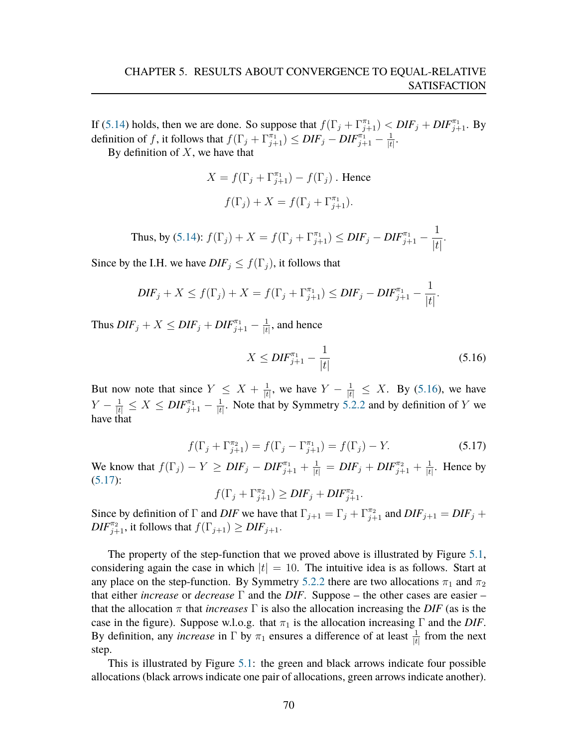If [\(5.14\)](#page-70-0) holds, then we are done. So suppose that  $f(\Gamma_j + \Gamma_{j+1}^{\pi_1}) < DIF_j + DIF_{j+1}^{\pi_1}$ . By definition of f, it follows that  $f(\Gamma_j + \Gamma_{j+1}^{\pi_1}) \leq DIF_j - DIF_{j+1}^{\pi_1} - \frac{1}{|t|}$  $\frac{1}{|t|}$ .

By definition of  $X$ , we have that

$$
X = f(\Gamma_j + \Gamma_{j+1}^{\pi_1}) - f(\Gamma_j)
$$
. Hence  

$$
f(\Gamma_j) + X = f(\Gamma_j + \Gamma_{j+1}^{\pi_1}).
$$

Thus, by [\(5.14\)](#page-70-0):  $f(\Gamma_j) + X = f(\Gamma_j + \Gamma_{j+1}^{\pi_1}) \leq DIF_j - DIF_{j+1}^{\pi_1} - \frac{1}{H}$  $|t|$ .

Since by the I.H. we have  $DIF_j \leq f(\Gamma_j)$ , it follows that

$$
DIF_j + X \le f(\Gamma_j) + X = f(\Gamma_j + \Gamma_{j+1}^{\pi_1}) \le DIF_j - DIF_{j+1}^{\pi_1} - \frac{1}{|t|}.
$$

Thus  $DIF_j + X \leq DIF_j + DIF_{j+1}^{\pi_1} - \frac{1}{|t|}$  $\frac{1}{|t|}$ , and hence

<span id="page-71-0"></span>
$$
X \le DIF_{j+1}^{\pi_1} - \frac{1}{|t|} \tag{5.16}
$$

But now note that since  $Y \leq X + \frac{1}{4}$  $\frac{1}{|t|}$ , we have  $Y - \frac{1}{|t|} \leq X$ . By [\(5.16\)](#page-71-0), we have  $Y - \frac{1}{|t|} \leq X \leq DIF_{j+1}^{\pi_1} - \frac{1}{|t|}$  $\frac{1}{|t|}$ . Note that by Symmetry [5.2.2](#page-63-1) and by definition of Y we have that

<span id="page-71-1"></span>
$$
f(\Gamma_j + \Gamma_{j+1}^{\pi_2}) = f(\Gamma_j - \Gamma_{j+1}^{\pi_1}) = f(\Gamma_j) - Y.
$$
 (5.17)

We know that  $f(\Gamma_j) - Y \geq DIF_j - DIF_{j+1}^{\pi_1} + \frac{1}{|t|} = DIF_j + DIF_{j+1}^{\pi_2} + \frac{1}{|t|}$  $\frac{1}{|t|}$ . Hence by  $(5.17):$  $(5.17):$ 

$$
f(\Gamma_j + \Gamma_{j+1}^{\pi_2}) \ge DIF_j + DIF_{j+1}^{\pi_2}.
$$

Since by definition of  $\Gamma$  and *DIF* we have that  $\Gamma_{j+1} = \Gamma_j + \Gamma_{j+1}^{\pi_2}$  and  $DIF_{j+1} = DIF_j + \Gamma_{j+1}$  $\textit{DIF}_{j+1}^{\pi_2}$ , it follows that  $f(\Gamma_{j+1}) \geq \textit{DIF}_{j+1}$ .

The property of the step-function that we proved above is illustrated by Figure [5.1,](#page-72-0) considering again the case in which  $|t| = 10$ . The intuitive idea is as follows. Start at any place on the step-function. By Symmetry [5.2.2](#page-63-1) there are two allocations  $\pi_1$  and  $\pi_2$ that either *increase* or *decrease* Γ and the *DIF*. Suppose – the other cases are easier – that the allocation  $\pi$  that *increases*  $\Gamma$  is also the allocation increasing the *DIF* (as is the case in the figure). Suppose w.l.o.g. that  $\pi_1$  is the allocation increasing  $\Gamma$  and the *DIF*. By definition, any *increase* in  $\Gamma$  by  $\pi_1$  ensures a difference of at least  $\frac{1}{|t|}$  from the next step.

This is illustrated by Figure [5.1:](#page-72-0) the green and black arrows indicate four possible allocations (black arrows indicate one pair of allocations, green arrows indicate another).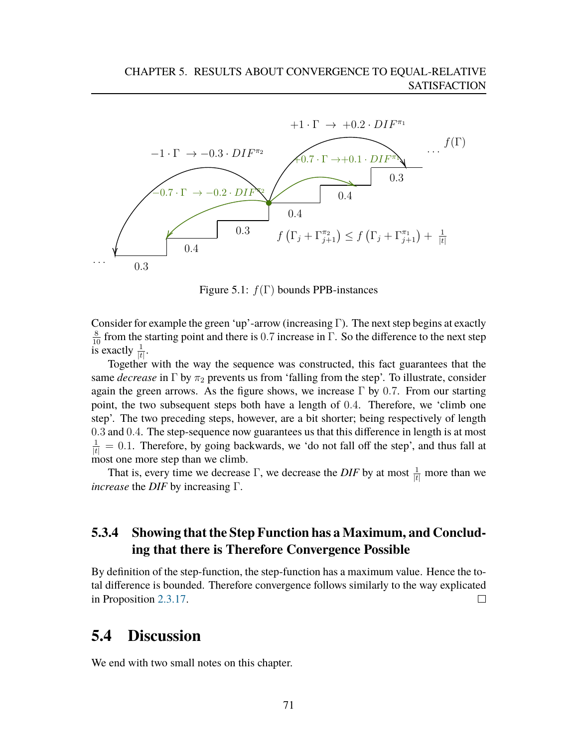

Figure 5.1:  $f(\Gamma)$  bounds PPB-instances

Consider for example the green 'up'-arrow (increasing Γ). The next step begins at exactly  $\frac{8}{10}$  from the starting point and there is 0.7 increase in  $\Gamma$ . So the difference to the next step is exactly  $\frac{1}{|t|}$ .

Together with the way the sequence was constructed, this fact guarantees that the same *decrease* in  $\Gamma$  by  $\pi_2$  prevents us from 'falling from the step'. To illustrate, consider again the green arrows. As the figure shows, we increase  $\Gamma$  by 0.7. From our starting point, the two subsequent steps both have a length of 0.4. Therefore, we 'climb one step'. The two preceding steps, however, are a bit shorter; being respectively of length 0.3 and 0.4. The step-sequence now guarantees us that this difference in length is at most  $\frac{1}{|t|} = 0.1$ . Therefore, by going backwards, we 'do not fall off the step', and thus fall at most one more step than we climb.

That is, every time we decrease  $\Gamma$ , we decrease the *DIF* by at most  $\frac{1}{|t|}$  more than we *increase* the *DIF* by increasing Γ.

#### **5.3.4 Showing that the Step Function has a Maximum, and Concluding that there is Therefore Convergence Possible**

By definition of the step-function, the step-function has a maximum value. Hence the total difference is bounded. Therefore convergence follows similarly to the way explicated in Proposition [2.3.17.](#page-30-0)  $\Box$ 

#### **5.4 Discussion**

We end with two small notes on this chapter.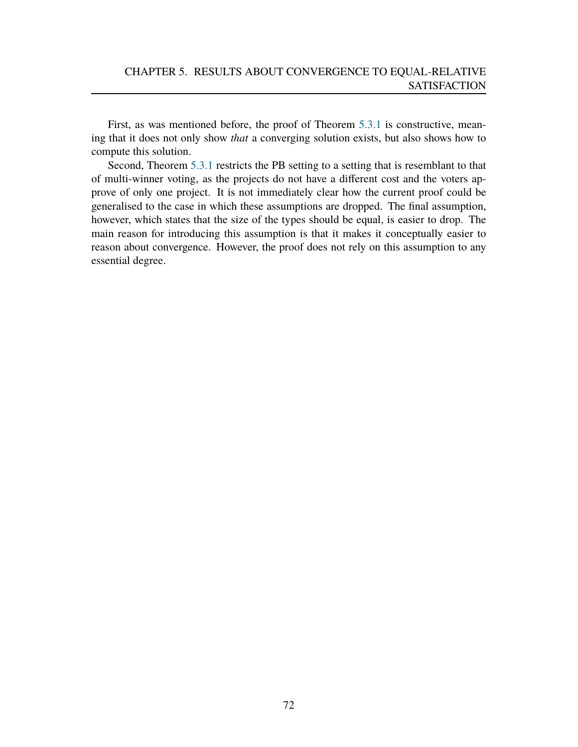First, as was mentioned before, the proof of Theorem [5.3.1](#page-65-0) is constructive, meaning that it does not only show *that* a converging solution exists, but also shows how to compute this solution.

Second, Theorem [5.3.1](#page-65-0) restricts the PB setting to a setting that is resemblant to that of multi-winner voting, as the projects do not have a different cost and the voters approve of only one project. It is not immediately clear how the current proof could be generalised to the case in which these assumptions are dropped. The final assumption, however, which states that the size of the types should be equal, is easier to drop. The main reason for introducing this assumption is that it makes it conceptually easier to reason about convergence. However, the proof does not rely on this assumption to any essential degree.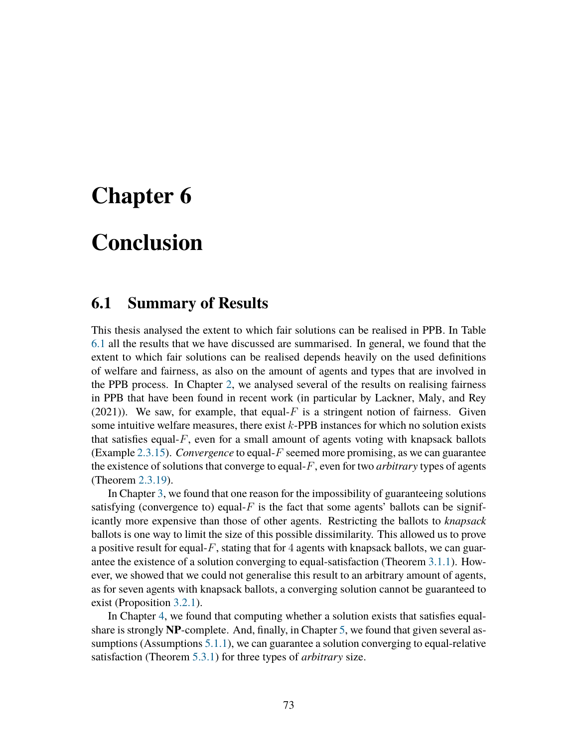### **Chapter 6**

# **Conclusion**

### <span id="page-74-0"></span>**6.1 Summary of Results**

This thesis analysed the extent to which fair solutions can be realised in PPB. In Table [6.1](#page-74-0) all the results that we have discussed are summarised. In general, we found that the extent to which fair solutions can be realised depends heavily on the used definitions of welfare and fairness, as also on the amount of agents and types that are involved in the PPB process. In Chapter [2,](#page-14-0) we analysed several of the results on realising fairness in PPB that have been found in recent work (in particular by Lackner, Maly, and Rey  $(2021)$ ). We saw, for example, that equal-F is a stringent notion of fairness. Given some intuitive welfare measures, there exist  $k$ -PPB instances for which no solution exists that satisfies equal- $F$ , even for a small amount of agents voting with knapsack ballots (Example [2.3.15\)](#page-28-0). *Convergence* to equal-F seemed more promising, as we can guarantee the existence of solutions that converge to equal-F, even for two *arbitrary* types of agents (Theorem [2.3.19\)](#page-35-0).

In Chapter [3,](#page-37-0) we found that one reason for the impossibility of guaranteeing solutions satisfying (convergence to) equal- $F$  is the fact that some agents' ballots can be significantly more expensive than those of other agents. Restricting the ballots to *knapsack* ballots is one way to limit the size of this possible dissimilarity. This allowed us to prove a positive result for equal- $F$ , stating that for 4 agents with knapsack ballots, we can guarantee the existence of a solution converging to equal-satisfaction (Theorem [3.1.1\)](#page-37-1). However, we showed that we could not generalise this result to an arbitrary amount of agents, as for seven agents with knapsack ballots, a converging solution cannot be guaranteed to exist (Proposition [3.2.1\)](#page-54-0).

In Chapter [4,](#page-59-0) we found that computing whether a solution exists that satisfies equalshare is strongly **NP**-complete. And, finally, in Chapter [5,](#page-62-0) we found that given several assumptions (Assumptions [5.1.1\)](#page-63-0), we can guarantee a solution converging to equal-relative satisfaction (Theorem [5.3.1\)](#page-65-0) for three types of *arbitrary* size.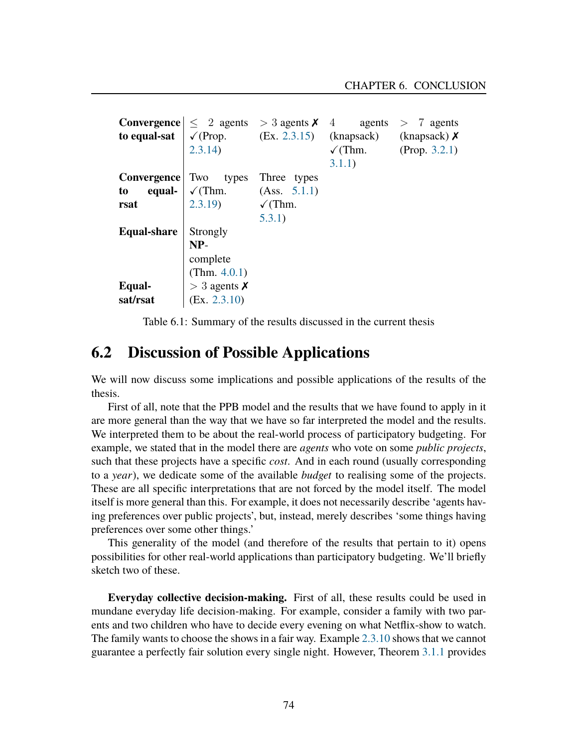|             | <b>Convergence</b> $\leq 2$ agents $> 3$ agents $\times 4$ agents $> 7$ agents   |                    |                       |                  |
|-------------|----------------------------------------------------------------------------------|--------------------|-----------------------|------------------|
|             | <b>to equal-sat</b> $\sqrt{(Prop. (Ex. 2.3.15))}$ (knapsack) (knapsack) <b>X</b> |                    |                       |                  |
|             | 2.3.14)                                                                          |                    | $\sqrt{\text{Thm}}$ . | (Prop. $3.2.1$ ) |
|             |                                                                                  |                    | 3.1.1)                |                  |
| Convergence | Two types                                                                        | Three types        |                       |                  |
| to          | <b>equal-</b> $\sqrt{(Thm.)}$ (Ass. 5.1.1)                                       |                    |                       |                  |
| rsat        | (2.3.19)                                                                         | $\checkmark$ (Thm. |                       |                  |
|             |                                                                                  | 5.3.1)             |                       |                  |
| Equal-share | Strongly                                                                         |                    |                       |                  |
|             | $NP-$                                                                            |                    |                       |                  |
|             | complete                                                                         |                    |                       |                  |
|             | (Thm. $4.0.1$ )                                                                  |                    |                       |                  |
| Equal-      | $>$ 3 agents $\times$                                                            |                    |                       |                  |
| sat/rsat    | (EX. 2.3.10)                                                                     |                    |                       |                  |

Table 6.1: Summary of the results discussed in the current thesis

### **6.2 Discussion of Possible Applications**

We will now discuss some implications and possible applications of the results of the thesis.

First of all, note that the PPB model and the results that we have found to apply in it are more general than the way that we have so far interpreted the model and the results. We interpreted them to be about the real-world process of participatory budgeting. For example, we stated that in the model there are *agents* who vote on some *public projects*, such that these projects have a specific *cost*. And in each round (usually corresponding to a *year*), we dedicate some of the available *budget* to realising some of the projects. These are all specific interpretations that are not forced by the model itself. The model itself is more general than this. For example, it does not necessarily describe 'agents having preferences over public projects', but, instead, merely describes 'some things having preferences over some other things.'

This generality of the model (and therefore of the results that pertain to it) opens possibilities for other real-world applications than participatory budgeting. We'll briefly sketch two of these.

**Everyday collective decision-making.** First of all, these results could be used in mundane everyday life decision-making. For example, consider a family with two parents and two children who have to decide every evening on what Netflix-show to watch. The family wants to choose the shows in a fair way. Example [2.3.10](#page-26-0) shows that we cannot guarantee a perfectly fair solution every single night. However, Theorem [3.1.1](#page-37-1) provides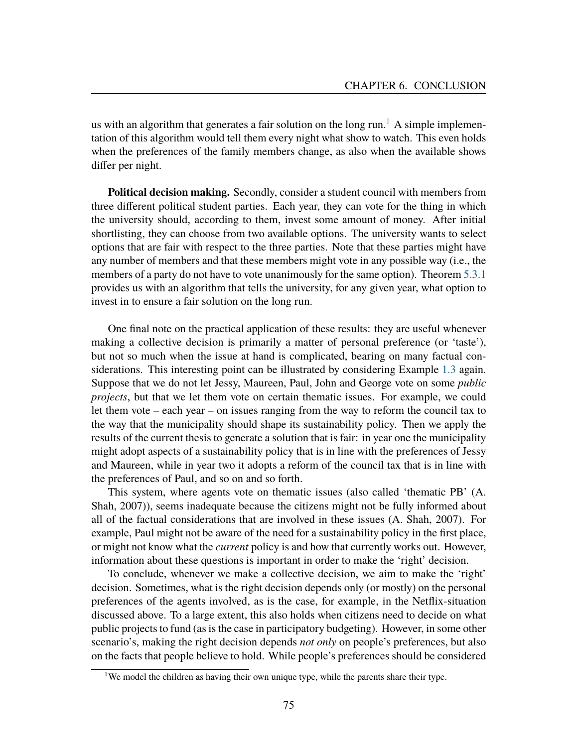us with an algorithm that generates a fair solution on the long run.<sup>[1](#page-76-0)</sup> A simple implementation of this algorithm would tell them every night what show to watch. This even holds when the preferences of the family members change, as also when the available shows differ per night.

**Political decision making.** Secondly, consider a student council with members from three different political student parties. Each year, they can vote for the thing in which the university should, according to them, invest some amount of money. After initial shortlisting, they can choose from two available options. The university wants to select options that are fair with respect to the three parties. Note that these parties might have any number of members and that these members might vote in any possible way (i.e., the members of a party do not have to vote unanimously for the same option). Theorem [5.3.1](#page-65-0) provides us with an algorithm that tells the university, for any given year, what option to invest in to ensure a fair solution on the long run.

One final note on the practical application of these results: they are useful whenever making a collective decision is primarily a matter of personal preference (or 'taste'), but not so much when the issue at hand is complicated, bearing on many factual considerations. This interesting point can be illustrated by considering Example [1.3](#page-6-0) again. Suppose that we do not let Jessy, Maureen, Paul, John and George vote on some *public projects*, but that we let them vote on certain thematic issues. For example, we could let them vote – each year – on issues ranging from the way to reform the council tax to the way that the municipality should shape its sustainability policy. Then we apply the results of the current thesis to generate a solution that is fair: in year one the municipality might adopt aspects of a sustainability policy that is in line with the preferences of Jessy and Maureen, while in year two it adopts a reform of the council tax that is in line with the preferences of Paul, and so on and so forth.

This system, where agents vote on thematic issues (also called 'thematic PB' (A. Shah, [2007\)](#page-81-1)), seems inadequate because the citizens might not be fully informed about all of the factual considerations that are involved in these issues (A. Shah, [2007\)](#page-81-1). For example, Paul might not be aware of the need for a sustainability policy in the first place, or might not know what the *current* policy is and how that currently works out. However, information about these questions is important in order to make the 'right' decision.

To conclude, whenever we make a collective decision, we aim to make the 'right' decision. Sometimes, what is the right decision depends only (or mostly) on the personal preferences of the agents involved, as is the case, for example, in the Netflix-situation discussed above. To a large extent, this also holds when citizens need to decide on what public projects to fund (as is the case in participatory budgeting). However, in some other scenario's, making the right decision depends *not only* on people's preferences, but also on the facts that people believe to hold. While people's preferences should be considered

<span id="page-76-0"></span><sup>&</sup>lt;sup>1</sup>We model the children as having their own unique type, while the parents share their type.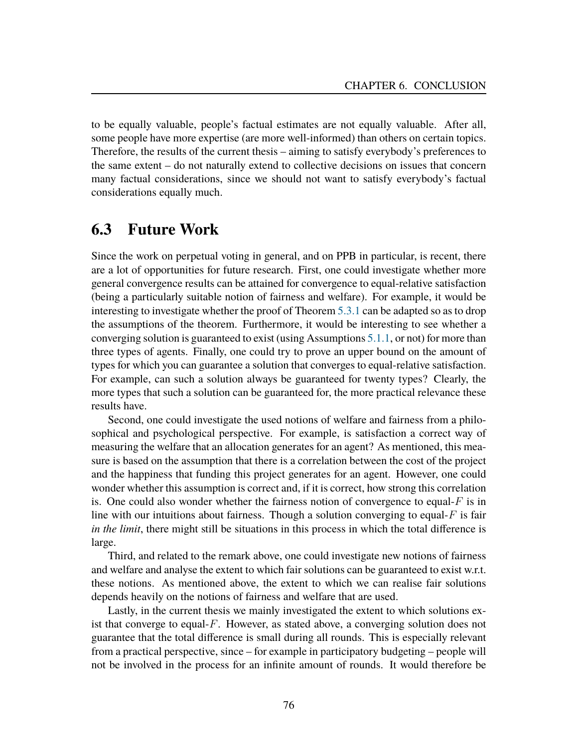to be equally valuable, people's factual estimates are not equally valuable. After all, some people have more expertise (are more well-informed) than others on certain topics. Therefore, the results of the current thesis – aiming to satisfy everybody's preferences to the same extent – do not naturally extend to collective decisions on issues that concern many factual considerations, since we should not want to satisfy everybody's factual considerations equally much.

### **6.3 Future Work**

Since the work on perpetual voting in general, and on PPB in particular, is recent, there are a lot of opportunities for future research. First, one could investigate whether more general convergence results can be attained for convergence to equal-relative satisfaction (being a particularly suitable notion of fairness and welfare). For example, it would be interesting to investigate whether the proof of Theorem [5.3.1](#page-65-0) can be adapted so as to drop the assumptions of the theorem. Furthermore, it would be interesting to see whether a converging solution is guaranteed to exist (using Assumptions [5.1.1,](#page-63-0) or not) for more than three types of agents. Finally, one could try to prove an upper bound on the amount of types for which you can guarantee a solution that converges to equal-relative satisfaction. For example, can such a solution always be guaranteed for twenty types? Clearly, the more types that such a solution can be guaranteed for, the more practical relevance these results have.

Second, one could investigate the used notions of welfare and fairness from a philosophical and psychological perspective. For example, is satisfaction a correct way of measuring the welfare that an allocation generates for an agent? As mentioned, this measure is based on the assumption that there is a correlation between the cost of the project and the happiness that funding this project generates for an agent. However, one could wonder whether this assumption is correct and, if it is correct, how strong this correlation is. One could also wonder whether the fairness notion of convergence to equal- $F$  is in line with our intuitions about fairness. Though a solution converging to equal- $F$  is fair *in the limit*, there might still be situations in this process in which the total difference is large.

Third, and related to the remark above, one could investigate new notions of fairness and welfare and analyse the extent to which fair solutions can be guaranteed to exist w.r.t. these notions. As mentioned above, the extent to which we can realise fair solutions depends heavily on the notions of fairness and welfare that are used.

Lastly, in the current thesis we mainly investigated the extent to which solutions exist that converge to equal- $F$ . However, as stated above, a converging solution does not guarantee that the total difference is small during all rounds. This is especially relevant from a practical perspective, since – for example in participatory budgeting – people will not be involved in the process for an infinite amount of rounds. It would therefore be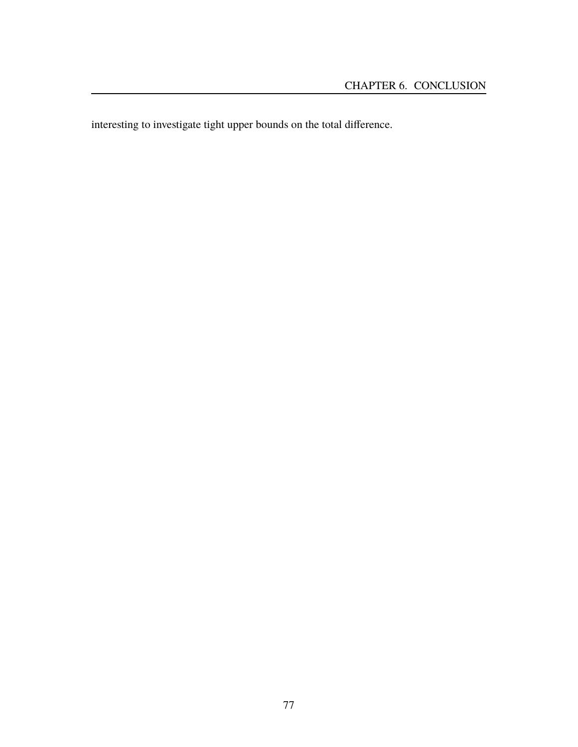interesting to investigate tight upper bounds on the total difference.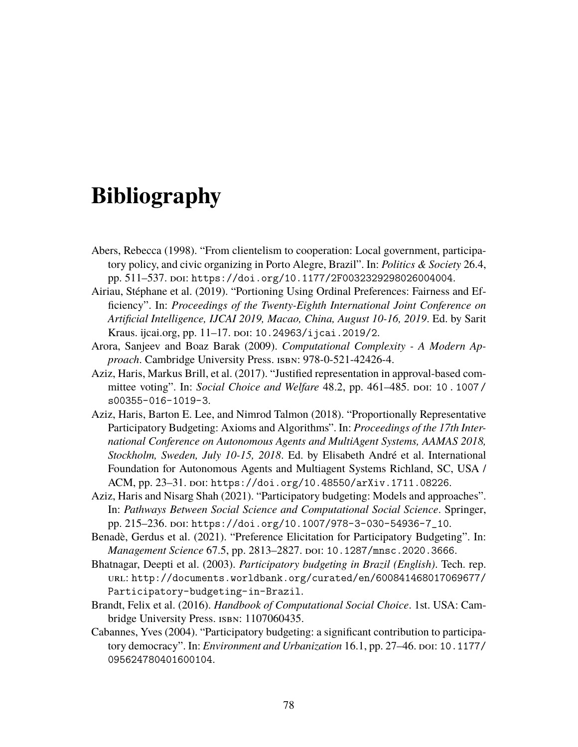## **Bibliography**

- Abers, Rebecca (1998). "From clientelism to cooperation: Local government, participatory policy, and civic organizing in Porto Alegre, Brazil". In: *Politics & Society* 26.4, pp. 511–537. doi: [https://doi.org/10.1177/2F0032329298026004004](https://doi.org/https://doi.org/10.1177/2F0032329298026004004).
- Airiau, Stephane et al. (2019). "Portioning Using Ordinal Preferences: Fairness and Ef- ´ ficiency". In: *Proceedings of the Twenty-Eighth International Joint Conference on Artificial Intelligence, IJCAI 2019, Macao, China, August 10-16, 2019*. Ed. by Sarit Kraus. ijcai.org, pp. 11–17. poi: [10.24963/ijcai.2019/2](https://doi.org/10.24963/ijcai.2019/2).
- Arora, Sanjeev and Boaz Barak (2009). *Computational Complexity A Modern Approach*. Cambridge University Press. isbn: 978-0-521-42426-4.
- Aziz, Haris, Markus Brill, et al. (2017). "Justified representation in approval-based committee voting". In: *Social Choice and Welfare* 48.2, pp. 461–485. poi: 10. 1007/ [s00355-016-1019-3](https://doi.org/10.1007/s00355-016-1019-3).
- Aziz, Haris, Barton E. Lee, and Nimrod Talmon (2018). "Proportionally Representative Participatory Budgeting: Axioms and Algorithms". In: *Proceedings of the 17th International Conference on Autonomous Agents and MultiAgent Systems, AAMAS 2018, Stockholm, Sweden, July 10-15, 2018*. Ed. by Elisabeth Andre et al. International ´ Foundation for Autonomous Agents and Multiagent Systems Richland, SC, USA / ACM, pp. 23-31. pol: [https://doi.org/10.48550/arXiv.1711.08226](https://doi.org/https://doi.org/10.48550/arXiv.1711.08226).
- Aziz, Haris and Nisarg Shah (2021). "Participatory budgeting: Models and approaches". In: *Pathways Between Social Science and Computational Social Science*. Springer, pp. 215-236. poi: [https://doi.org/10.1007/978-3-030-54936-7\\_10](https://doi.org/https://doi.org/10.1007/978-3-030-54936-7_10).
- Benadè, Gerdus et al. (2021). "Preference Elicitation for Participatory Budgeting". In: *Management Science* 67.5, pp. 2813–2827. doi: [10.1287/mnsc.2020.3666](https://doi.org/10.1287/mnsc.2020.3666).
- Bhatnagar, Deepti et al. (2003). *Participatory budgeting in Brazil (English)*. Tech. rep. url: [http://documents.worldbank.org/curated/en/600841468017069677/](http://documents.worldbank.org/curated/en/600841468017069677/Participatory-budgeting-in-Brazil) [Participatory-budgeting-in-Brazil](http://documents.worldbank.org/curated/en/600841468017069677/Participatory-budgeting-in-Brazil).
- Brandt, Felix et al. (2016). *Handbook of Computational Social Choice*. 1st. USA: Cambridge University Press. ISBN: 1107060435.
- Cabannes, Yves (2004). "Participatory budgeting: a significant contribution to participatory democracy". In: *Environment and Urbanization* 16.1, pp. 27–46. poi: [10.1177/](https://doi.org/10.1177/095624780401600104) [095624780401600104](https://doi.org/10.1177/095624780401600104).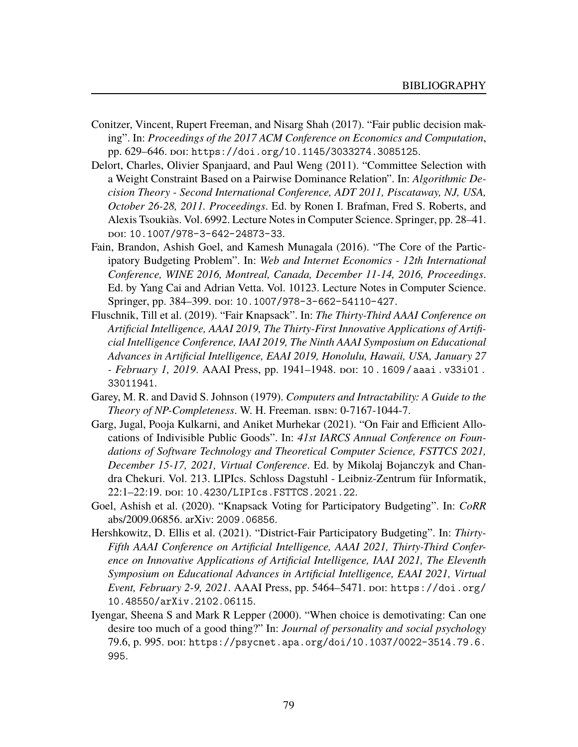- Conitzer, Vincent, Rupert Freeman, and Nisarg Shah (2017). "Fair public decision making". In: *Proceedings of the 2017 ACM Conference on Economics and Computation*, pp. 629–646. doi: [https://doi.org/10.1145/3033274.3085125](https://doi.org/https://doi.org/10.1145/3033274.3085125).
- Delort, Charles, Olivier Spanjaard, and Paul Weng (2011). "Committee Selection with a Weight Constraint Based on a Pairwise Dominance Relation". In: *Algorithmic Decision Theory - Second International Conference, ADT 2011, Piscataway, NJ, USA, October 26-28, 2011. Proceedings*. Ed. by Ronen I. Brafman, Fred S. Roberts, and Alexis Tsoukias. Vol. 6992. Lecture Notes in Computer Science. Springer, pp. 28–41. ` doi: [10.1007/978-3-642-24873-33](https://doi.org/10.1007/978-3-642-24873-33).
- Fain, Brandon, Ashish Goel, and Kamesh Munagala (2016). "The Core of the Participatory Budgeting Problem". In: *Web and Internet Economics - 12th International Conference, WINE 2016, Montreal, Canada, December 11-14, 2016, Proceedings*. Ed. by Yang Cai and Adrian Vetta. Vol. 10123. Lecture Notes in Computer Science. Springer, pp. 384–399. poi: [10.1007/978-3-662-54110-427](https://doi.org/10.1007/978-3-662-54110-427).
- Fluschnik, Till et al. (2019). "Fair Knapsack". In: *The Thirty-Third AAAI Conference on Artificial Intelligence, AAAI 2019, The Thirty-First Innovative Applications of Artificial Intelligence Conference, IAAI 2019, The Ninth AAAI Symposium on Educational Advances in Artificial Intelligence, EAAI 2019, Honolulu, Hawaii, USA, January 27 - February 1, 2019*. AAAI Press, pp. 1941–1948. doi: [10.1609/aaai.v33i01.](https://doi.org/10.1609/aaai.v33i01.33011941) [33011941](https://doi.org/10.1609/aaai.v33i01.33011941).
- Garey, M. R. and David S. Johnson (1979). *Computers and Intractability: A Guide to the Theory of NP-Completeness*. W. H. Freeman. isbn: 0-7167-1044-7.
- Garg, Jugal, Pooja Kulkarni, and Aniket Murhekar (2021). "On Fair and Efficient Allocations of Indivisible Public Goods". In: *41st IARCS Annual Conference on Foundations of Software Technology and Theoretical Computer Science, FSTTCS 2021, December 15-17, 2021, Virtual Conference*. Ed. by Mikolaj Bojanczyk and Chandra Chekuri. Vol. 213. LIPIcs. Schloss Dagstuhl - Leibniz-Zentrum fur Informatik, ¨ 22:1–22:19. doi: [10.4230/LIPIcs.FSTTCS.2021.22](https://doi.org/10.4230/LIPIcs.FSTTCS.2021.22).
- Goel, Ashish et al. (2020). "Knapsack Voting for Participatory Budgeting". In: *CoRR* abs/2009.06856. arXiv: [2009.06856](https://arxiv.org/abs/2009.06856).
- Hershkowitz, D. Ellis et al. (2021). "District-Fair Participatory Budgeting". In: *Thirty-Fifth AAAI Conference on Artificial Intelligence, AAAI 2021, Thirty-Third Conference on Innovative Applications of Artificial Intelligence, IAAI 2021, The Eleventh Symposium on Educational Advances in Artificial Intelligence, EAAI 2021, Virtual Event, February 2-9, 2021.* AAAI Press, pp. 5464-5471. poi: [https://doi.org/](https://doi.org/https://doi.org/10.48550/arXiv.2102.06115) [10.48550/arXiv.2102.06115](https://doi.org/https://doi.org/10.48550/arXiv.2102.06115).
- Iyengar, Sheena S and Mark R Lepper (2000). "When choice is demotivating: Can one desire too much of a good thing?" In: *Journal of personality and social psychology* 79.6, p. 995. doi: [https://psycnet.apa.org/doi/10.1037/0022-3514.79.6.](https://doi.org/https://psycnet.apa.org/doi/10.1037/0022-3514.79.6.995) [995](https://doi.org/https://psycnet.apa.org/doi/10.1037/0022-3514.79.6.995).